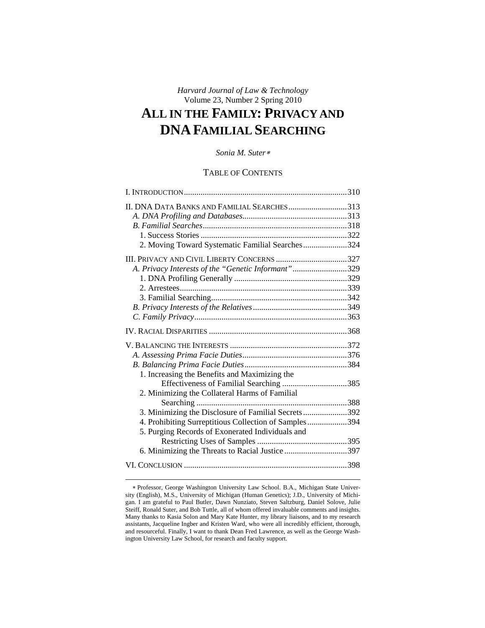# *Harvard Journal of Law & Technology*  Volume 23, Number 2 Spring 2010 **ALL IN THE FAMILY: PRIVACY AND DNA FAMILIAL SEARCHING**

## *Sonia M. Suter*

## TABLE OF CONTENTS

| II. DNA DATA BANKS AND FAMILIAL SEARCHES313           |  |
|-------------------------------------------------------|--|
|                                                       |  |
|                                                       |  |
|                                                       |  |
| 2. Moving Toward Systematic Familial Searches324      |  |
| III. PRIVACY AND CIVIL LIBERTY CONCERNS 327           |  |
| A. Privacy Interests of the "Genetic Informant"329    |  |
|                                                       |  |
|                                                       |  |
|                                                       |  |
|                                                       |  |
|                                                       |  |
|                                                       |  |
|                                                       |  |
|                                                       |  |
|                                                       |  |
| 1. Increasing the Benefits and Maximizing the         |  |
| Effectiveness of Familial Searching 385               |  |
| 2. Minimizing the Collateral Harms of Familial        |  |
|                                                       |  |
| 3. Minimizing the Disclosure of Familial Secrets392   |  |
| 4. Prohibiting Surreptitious Collection of Samples394 |  |
| 5. Purging Records of Exonerated Individuals and      |  |
|                                                       |  |
| 6. Minimizing the Threats to Racial Justice 397       |  |
|                                                       |  |

Professor, George Washington University Law School. B.A., Michigan State University (English), M.S., University of Michigan (Human Genetics); J.D., University of Michigan. I am grateful to Paul Butler, Dawn Nunziato, Steven Saltzburg, Daniel Solove, Julie Steiff, Ronald Suter, and Bob Tuttle, all of whom offered invaluable comments and insights. Many thanks to Kasia Solon and Mary Kate Hunter, my library liaisons, and to my research assistants, Jacqueline Ingber and Kristen Ward, who were all incredibly efficient, thorough, and resourceful. Finally, I want to thank Dean Fred Lawrence, as well as the George Washington University Law School, for research and faculty support.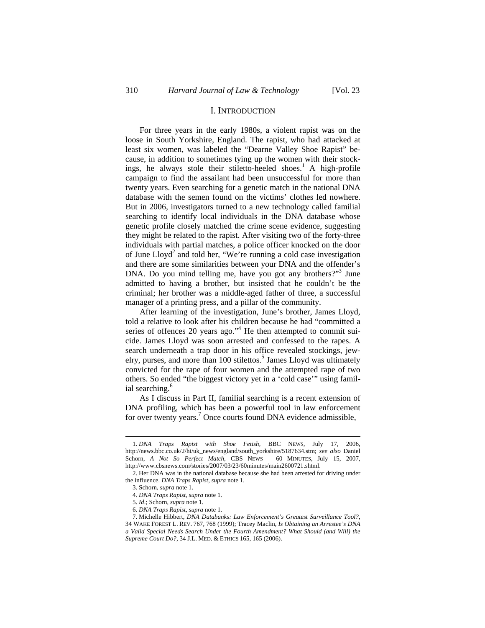## I. INTRODUCTION

For three years in the early 1980s, a violent rapist was on the loose in South Yorkshire, England. The rapist, who had attacked at least six women, was labeled the "Dearne Valley Shoe Rapist" because, in addition to sometimes tying up the women with their stockings, he always stole their stiletto-heeled shoes.<sup>1</sup> A high-profile campaign to find the assailant had been unsuccessful for more than twenty years. Even searching for a genetic match in the national DNA database with the semen found on the victims' clothes led nowhere. But in 2006, investigators turned to a new technology called familial searching to identify local individuals in the DNA database whose genetic profile closely matched the crime scene evidence, suggesting they might be related to the rapist. After visiting two of the forty-three individuals with partial matches, a police officer knocked on the door of June  $L\text{log}d^2$  and told her, "We're running a cold case investigation and there are some similarities between your DNA and the offender's DNA. Do you mind telling me, have you got any brothers?"<sup>3</sup> June admitted to having a brother, but insisted that he couldn't be the criminal; her brother was a middle-aged father of three, a successful manager of a printing press, and a pillar of the community.

After learning of the investigation, June's brother, James Lloyd, told a relative to look after his children because he had "committed a series of offences 20 years ago."<sup>4</sup> He then attempted to commit suicide. James Lloyd was soon arrested and confessed to the rapes. A search underneath a trap door in his office revealed stockings, jewelry, purses, and more than 100 stilettos.<sup>5</sup> James Lloyd was ultimately convicted for the rape of four women and the attempted rape of two others. So ended "the biggest victory yet in a 'cold case'" using familial searching.<sup>6</sup>

As I discuss in Part II, familial searching is a recent extension of DNA profiling, which has been a powerful tool in law enforcement for over twenty years.<sup>7</sup> Once courts found DNA evidence admissible,

<sup>1.</sup> *DNA Traps Rapist with Shoe Fetish*, BBC NEWS, July 17, 2006, http://news.bbc.co.uk/2/hi/uk\_news/england/south\_yorkshire/5187634.stm; *see also* Daniel Schorn, *A Not So Perfect Match*, CBS NEWS — 60 MINUTES, July 15, 2007, http://www.cbsnews.com/stories/2007/03/23/60minutes/main2600721.shtml.

<sup>2.</sup> Her DNA was in the national database because she had been arrested for driving under the influence. *DNA Traps Rapist*, *supra* note 1*.*

<sup>3.</sup> Schorn, *supra* note 1.

<sup>4.</sup> *DNA Traps Rapist*, *supra* note 1.

<sup>5.</sup> *Id*.; Schorn, *supra* note 1.

<sup>6.</sup> *DNA Traps Rapist*, *supra* note 1.

<sup>7.</sup> Michelle Hibbert, *DNA Databanks: Law Enforcement's Greatest Surveillance Tool?*, 34 WAKE FOREST L. REV. 767, 768 (1999); Tracey Maclin, *Is Obtaining an Arrestee's DNA a Valid Special Needs Search Under the Fourth Amendment? What Should (and Will) the Supreme Court Do?*, 34 J.L. MED. & ETHICS 165, 165 (2006).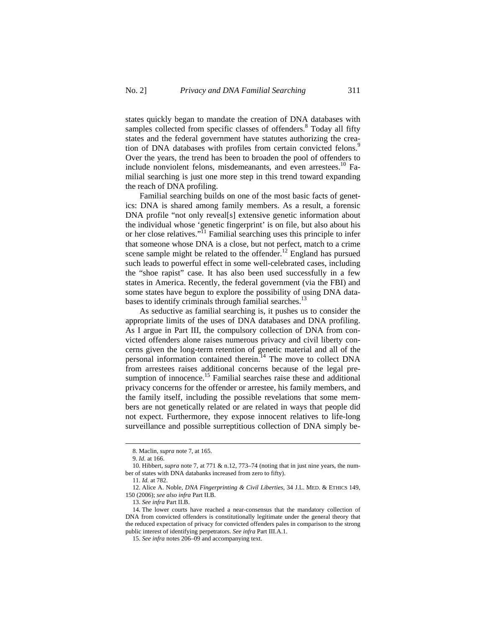states quickly began to mandate the creation of DNA databases with samples collected from specific classes of offenders.<sup>8</sup> Today all fifty states and the federal government have statutes authorizing the creation of DNA databases with profiles from certain convicted felons.<sup>9</sup> Over the years, the trend has been to broaden the pool of offenders to include nonviolent felons, misdemeanants, and even arrestees.<sup>10</sup> Familial searching is just one more step in this trend toward expanding the reach of DNA profiling.

Familial searching builds on one of the most basic facts of genetics: DNA is shared among family members. As a result, a forensic DNA profile "not only reveal[s] extensive genetic information about the individual whose 'genetic fingerprint' is on file, but also about his or her close relatives."11 Familial searching uses this principle to infer that someone whose DNA is a close, but not perfect, match to a crime scene sample might be related to the offender.<sup>12</sup> England has pursued such leads to powerful effect in some well-celebrated cases, including the "shoe rapist" case. It has also been used successfully in a few states in America. Recently, the federal government (via the FBI) and some states have begun to explore the possibility of using DNA databases to identify criminals through familial searches.<sup>13</sup>

As seductive as familial searching is, it pushes us to consider the appropriate limits of the uses of DNA databases and DNA profiling. As I argue in Part III, the compulsory collection of DNA from convicted offenders alone raises numerous privacy and civil liberty concerns given the long-term retention of genetic material and all of the personal information contained therein.<sup>14</sup> The move to collect DNA from arrestees raises additional concerns because of the legal presumption of innocence.<sup>15</sup> Familial searches raise these and additional privacy concerns for the offender or arrestee, his family members, and the family itself, including the possible revelations that some members are not genetically related or are related in ways that people did not expect. Furthermore, they expose innocent relatives to life-long surveillance and possible surreptitious collection of DNA simply be-

<sup>8.</sup> Maclin, *supra* note 7, at 165.

<sup>9.</sup> *Id.* at 166.

<sup>10.</sup> Hibbert, *supra* note 7, at 771 & n.12, 773–74 (noting that in just nine years, the number of states with DNA databanks increased from zero to fifty).

<sup>11.</sup> *Id.* at 782.

<sup>12.</sup> Alice A. Noble, *DNA Fingerprinting & Civil Liberties*, 34 J.L. MED. & ETHICS 149, 150 (2006); *see also infra* Part II.B.

<sup>13.</sup> *See infra* Part II.B.

<sup>14.</sup> The lower courts have reached a near-consensus that the mandatory collection of DNA from convicted offenders is constitutionally legitimate under the general theory that the reduced expectation of privacy for convicted offenders pales in comparison to the strong public interest of identifying perpetrators. *See infra* Part III.A.1.

<sup>15.</sup> *See infra* notes 206–09 and accompanying text.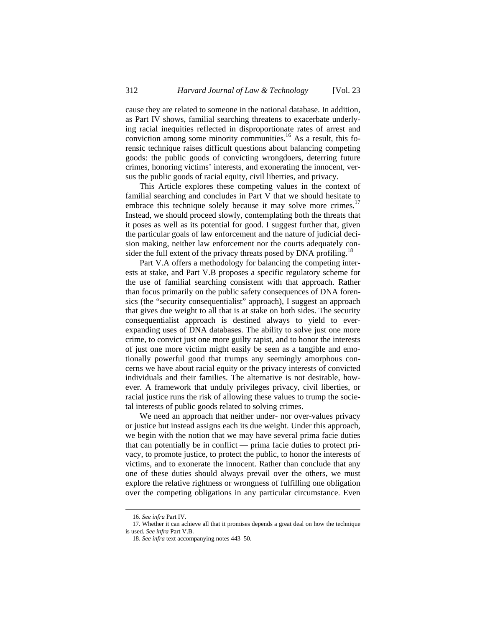cause they are related to someone in the national database. In addition, as Part IV shows, familial searching threatens to exacerbate underlying racial inequities reflected in disproportionate rates of arrest and conviction among some minority communities.<sup>16</sup> As a result, this forensic technique raises difficult questions about balancing competing goods: the public goods of convicting wrongdoers, deterring future crimes, honoring victims' interests, and exonerating the innocent, versus the public goods of racial equity, civil liberties, and privacy.

This Article explores these competing values in the context of familial searching and concludes in Part V that we should hesitate to embrace this technique solely because it may solve more crimes.<sup>17</sup> Instead, we should proceed slowly, contemplating both the threats that it poses as well as its potential for good. I suggest further that, given the particular goals of law enforcement and the nature of judicial decision making, neither law enforcement nor the courts adequately consider the full extent of the privacy threats posed by DNA profiling.<sup>1</sup>

Part V.A offers a methodology for balancing the competing interests at stake, and Part V.B proposes a specific regulatory scheme for the use of familial searching consistent with that approach. Rather than focus primarily on the public safety consequences of DNA forensics (the "security consequentialist" approach), I suggest an approach that gives due weight to all that is at stake on both sides. The security consequentialist approach is destined always to yield to everexpanding uses of DNA databases. The ability to solve just one more crime, to convict just one more guilty rapist, and to honor the interests of just one more victim might easily be seen as a tangible and emotionally powerful good that trumps any seemingly amorphous concerns we have about racial equity or the privacy interests of convicted individuals and their families. The alternative is not desirable, however. A framework that unduly privileges privacy, civil liberties, or racial justice runs the risk of allowing these values to trump the societal interests of public goods related to solving crimes.

We need an approach that neither under- nor over-values privacy or justice but instead assigns each its due weight. Under this approach, we begin with the notion that we may have several prima facie duties that can potentially be in conflict — prima facie duties to protect privacy, to promote justice, to protect the public, to honor the interests of victims, and to exonerate the innocent. Rather than conclude that any one of these duties should always prevail over the others, we must explore the relative rightness or wrongness of fulfilling one obligation over the competing obligations in any particular circumstance. Even

<sup>16.</sup> *See infra* Part IV.

<sup>17.</sup> Whether it can achieve all that it promises depends a great deal on how the technique is used. *See infra* Part V.B.

<sup>18.</sup> *See infra* text accompanying notes 443–50.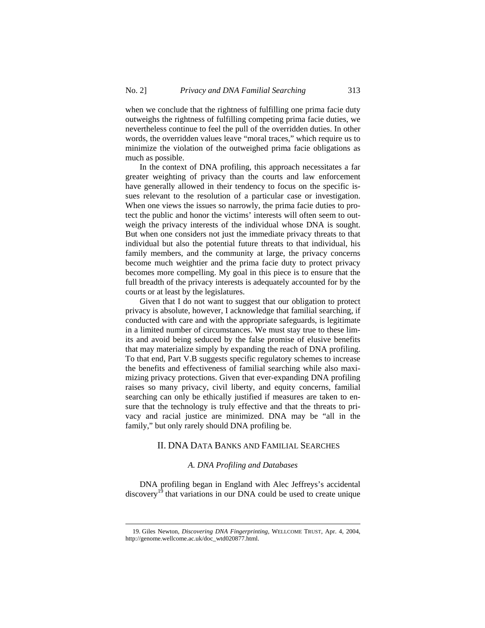when we conclude that the rightness of fulfilling one prima facie duty outweighs the rightness of fulfilling competing prima facie duties, we nevertheless continue to feel the pull of the overridden duties. In other words, the overridden values leave "moral traces," which require us to minimize the violation of the outweighed prima facie obligations as much as possible.

In the context of DNA profiling, this approach necessitates a far greater weighting of privacy than the courts and law enforcement have generally allowed in their tendency to focus on the specific issues relevant to the resolution of a particular case or investigation. When one views the issues so narrowly, the prima facie duties to protect the public and honor the victims' interests will often seem to outweigh the privacy interests of the individual whose DNA is sought. But when one considers not just the immediate privacy threats to that individual but also the potential future threats to that individual, his family members, and the community at large, the privacy concerns become much weightier and the prima facie duty to protect privacy becomes more compelling. My goal in this piece is to ensure that the full breadth of the privacy interests is adequately accounted for by the courts or at least by the legislatures.

Given that I do not want to suggest that our obligation to protect privacy is absolute, however, I acknowledge that familial searching, if conducted with care and with the appropriate safeguards, is legitimate in a limited number of circumstances. We must stay true to these limits and avoid being seduced by the false promise of elusive benefits that may materialize simply by expanding the reach of DNA profiling. To that end, Part V.B suggests specific regulatory schemes to increase the benefits and effectiveness of familial searching while also maximizing privacy protections. Given that ever-expanding DNA profiling raises so many privacy, civil liberty, and equity concerns, familial searching can only be ethically justified if measures are taken to ensure that the technology is truly effective and that the threats to privacy and racial justice are minimized. DNA may be "all in the family," but only rarely should DNA profiling be.

## II. DNA DATA BANKS AND FAMILIAL SEARCHES

#### *A. DNA Profiling and Databases*

DNA profiling began in England with Alec Jeffreys's accidental discovery<sup>19</sup> that variations in our DNA could be used to create unique

<sup>19.</sup> Giles Newton, *Discovering DNA Fingerprinting*, WELLCOME TRUST, Apr. 4, 2004, http://genome.wellcome.ac.uk/doc\_wtd020877.html.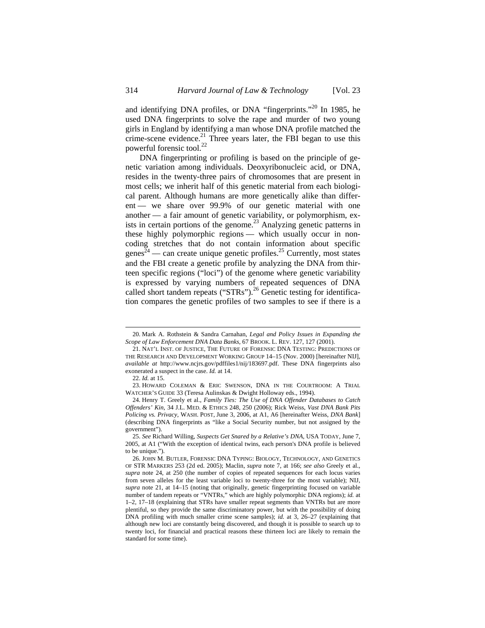and identifying DNA profiles, or DNA "fingerprints."20 In 1985, he used DNA fingerprints to solve the rape and murder of two young girls in England by identifying a man whose DNA profile matched the crime-scene evidence.<sup>21</sup> Three years later, the FBI began to use this powerful forensic tool.<sup>22</sup>

DNA fingerprinting or profiling is based on the principle of genetic variation among individuals. Deoxyribonucleic acid, or DNA, resides in the twenty-three pairs of chromosomes that are present in most cells; we inherit half of this genetic material from each biological parent. Although humans are more genetically alike than different — we share over 99.9% of our genetic material with one another — a fair amount of genetic variability, or polymorphism, exists in certain portions of the genome.<sup>23</sup> Analyzing genetic patterns in these highly polymorphic regions — which usually occur in noncoding stretches that do not contain information about specific genes<sup>24</sup> — can create unique genetic profiles.<sup>25</sup> Currently, most states and the FBI create a genetic profile by analyzing the DNA from thirteen specific regions ("loci") of the genome where genetic variability is expressed by varying numbers of repeated sequences of DNA called short tandem repeats ("STRs").<sup>26</sup> Genetic testing for identification compares the genetic profiles of two samples to see if there is a

<sup>20.</sup> Mark A. Rothstein & Sandra Carnahan, *Legal and Policy Issues in Expanding the Scope of Law Enforcement DNA Data Banks*, 67 BROOK. L. REV. 127, 127 (2001).

<sup>21.</sup> NAT'L INST. OF JUSTICE, THE FUTURE OF FORENSIC DNA TESTING: PREDICTIONS OF THE RESEARCH AND DEVELOPMENT WORKING GROUP 14–15 (Nov. 2000) [hereinafter NIJ], *available at* http://www.ncjrs.gov/pdffiles1/nij/183697.pdf. These DNA fingerprints also exonerated a suspect in the case. *Id.* at 14.

<sup>22.</sup> *Id.* at 15.

<sup>23.</sup> HOWARD COLEMAN & ERIC SWENSON, DNA IN THE COURTROOM: A TRIAL WATCHER'S GUIDE 33 (Teresa Aulinskas & Dwight Holloway eds., 1994).

<sup>24.</sup> Henry T. Greely et al., *Family Ties: The Use of DNA Offender Databases to Catch Offenders' Kin*, 34 J.L. MED. & ETHICS 248, 250 (2006); Rick Weiss, *Vast DNA Bank Pits Policing vs. Privacy*, WASH. POST, June 3, 2006, at A1, A6 [hereinafter Weiss, *DNA Bank*] (describing DNA fingerprints as "like a Social Security number, but not assigned by the government").

<sup>25.</sup> *See* Richard Willing, *Suspects Get Snared by a Relative's DNA*, USA TODAY, June 7, 2005, at A1 ("With the exception of identical twins, each person's DNA profile is believed to be unique.").

<sup>26.</sup> JOHN M. BUTLER, FORENSIC DNA TYPING: BIOLOGY, TECHNOLOGY, AND GENETICS OF STR MARKERS 253 (2d ed. 2005); Maclin, *supra* note 7, at 166; *see also* Greely et al., *supra* note 24, at 250 (the number of copies of repeated sequences for each locus varies from seven alleles for the least variable loci to twenty-three for the most variable); NIJ, *supra* note 21, at 14–15 (noting that originally, genetic fingerprinting focused on variable number of tandem repeats or "VNTRs," which are highly polymorphic DNA regions); *id.* at 1–2, 17–18 (explaining that STRs have smaller repeat segments than VNTRs but are more plentiful, so they provide the same discriminatory power, but with the possibility of doing DNA profiling with much smaller crime scene samples); *id.* at 3, 26–27 (explaining that although new loci are constantly being discovered, and though it is possible to search up to twenty loci, for financial and practical reasons these thirteen loci are likely to remain the standard for some time).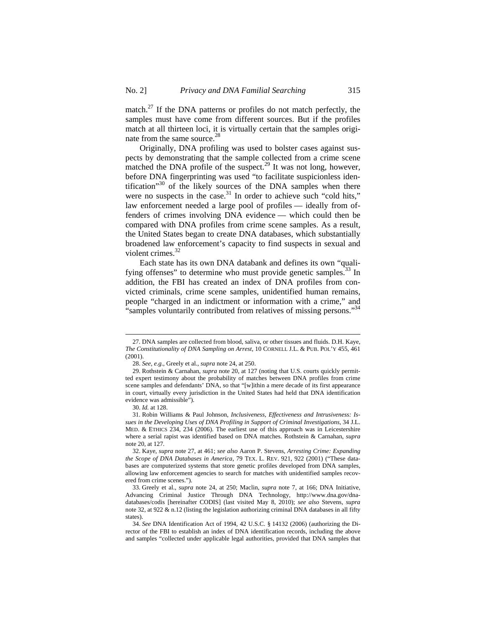match.<sup>27</sup> If the DNA patterns or profiles do not match perfectly, the samples must have come from different sources. But if the profiles match at all thirteen loci, it is virtually certain that the samples originate from the same source.<sup>28</sup>

Originally, DNA profiling was used to bolster cases against suspects by demonstrating that the sample collected from a crime scene matched the DNA profile of the suspect.<sup>29</sup> It was not long, however, before DNA fingerprinting was used "to facilitate suspicionless identification<sup>30</sup> of the likely sources of the DNA samples when there were no suspects in the case. $31$  In order to achieve such "cold hits," law enforcement needed a large pool of profiles — ideally from offenders of crimes involving DNA evidence — which could then be compared with DNA profiles from crime scene samples. As a result, the United States began to create DNA databases, which substantially broadened law enforcement's capacity to find suspects in sexual and violent crimes.<sup>32</sup>

Each state has its own DNA databank and defines its own "qualifying offenses" to determine who must provide genetic samples. $^{33}$  In addition, the FBI has created an index of DNA profiles from convicted criminals, crime scene samples, unidentified human remains, people "charged in an indictment or information with a crime," and "samples voluntarily contributed from relatives of missing persons."<sup>34</sup>

<sup>27.</sup> DNA samples are collected from blood, saliva, or other tissues and fluids. D.H. Kaye, *The Constitutionality of DNA Sampling on Arrest*, 10 CORNELL J.L. & PUB. POL'Y 455, 461 (2001).

<sup>28.</sup> *See, e.g.*, Greely et al., *supra* note 24, at 250.

<sup>29.</sup> Rothstein & Carnahan, *supra* note 20, at 127 (noting that U.S. courts quickly permitted expert testimony about the probability of matches between DNA profiles from crime scene samples and defendants' DNA, so that "[w]ithin a mere decade of its first appearance in court, virtually every jurisdiction in the United States had held that DNA identification evidence was admissible").

<sup>30.</sup> *Id.* at 128.

<sup>31.</sup> Robin Williams & Paul Johnson, *Inclusiveness, Effectiveness and Intrusiveness: Issues in the Developing Uses of DNA Profiling in Support of Criminal Investigations*, 34 J.L. MED. & ETHICS 234, 234 (2006). The earliest use of this approach was in Leicestershire where a serial rapist was identified based on DNA matches. Rothstein & Carnahan, *supra* note 20, at 127*.*

<sup>32.</sup> Kaye, *supra* note 27, at 461; *see also* Aaron P. Stevens, *Arresting Crime: Expanding the Scope of DNA Databases in America*, 79 TEX. L. REV. 921, 922 (2001) ("These databases are computerized systems that store genetic profiles developed from DNA samples, allowing law enforcement agencies to search for matches with unidentified samples recovered from crime scenes.").

<sup>33.</sup> Greely et al., *supra* note 24, at 250; Maclin, *supra* note 7, at 166; DNA Initiative, Advancing Criminal Justice Through DNA Technology, http://www.dna.gov/dnadatabases/codis [hereinafter CODIS] (last visited May 8, 2010); *see also* Stevens, *supra* note 32, at 922 & n.12 (listing the legislation authorizing criminal DNA databases in all fifty states).

<sup>34.</sup> *See* DNA Identification Act of 1994, 42 U.S.C. § 14132 (2006) (authorizing the Director of the FBI to establish an index of DNA identification records, including the above and samples "collected under applicable legal authorities, provided that DNA samples that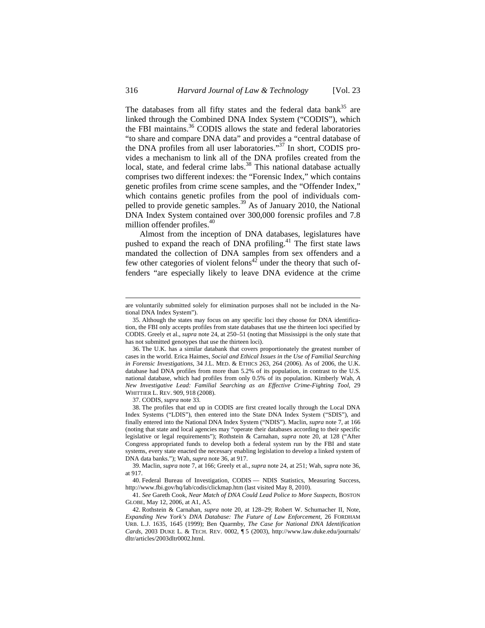The databases from all fifty states and the federal data bank<sup>35</sup> are linked through the Combined DNA Index System ("CODIS"), which the FBI maintains.<sup>36</sup> CODIS allows the state and federal laboratories "to share and compare DNA data" and provides a "central database of the DNA profiles from all user laboratories."37 In short, CODIS provides a mechanism to link all of the DNA profiles created from the local, state, and federal crime labs.<sup>38</sup> This national database actually comprises two different indexes: the "Forensic Index," which contains genetic profiles from crime scene samples, and the "Offender Index," which contains genetic profiles from the pool of individuals compelled to provide genetic samples.39 As of January 2010, the National DNA Index System contained over 300,000 forensic profiles and 7.8 million offender profiles.<sup>40</sup>

Almost from the inception of DNA databases, legislatures have pushed to expand the reach of DNA profiling.<sup>41</sup> The first state laws mandated the collection of DNA samples from sex offenders and a few other categories of violent felons<sup>42</sup> under the theory that such offenders "are especially likely to leave DNA evidence at the crime

37. CODIS, *supra* note 33.

38. The profiles that end up in CODIS are first created locally through the Local DNA Index Systems ("LDIS"), then entered into the State DNA Index System ("SDIS"), and finally entered into the National DNA Index System ("NDIS"). Maclin, *supra* note 7, at 166 (noting that state and local agencies may "operate their databases according to their specific legislative or legal requirements"); Rothstein & Carnahan, *supra* note 20, at 128 ("After Congress appropriated funds to develop both a federal system run by the FBI and state systems, every state enacted the necessary enabling legislation to develop a linked system of DNA data banks."); Wah, *supra* note 36, at 917.

39. Maclin, *supra* note 7, at 166; Greely et al., *supra* note 24, at 251; Wah, *supra* note 36, at 917.

40. Federal Bureau of Investigation, CODIS — NDIS Statistics, Measuring Success, http://www.fbi.gov/hq/lab/codis/clickmap.htm (last visited May 8, 2010).

41. *See* Gareth Cook, *Near Match of DNA Could Lead Police to More Suspects*, BOSTON GLOBE, May 12, 2006, at A1, A5.

42. Rothstein & Carnahan, *supra* note 20, at 128–29; Robert W. Schumacher II, Note, *Expanding New York's DNA Database: The Future of Law Enforcement*, 26 FORDHAM URB. L.J. 1635, 1645 (1999); Ben Quarmby, *The Case for National DNA Identification Cards*, 2003 DUKE L. & TECH. REV. 0002, ¶ 5 (2003), http://www.law.duke.edu/journals/ dltr/articles/2003dltr0002.html.

are voluntarily submitted solely for elimination purposes shall not be included in the National DNA Index System").

<sup>35.</sup> Although the states may focus on any specific loci they choose for DNA identification, the FBI only accepts profiles from state databases that use the thirteen loci specified by CODIS. Greely et al., *supra* note 24, at 250–51 (noting that Mississippi is the only state that has not submitted genotypes that use the thirteen loci).

<sup>36.</sup> The U.K. has a similar databank that covers proportionately the greatest number of cases in the world. Erica Haimes, *Social and Ethical Issues in the Use of Familial Searching in Forensic Investigations*, 34 J.L. MED. & ETHICS 263, 264 (2006). As of 2006, the U.K. database had DNA profiles from more than 5.2% of its population, in contrast to the U.S. national database, which had profiles from only 0.5% of its population. Kimberly Wah, *A New Investigative Lead: Familial Searching as an Effective Crime-Fighting Tool*, 29 WHITTIER L. REV. 909, 918 (2008).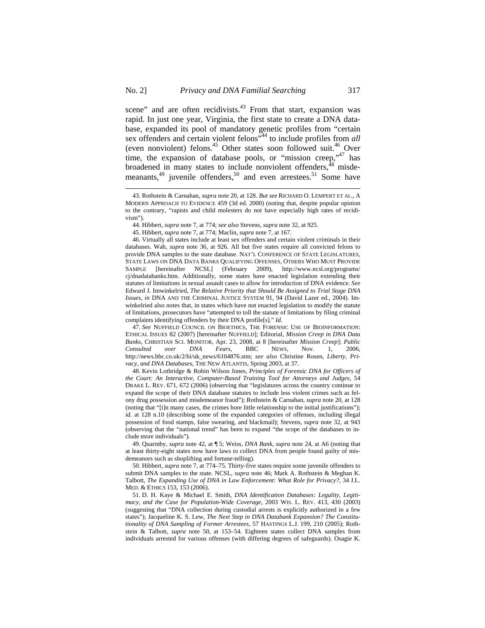scene" and are often recidivists.<sup>43</sup> From that start, expansion was rapid. In just one year, Virginia, the first state to create a DNA database, expanded its pool of mandatory genetic profiles from "certain sex offenders and certain violent felons<sup>744</sup> to include profiles from *all* (even nonviolent) felons. $45$  Other states soon followed suit. $46$  Over time, the expansion of database pools, or "mission creep,"<sup>47</sup> has broadened in many states to include nonviolent offenders,<sup>48</sup> misdemeanants, $49$  juvenile offenders, $50$  and even arrestees.  $51$  Some have

<sup>43.</sup> Rothstein & Carnahan, *supra* note 20, at 128. *But see* RICHARD O. LEMPERT ET AL., A MODERN APPROACH TO EVIDENCE 459 (3d ed. 2000) (noting that, despite popular opinion to the contrary, "rapists and child molesters do not have especially high rates of recidivism").

<sup>44.</sup> Hibbert, *supra* note 7, at 774; *see also* Stevens, *supra* note 32, at 925.

<sup>45.</sup> Hibbert, *supra* note 7, at 774; Maclin, *supra* note 7, at 167.

<sup>46.</sup> Virtually all states include at least sex offenders and certain violent criminals in their databases. Wah, *supra* note 36, at 926. All but five states require all convicted felons to provide DNA samples to the state database. NAT'L CONFERENCE OF STATE LEGISLATURES, STATE LAWS ON DNA DATA BANKS QUALIFYING OFFENSES, OTHERS WHO MUST PROVIDE SAMPLE [hereinafter NCSL] (February 2009), http://www.ncsl.org/programs/ cj/dnadatabanks.htm. Additionally, some states have enacted legislation extending their statutes of limitations in sexual assault cases to allow for introduction of DNA evidence. *See* Edward J. Imwinkelried, *The Relative Priority that Should Be Assigned to Trial Stage DNA Issues*, *in* DNA AND THE CRIMINAL JUSTICE SYSTEM 91, 94 (David Lazer ed., 2004). Imwinkelried also notes that, in states which have not enacted legislation to modify the statute of limitations, prosecutors have "attempted to toll the statute of limitations by filing criminal complaints identifying offenders by their DNA profile[s]." *Id.* 

<sup>47.</sup> *See* NUFFIELD COUNCIL ON BIOETHICS, THE FORENSIC USE OF BIOINFORMATION: ETHICAL ISSUES 82 (2007) [hereinafter NUFFIELD]; Editorial, *Mission Creep in DNA Data Banks*, CHRISTIAN SCI. MONITOR, Apr. 23, 2008, at 8 [hereinafter *Mission Creep*]; *Public Consulted over DNA Fears*, BBC NEWS, Nov. 1, 2006, http://news.bbc.co.uk/2/hi/uk\_news/6104876.stm; *see also* Christine Rosen, *Liberty, Privacy, and DNA Databases*, THE NEW ATLANTIS, Spring 2003, at 37.

<sup>48.</sup> Kevin Lothridge & Robin Wilson Jones, *Principles of Forensic DNA for Officers of the Court: An Interactive, Computer-Based Training Tool for Attorneys and Judges*, 54 DRAKE L. REV. 671, 672 (2006) (observing that "legislatures across the country continue to expand the scope of their DNA database statutes to include less violent crimes such as felony drug possession and misdemeanor fraud"); Rothstein & Carnahan, *supra* note 20, at 128 (noting that "[i]n many cases, the crimes bore little relationship to the initial justifications"); *id.* at 128 n.10 (describing some of the expanded categories of offenses, including illegal possession of food stamps, false swearing, and blackmail); Stevens, *supra* note 32, at 943 (observing that the "national trend" has been to expand "the scope of the databases to include more individuals").

<sup>49.</sup> Quarmby, *supra* note 42, at ¶ 5; Weiss, *DNA Bank*, *supra* note 24, at A6 (noting that at least thirty-eight states now have laws to collect DNA from people found guilty of misdemeanors such as shoplifting and fortune-telling).

<sup>50.</sup> Hibbert, *supra* note 7, at 774–75. Thirty-five states require some juvenile offenders to submit DNA samples to the state. NCSL, *supra* note 46; Mark A. Rothstein & Meghan K. Talbott, *The Expanding Use of DNA in Law Enforcement: What Role for Privacy?*, 34 J.L. MED. & ETHICS 153, 153 (2006).

<sup>51.</sup> D. H. Kaye & Michael E. Smith, *DNA Identification Databases: Legality, Legitimacy, and the Case for Population-Wide Coverage*, 2003 WIS. L. REV. 413, 430 (2003) (suggesting that "DNA collection during custodial arrests is explicitly authorized in a few states"); Jacqueline K. S. Lew, *The Next Step in DNA Databank Expansion? The Constitutionality of DNA Sampling of Former Arrestees*, 57 HASTINGS L.J. 199, 210 (2005); Rothstein & Talbott, *supra* note 50, at 153–54. Eighteen states collect DNA samples from individuals arrested for various offenses (with differing degrees of safeguards). Osagie K.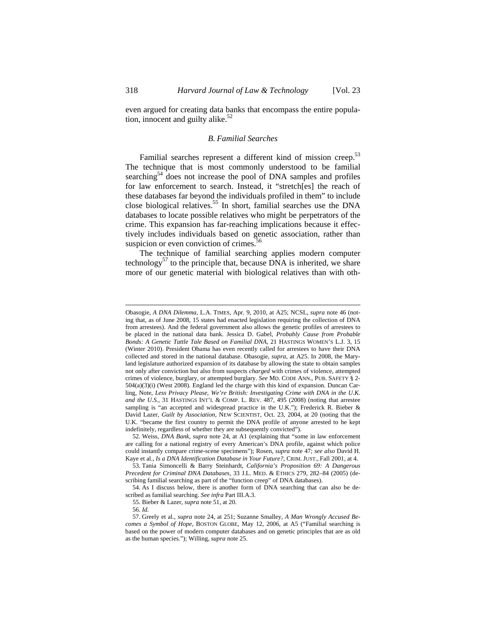even argued for creating data banks that encompass the entire population, innocent and guilty alike. $52$ 

#### *B. Familial Searches*

Familial searches represent a different kind of mission creep.<sup>53</sup> The technique that is most commonly understood to be familial searching<sup>54</sup> does not increase the pool of DNA samples and profiles for law enforcement to search. Instead, it "stretch[es] the reach of these databases far beyond the individuals profiled in them" to include close biological relatives.<sup>55</sup> In short, familial searches use the DNA databases to locate possible relatives who might be perpetrators of the crime. This expansion has far-reaching implications because it effectively includes individuals based on genetic association, rather than suspicion or even conviction of crimes.<sup>56</sup>

The technique of familial searching applies modern computer technology<sup>57</sup> to the principle that, because DNA is inherited, we share more of our genetic material with biological relatives than with oth-

Obasogie, *A DNA Dilemma*, L.A. TIMES, Apr. 9, 2010, at A25; NCSL, *supra* note 46 (noting that, as of June 2008, 15 states had enacted legislation requiring the collection of DNA from arrestees). And the federal government also allows the genetic profiles of arrestees to be placed in the national data bank. Jessica D. Gabel, *Probably Cause from Probable Bonds: A Genetic Tattle Tale Based on Familial DNA*, 21 HASTINGS WOMEN'S L.J. 3, 15 (Winter 2010). President Obama has even recently called for arrestees to have their DNA collected and stored in the national database. Obasogie, *supra*, at A25. In 2008, the Maryland legislature authorized expansion of its database by allowing the state to obtain samples not only after conviction but also from suspects *charged* with crimes of violence, attempted crimes of violence, burglary, or attempted burglary. *See* MD. CODE ANN., PUB. SAFETY § 2- 504(a)(3)(i) (West 2008). England led the charge with this kind of expansion. Duncan Carling, Note, *Less Privacy Please, We're British: Investigating Crime with DNA in the U.K. and the U.S.*, 31 HASTINGS INT'L  $\&$  COMP. L. REV. 487, 495 (2008) (noting that arrestee sampling is "an accepted and widespread practice in the U.K."); Frederick R. Bieber & David Lazer, *Guilt by Association*, NEW SCIENTIST, Oct. 23, 2004, at 20 (noting that the U.K. "became the first country to permit the DNA profile of anyone arrested to be kept indefinitely, regardless of whether they are subsequently convicted").

<sup>52.</sup> Weiss, *DNA Bank, supra* note 24, at A1 (explaining that "some in law enforcement are calling for a national registry of every American's DNA profile, against which police could instantly compare crime-scene specimens"); Rosen, *supra* note 47; *see also* David H. Kaye et al., *Is a DNA Identification Database in Your Future?*, CRIM. JUST., Fall 2001, at 4.

<sup>53.</sup> Tania Simoncelli & Barry Steinhardt, *California's Proposition 69: A Dangerous Precedent for Criminal DNA Databases*, 33 J.L. MED. & ETHICS 279, 282–84 (2005) (describing familial searching as part of the "function creep" of DNA databases).

<sup>54.</sup> As I discuss below, there is another form of DNA searching that can also be described as familial searching. *See infra* Part III.A.3.

<sup>55.</sup> Bieber & Lazer, *supra* note 51, at 20.

<sup>56.</sup> *Id.*

<sup>57.</sup> Greely et al., *supra* note 24, at 251; Suzanne Smalley*, A Man Wrongly Accused Becomes a Symbol of Hope*, BOSTON GLOBE, May 12, 2006, at A5 ("Familial searching is based on the power of modern computer databases and on genetic principles that are as old as the human species."); Willing, *supra* note 25.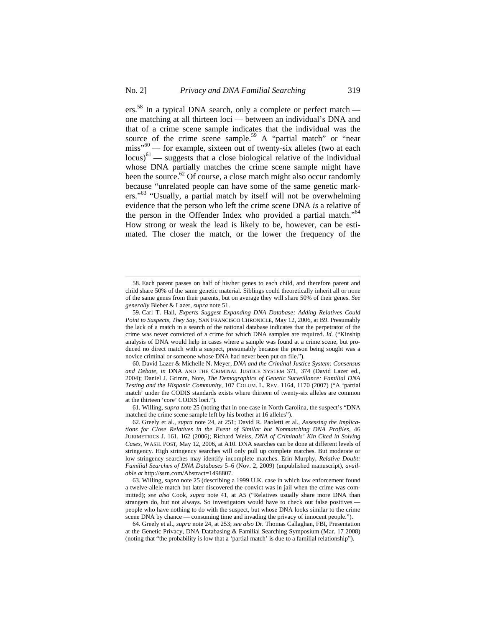ers.<sup>58</sup> In a typical DNA search, only a complete or perfect match one matching at all thirteen loci — between an individual's DNA and that of a crime scene sample indicates that the individual was the source of the crime scene sample.<sup>59</sup> A "partial match" or "near miss"<sup>60</sup> — for example, sixteen out of twenty-six alleles (two at each  $\left| \text{locus} \right\rangle^{61}$  — suggests that a close biological relative of the individual whose DNA partially matches the crime scene sample might have been the source. $62$  Of course, a close match might also occur randomly because "unrelated people can have some of the same genetic markers."<sup>63</sup> "Usually, a partial match by itself will not be overwhelming evidence that the person who left the crime scene DNA *is* a relative of the person in the Offender Index who provided a partial match."<sup>64</sup> How strong or weak the lead is likely to be, however, can be estimated. The closer the match, or the lower the frequency of the

 $\overline{a}$ 

61. Willing, *supra* note 25 (noting that in one case in North Carolina, the suspect's "DNA matched the crime scene sample left by his brother at 16 alleles").

<sup>58.</sup> Each parent passes on half of his/her genes to each child, and therefore parent and child share 50% of the same genetic material. Siblings could theoretically inherit all or none of the same genes from their parents, but on average they will share 50% of their genes. *See generally* Bieber & Lazer, *supra* note 51.

<sup>59.</sup> Carl T. Hall, *Experts Suggest Expanding DNA Database; Adding Relatives Could Point to Suspects, They Say*, SAN FRANCISCO CHRONICLE, May 12, 2006, at B9. Presumably the lack of a match in a search of the national database indicates that the perpetrator of the crime was never convicted of a crime for which DNA samples are required. *Id.* ("Kinship analysis of DNA would help in cases where a sample was found at a crime scene, but produced no direct match with a suspect, presumably because the person being sought was a novice criminal or someone whose DNA had never been put on file.").

<sup>60.</sup> David Lazer & Michelle N. Meyer, *DNA and the Criminal Justice System: Consensus and Debate, in* DNA AND THE CRIMINAL JUSTICE SYSTEM 371, 374 (David Lazer ed., 2004); Daniel J. Grimm, Note, *The Demographics of Genetic Surveillance: Familial DNA Testing and the Hispanic Community*, 107 COLUM. L. REV. 1164, 1170 (2007) ("A 'partial match' under the CODIS standards exists where thirteen of twenty-six alleles are common at the thirteen 'core' CODIS loci.").

<sup>62.</sup> Greely et al., *supra* note 24, at 251; David R. Paoletti et al., *Assessing the Implications for Close Relatives in the Event of Similar but Nonmatching DNA Profiles*, 46 JURIMETRICS J. 161, 162 (2006); Richard Weiss, *DNA of Criminals' Kin Cited in Solving Cases*, WASH. POST, May 12, 2006, at A10. DNA searches can be done at different levels of stringency. High stringency searches will only pull up complete matches. But moderate or low stringency searches may identify incomplete matches. Erin Murphy, *Relative Doubt: Familial Searches of DNA Databases* 5–6 (Nov. 2, 2009) (unpublished manuscript), *available at* http://ssrn.com/Abstract=1498807.

<sup>63.</sup> Willing, *supra* note 25 (describing a 1999 U.K. case in which law enforcement found a twelve-allele match but later discovered the convict was in jail when the crime was committed); *see also* Cook, *supra* note 41, at A5 ("Relatives usually share more DNA than strangers do, but not always. So investigators would have to check out false positives people who have nothing to do with the suspect, but whose DNA looks similar to the crime scene DNA by chance — consuming time and invading the privacy of innocent people.").

<sup>64.</sup> Greely et al., *supra* note 24, at 253; *see also* Dr. Thomas Callaghan, FBI, Presentation at the Genetic Privacy, DNA Databasing & Familial Searching Symposium (Mar. 17 2008) (noting that "the probability is low that a 'partial match' is due to a familial relationship").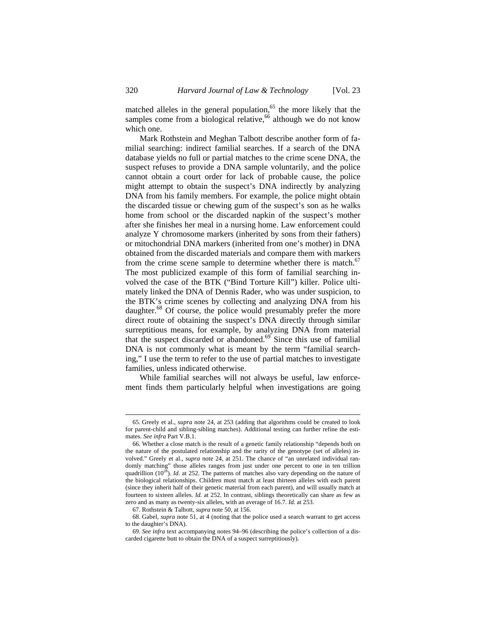matched alleles in the general population, $65$  the more likely that the samples come from a biological relative,  $66$  although we do not know which one.

Mark Rothstein and Meghan Talbott describe another form of familial searching: indirect familial searches. If a search of the DNA database yields no full or partial matches to the crime scene DNA, the suspect refuses to provide a DNA sample voluntarily, and the police cannot obtain a court order for lack of probable cause, the police might attempt to obtain the suspect's DNA indirectly by analyzing DNA from his family members. For example, the police might obtain the discarded tissue or chewing gum of the suspect's son as he walks home from school or the discarded napkin of the suspect's mother after she finishes her meal in a nursing home. Law enforcement could analyze Y chromosome markers (inherited by sons from their fathers) or mitochondrial DNA markers (inherited from one's mother) in DNA obtained from the discarded materials and compare them with markers from the crime scene sample to determine whether there is match.<sup>67</sup> The most publicized example of this form of familial searching involved the case of the BTK ("Bind Torture Kill") killer. Police ultimately linked the DNA of Dennis Rader, who was under suspicion, to the BTK's crime scenes by collecting and analyzing DNA from his daughter.<sup>68</sup> Of course, the police would presumably prefer the more direct route of obtaining the suspect's DNA directly through similar surreptitious means, for example, by analyzing DNA from material that the suspect discarded or abandoned.<sup>69</sup> Since this use of familial DNA is not commonly what is meant by the term "familial searching," I use the term to refer to the use of partial matches to investigate families, unless indicated otherwise.

While familial searches will not always be useful, law enforcement finds them particularly helpful when investigations are going

<sup>65.</sup> Greely et al., *supra* note 24, at 253 (adding that algorithms could be created to look for parent-child and sibling-sibling matches). Additional testing can further refine the estimates. *See infra* Part V.B.1.

<sup>66.</sup> Whether a close match is the result of a genetic family relationship "depends both on the nature of the postulated relationship and the rarity of the genotype (set of alleles) involved." Greely et al., *supra* note 24, at 251. The chance of "an unrelated individual randomly matching" those alleles ranges from just under one percent to one in ten trillion quadrillion (10<sup>28</sup>). *Id.* at 252. The patterns of matches also vary depending on the nature of the biological relationships. Children must match at least thirteen alleles with each parent (since they inherit half of their genetic material from each parent), and will usually match at fourteen to sixteen alleles. *Id.* at 252. In contrast, siblings theoretically can share as few as zero and as many as twenty-six alleles, with an average of 16.7. *Id.* at 253.

<sup>67.</sup> Rothstein & Talbott, *supra* note 50, at 156.

<sup>68.</sup> Gabel, *supra* note 51, at 4 (noting that the police used a search warrant to get access to the daughter's DNA).

<sup>69.</sup> *See infra* text accompanying notes 94–96 (describing the police's collection of a discarded cigarette butt to obtain the DNA of a suspect surreptitiously).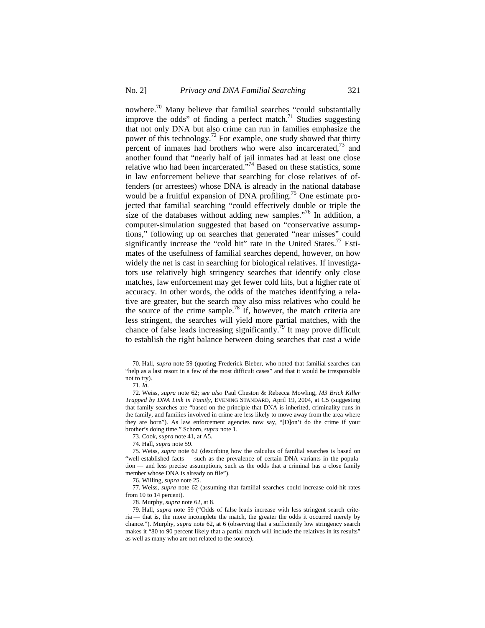nowhere.70 Many believe that familial searches "could substantially improve the odds" of finding a perfect match.<sup>71</sup> Studies suggesting that not only DNA but also crime can run in families emphasize the power of this technology.<sup>72</sup> For example, one study showed that thirty percent of inmates had brothers who were also incarcerated, $^{73}$  and another found that "nearly half of jail inmates had at least one close relative who had been incarcerated."74 Based on these statistics, some in law enforcement believe that searching for close relatives of offenders (or arrestees) whose DNA is already in the national database would be a fruitful expansion of DNA profiling.<sup>75</sup> One estimate projected that familial searching "could effectively double or triple the size of the databases without adding new samples."<sup>76</sup> In addition, a computer-simulation suggested that based on "conservative assumptions," following up on searches that generated "near misses" could significantly increase the "cold hit" rate in the United States. $^{77}$  Estimates of the usefulness of familial searches depend, however, on how widely the net is cast in searching for biological relatives. If investigators use relatively high stringency searches that identify only close matches, law enforcement may get fewer cold hits, but a higher rate of accuracy. In other words, the odds of the matches identifying a relative are greater, but the search may also miss relatives who could be the source of the crime sample.<sup>78</sup> If, however, the match criteria are less stringent, the searches will yield more partial matches, with the chance of false leads increasing significantly.<sup>79</sup> It may prove difficult to establish the right balance between doing searches that cast a wide

<sup>70.</sup> Hall, *supra* note 59 (quoting Frederick Bieber, who noted that familial searches can "help as a last resort in a few of the most difficult cases" and that it would be irresponsible not to try).

<sup>71.</sup> *Id*.

<sup>72.</sup> Weiss, *supra* note 62; s*ee also* Paul Cheston & Rebecca Mowling, *M3 Brick Killer Trapped by DNA Link in Family*, EVENING STANDARD, April 19, 2004, at C5 (suggesting that family searches are "based on the principle that DNA is inherited, criminality runs in the family, and families involved in crime are less likely to move away from the area where they are born"). As law enforcement agencies now say, "[D]on't do the crime if your brother's doing time." Schorn, *supra* note 1.

<sup>73.</sup> Cook, *supra* note 41, at A5.

<sup>74.</sup> Hall, *supra* note 59.

<sup>75.</sup> Weiss, *supra* note 62 (describing how the calculus of familial searches is based on "well-established facts — such as the prevalence of certain DNA variants in the population — and less precise assumptions, such as the odds that a criminal has a close family member whose DNA is already on file").

<sup>76.</sup> Willing, *supra* note 25.

<sup>77.</sup> Weiss, *supra* note 62 (assuming that familial searches could increase cold-hit rates from 10 to 14 percent).

<sup>78.</sup> Murphy, *supra* note 62, at 8.

<sup>79.</sup> Hall, *supra* note 59 ("Odds of false leads increase with less stringent search criteria — that is, the more incomplete the match, the greater the odds it occurred merely by chance."). Murphy, *supra* note 62, at 6 (observing that a sufficiently low stringency search makes it "80 to 90 percent likely that a partial match will include the relatives in its results" as well as many who are not related to the source).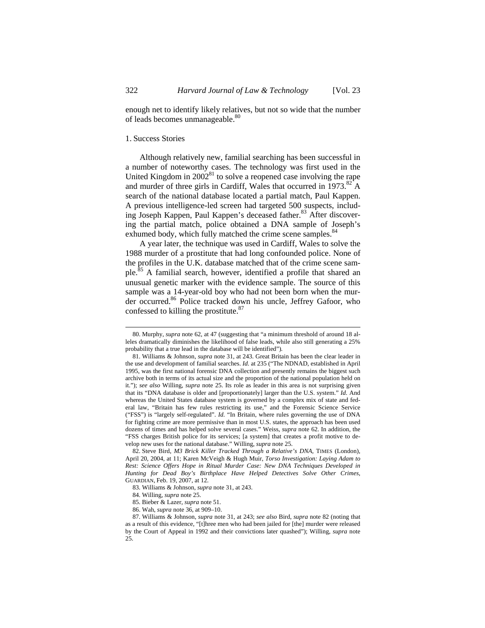enough net to identify likely relatives, but not so wide that the number of leads becomes unmanageable.<sup>80</sup>

#### 1. Success Stories

Although relatively new, familial searching has been successful in a number of noteworthy cases. The technology was first used in the United Kingdom in  $2002^{81}$  to solve a reopened case involving the rape and murder of three girls in Cardiff, Wales that occurred in  $1973$ .<sup>82</sup> A search of the national database located a partial match, Paul Kappen. A previous intelligence-led screen had targeted 500 suspects, including Joseph Kappen, Paul Kappen's deceased father.<sup>83</sup> After discovering the partial match, police obtained a DNA sample of Joseph's exhumed body, which fully matched the crime scene samples.<sup>84</sup>

A year later, the technique was used in Cardiff, Wales to solve the 1988 murder of a prostitute that had long confounded police. None of the profiles in the U.K. database matched that of the crime scene sample.<sup>85</sup> A familial search, however, identified a profile that shared an unusual genetic marker with the evidence sample. The source of this sample was a 14-year-old boy who had not been born when the murder occurred.<sup>86</sup> Police tracked down his uncle, Jeffrey Gafoor, who confessed to killing the prostitute.<sup>87</sup>

<sup>80.</sup> Murphy, *supra* note 62, at 47 (suggesting that "a minimum threshold of around 18 alleles dramatically diminishes the likelihood of false leads, while also still generating a 25% probability that a true lead in the database will be identified")*.*

<sup>81.</sup> Williams & Johnson, *supra* note 31, at 243. Great Britain has been the clear leader in the use and development of familial searches. *Id.* at 235 ("The NDNAD, established in April 1995, was the first national forensic DNA collection and presently remains the biggest such archive both in terms of its actual size and the proportion of the national population held on it."); *see also* Willing, *supra* note 25. Its role as leader in this area is not surprising given that its "DNA database is older and [proportionately] larger than the U.S. system." *Id.* And whereas the United States database system is governed by a complex mix of state and federal law, "Britain has few rules restricting its use," and the Forensic Science Service ("FSS") is "largely self-regulated". *Id.* "In Britain, where rules governing the use of DNA for fighting crime are more permissive than in most U.S. states, the approach has been used dozens of times and has helped solve several cases." Weiss, *supra* note 62. In addition, the "FSS charges British police for its services; [a system] that creates a profit motive to develop new uses for the national database." Willing, *supra* note 25.

<sup>82.</sup> Steve Bird, *M3 Brick Killer Tracked Through a Relative's DNA,* TIMES (London), April 20, 2004, at 11; Karen McVeigh & Hugh Muir, *Torso Investigation: Laying Adam to Rest: Science Offers Hope in Ritual Murder Case: New DNA Techniques Developed in Hunting for Dead Boy's Birthplace Have Helped Detectives Solve Other Crimes*, GUARDIAN, Feb. 19, 2007, at 12.

<sup>83.</sup> Williams & Johnson, *supra* note 31, at 243.

<sup>84.</sup> Willing, *supra* note 25.

<sup>85.</sup> Bieber & Lazer, *supra* note 51.

<sup>86.</sup> Wah, *supra* note 36, at 909–10.

<sup>87.</sup> Williams & Johnson, *supra* note 31, at 243; *see also* Bird, *supra* note 82 (noting that as a result of this evidence, "[t]hree men who had been jailed for [the] murder were released by the Court of Appeal in 1992 and their convictions later quashed"); Willing, *supra* note 25.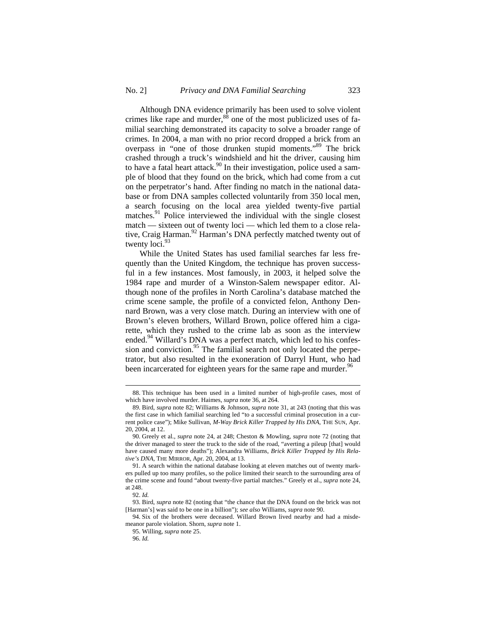Although DNA evidence primarily has been used to solve violent crimes like rape and murder, $88$  one of the most publicized uses of familial searching demonstrated its capacity to solve a broader range of crimes. In 2004, a man with no prior record dropped a brick from an overpass in "one of those drunken stupid moments."89 The brick crashed through a truck's windshield and hit the driver, causing him to have a fatal heart attack.<sup>90</sup> In their investigation, police used a sample of blood that they found on the brick, which had come from a cut on the perpetrator's hand. After finding no match in the national database or from DNA samples collected voluntarily from 350 local men, a search focusing on the local area yielded twenty-five partial matches.<sup>91</sup> Police interviewed the individual with the single closest match — sixteen out of twenty loci — which led them to a close relative, Craig Harman.<sup>92</sup> Harman's DNA perfectly matched twenty out of twenty  $loci.<sup>93</sup>$ 

While the United States has used familial searches far less frequently than the United Kingdom, the technique has proven successful in a few instances. Most famously, in 2003, it helped solve the 1984 rape and murder of a Winston-Salem newspaper editor. Although none of the profiles in North Carolina's database matched the crime scene sample, the profile of a convicted felon, Anthony Dennard Brown, was a very close match. During an interview with one of Brown's eleven brothers, Willard Brown, police offered him a cigarette, which they rushed to the crime lab as soon as the interview ended.<sup>94</sup> Willard's DNA was a perfect match, which led to his confession and conviction.<sup>95</sup> The familial search not only located the perpetrator, but also resulted in the exoneration of Darryl Hunt, who had been incarcerated for eighteen years for the same rape and murder.<sup>96</sup>

<sup>88.</sup> This technique has been used in a limited number of high-profile cases, most of which have involved murder. Haimes, *supra* note 36, at 264.

<sup>89.</sup> Bird, *supra* note 82; Williams & Johnson, *supra* note 31, at 243 (noting that this was the first case in which familial searching led "to a successful criminal prosecution in a current police case"); Mike Sullivan, *M-Way Brick Killer Trapped by His DNA*, THE SUN, Apr. 20, 2004, at 12.

<sup>90.</sup> Greely et al., *supra* note 24, at 248; Cheston & Mowling, *supra* note 72 (noting that the driver managed to steer the truck to the side of the road, "averting a pileup [that] would have caused many more deaths"); Alexandra Williams, *Brick Killer Trapped by His Relative's DNA,* THE MIRROR, Apr. 20, 2004, at 13.

<sup>91.</sup> A search within the national database looking at eleven matches out of twenty markers pulled up too many profiles, so the police limited their search to the surrounding area of the crime scene and found "about twenty-five partial matches." Greely et al., *supra* note 24, at 248.

<sup>92.</sup> *Id.*

<sup>93.</sup> Bird, *supra* note 82 (noting that "the chance that the DNA found on the brick was not [Harman's] was said to be one in a billion"); *see also* Williams, *supra* note 90.

<sup>94.</sup> Six of the brothers were deceased. Willard Brown lived nearby and had a misdemeanor parole violation. Shorn, *supra* note 1.

<sup>95.</sup> Willing, *supra* note 25.

<sup>96.</sup> *Id.*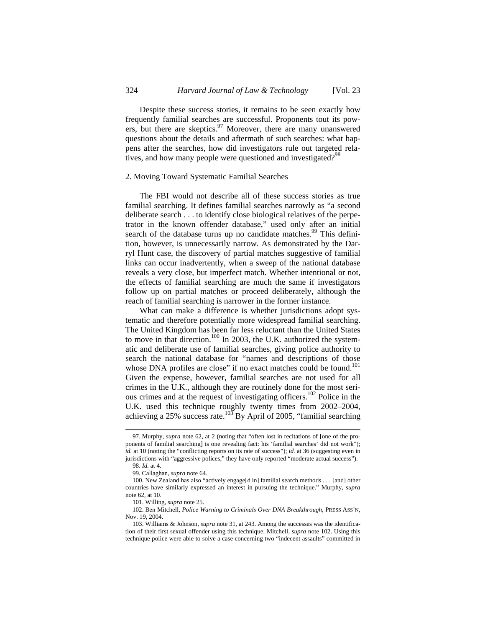Despite these success stories, it remains to be seen exactly how frequently familial searches are successful. Proponents tout its powers, but there are skeptics. $97$  Moreover, there are many unanswered questions about the details and aftermath of such searches: what happens after the searches, how did investigators rule out targeted relatives, and how many people were questioned and investigated?<sup>98</sup>

#### 2. Moving Toward Systematic Familial Searches

The FBI would not describe all of these success stories as true familial searching. It defines familial searches narrowly as "a second deliberate search . . . to identify close biological relatives of the perpetrator in the known offender database," used only after an initial search of the database turns up no candidate matches.<sup>99</sup> This definition, however, is unnecessarily narrow. As demonstrated by the Darryl Hunt case, the discovery of partial matches suggestive of familial links can occur inadvertently, when a sweep of the national database reveals a very close, but imperfect match. Whether intentional or not, the effects of familial searching are much the same if investigators follow up on partial matches or proceed deliberately, although the reach of familial searching is narrower in the former instance.

What can make a difference is whether jurisdictions adopt systematic and therefore potentially more widespread familial searching. The United Kingdom has been far less reluctant than the United States to move in that direction.<sup>100</sup> In 2003, the U.K. authorized the systematic and deliberate use of familial searches, giving police authority to search the national database for "names and descriptions of those whose DNA profiles are close" if no exact matches could be found.<sup>101</sup> Given the expense, however, familial searches are not used for all crimes in the U.K., although they are routinely done for the most serious crimes and at the request of investigating officers.<sup>102</sup> Police in the U.K. used this technique roughly twenty times from 2002–2004, achieving a 25% success rate.<sup>103</sup> By April of 2005, "familial searching

 $\overline{a}$ 

102. Ben Mitchell, *Police Warning to Criminals Over DNA Breakthrough*, PRESS ASS'N, Nov. 19, 2004.

<sup>97.</sup> Murphy, *supra* note 62, at 2 (noting that "often lost in recitations of [one of the proponents of familial searching] is one revealing fact: his 'familial searches' did not work"); *id.* at 10 (noting the "conflicting reports on its rate of success"); *id.* at 36 (suggesting even in jurisdictions with "aggressive polices," they have only reported "moderate actual success"). 98. *Id.* at 4.

<sup>99.</sup> Callaghan, *supra* note 64.

<sup>100.</sup> New Zealand has also "actively engage[d in] familial search methods . . . [and] other countries have similarly expressed an interest in pursuing the technique." Murphy, *supra* note 62, at 10.

<sup>101.</sup> Willing, *supra* note 25.

<sup>103.</sup> Williams & Johnson, *supra* note 31, at 243. Among the successes was the identification of their first sexual offender using this technique. Mitchell, *supra* note 102. Using this technique police were able to solve a case concerning two "indecent assaults" committed in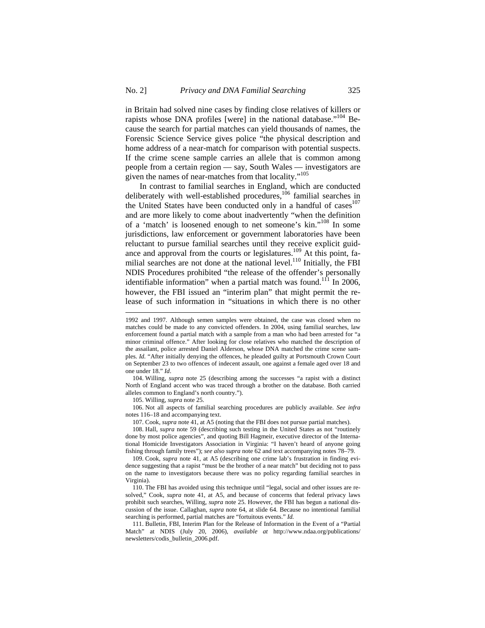in Britain had solved nine cases by finding close relatives of killers or rapists whose DNA profiles [were] in the national database."<sup>104</sup> Because the search for partial matches can yield thousands of names, the Forensic Science Service gives police "the physical description and home address of a near-match for comparison with potential suspects. If the crime scene sample carries an allele that is common among people from a certain region — say, South Wales — investigators are given the names of near-matches from that locality."<sup>105</sup>

In contrast to familial searches in England, which are conducted deliberately with well-established procedures,<sup>106</sup> familial searches in the United States have been conducted only in a handful of cases $107$ and are more likely to come about inadvertently "when the definition of a 'match' is loosened enough to net someone's kin."108 In some jurisdictions, law enforcement or government laboratories have been reluctant to pursue familial searches until they receive explicit guidance and approval from the courts or legislatures.<sup>109</sup> At this point, familial searches are not done at the national level.<sup>110</sup> Initially, the FBI NDIS Procedures prohibited "the release of the offender's personally identifiable information" when a partial match was found.<sup>111</sup> In 2006, however, the FBI issued an "interim plan" that might permit the release of such information in "situations in which there is no other

104. Willing, *supra* note 25 (describing among the successes "a rapist with a distinct North of England accent who was traced through a brother on the database. Both carried alleles common to England's north country.").

105. Willing, *supra* note 25.

 $\overline{a}$ 

106. Not all aspects of familial searching procedures are publicly available. *See infra* notes 116–18 and accompanying text.

107. Cook, *supra* note 41, at A5 (noting that the FBI does not pursue partial matches).

108. Hall, *supra* note 59 (describing such testing in the United States as not "routinely done by most police agencies", and quoting Bill Hagmeir, executive director of the International Homicide Investigators Association in Virginia: "I haven't heard of anyone going fishing through family trees"); *see also supra* note 62 and text accompanying notes 78–79.

109. Cook, *supra* note 41, at A5 (describing one crime lab's frustration in finding evidence suggesting that a rapist "must be the brother of a near match" but deciding not to pass on the name to investigators because there was no policy regarding familial searches in Virginia).

110. The FBI has avoided using this technique until "legal, social and other issues are resolved," Cook, *supra* note 41, at A5, and because of concerns that federal privacy laws prohibit such searches, Willing, *supra* note 25. However, the FBI has begun a national discussion of the issue. Callaghan, *supra* note 64, at slide 64. Because no intentional familial searching is performed, partial matches are "fortuitous events." *Id.*

111. Bulletin, FBI, Interim Plan for the Release of Information in the Event of a "Partial Match" at NDIS (July 20, 2006), *available at* http://www.ndaa.org/publications/ newsletters/codis\_bulletin\_2006.pdf.

<sup>1992</sup> and 1997. Although semen samples were obtained, the case was closed when no matches could be made to any convicted offenders. In 2004, using familial searches, law enforcement found a partial match with a sample from a man who had been arrested for "a minor criminal offence." After looking for close relatives who matched the description of the assailant, police arrested Daniel Alderson, whose DNA matched the crime scene samples. *Id.* "After initially denying the offences, he pleaded guilty at Portsmouth Crown Court on September 23 to two offences of indecent assault, one against a female aged over 18 and one under 18." *Id*.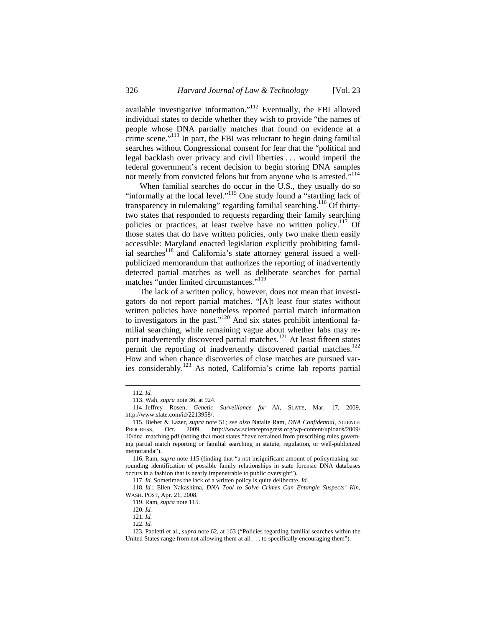available investigative information."112 Eventually, the FBI allowed individual states to decide whether they wish to provide "the names of people whose DNA partially matches that found on evidence at a crime scene."113 In part, the FBI was reluctant to begin doing familial searches without Congressional consent for fear that the "political and legal backlash over privacy and civil liberties . . . would imperil the federal government's recent decision to begin storing DNA samples not merely from convicted felons but from anyone who is arrested."114

When familial searches do occur in the U.S., they usually do so "informally at the local level."<sup>115</sup> One study found a "startling lack of transparency in rulemaking" regarding familial searching.<sup>116</sup> Of thirtytwo states that responded to requests regarding their family searching policies or practices, at least twelve have no written policy.<sup>117</sup> Of those states that do have written policies, only two make them easily accessible: Maryland enacted legislation explicitly prohibiting familial searches<sup>118</sup> and California's state attorney general issued a wellpublicized memorandum that authorizes the reporting of inadvertently detected partial matches as well as deliberate searches for partial matches "under limited circumstances."<sup>119</sup>

The lack of a written policy, however, does not mean that investigators do not report partial matches. "[A]t least four states without written policies have nonetheless reported partial match information to investigators in the past."<sup>120</sup> And six states prohibit intentional familial searching, while remaining vague about whether labs may report inadvertently discovered partial matches.<sup>121</sup> At least fifteen states permit the reporting of inadvertently discovered partial matches.<sup>122</sup> How and when chance discoveries of close matches are pursued varies considerably.123 As noted, California's crime lab reports partial

<sup>112.</sup> *Id.*

<sup>113.</sup> Wah, *supra* note 36, at 924.

<sup>114.</sup> Jeffrey Rosen, *Genetic Surveillance for All*, SLATE, Mar. 17, 2009, http://www.slate.com/id/2213958/.

<sup>115.</sup> Bieber & Lazer, *supra* note 51; *see also* Natalie Ram, *DNA Confidential*, SCIENCE PROGRESS, Oct. 2009, http://www.scienceprogress.org/wp-content/uploads/2009/ 10/dna\_matching.pdf (noting that most states "have refrained from prescribing rules governing partial match reporting or familial searching in statute, regulation, or well-publicized memoranda").

<sup>116.</sup> Ram, *supra* note 115 (finding that "a not insignificant amount of policymaking surrounding identification of possible family relationships in state forensic DNA databases occurs in a fashion that is nearly impenetrable to public oversight").

<sup>117.</sup> *Id.* Sometimes the lack of a written policy is quite deliberate. *Id.*

<sup>118.</sup> *Id.*; Ellen Nakashima, *DNA Tool to Solve Crimes Can Entangle Suspects' Kin*, WASH. POST, Apr. 21, 2008.

<sup>119.</sup> Ram, *supra* note 115.

<sup>120.</sup> *Id.*

<sup>121.</sup> *Id.*

<sup>122.</sup> *Id.*

<sup>123.</sup> Paoletti et al., *supra* note 62, at 163 ("Policies regarding familial searches within the United States range from not allowing them at all  $\ldots$  to specifically encouraging them").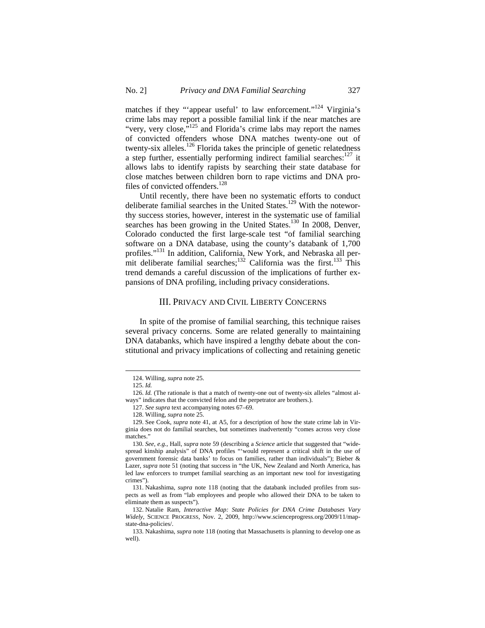matches if they "'appear useful' to law enforcement."<sup>124</sup> Virginia's crime labs may report a possible familial link if the near matches are "very, very close, $v^{125}$  and Florida's crime labs may report the names of convicted offenders whose DNA matches twenty-one out of twenty-six alleles.<sup>126</sup> Florida takes the principle of genetic relatedness a step further, essentially performing indirect familial searches: $127$  it allows labs to identify rapists by searching their state database for close matches between children born to rape victims and DNA profiles of convicted offenders.<sup>128</sup>

Until recently, there have been no systematic efforts to conduct deliberate familial searches in the United States.<sup>129</sup> With the noteworthy success stories, however, interest in the systematic use of familial searches has been growing in the United States.<sup>130</sup> In 2008, Denver, Colorado conducted the first large-scale test "of familial searching software on a DNA database, using the county's databank of 1,700 profiles."<sup>131</sup> In addition, California, New York, and Nebraska all permit deliberate familial searches;<sup>132</sup> California was the first.<sup>133</sup> This trend demands a careful discussion of the implications of further expansions of DNA profiling, including privacy considerations.

#### III. PRIVACY AND CIVIL LIBERTY CONCERNS

In spite of the promise of familial searching, this technique raises several privacy concerns. Some are related generally to maintaining DNA databanks, which have inspired a lengthy debate about the constitutional and privacy implications of collecting and retaining genetic

<sup>124.</sup> Willing, *supra* note 25.

<sup>125.</sup> *Id.*

<sup>126.</sup> Id. (The rationale is that a match of twenty-one out of twenty-six alleles "almost always" indicates that the convicted felon and the perpetrator are brothers.).

<sup>127.</sup> *See supra* text accompanying notes 67–69.

<sup>128.</sup> Willing, *supra* note 25.

<sup>129.</sup> See Cook, *supra* note 41, at A5, for a description of how the state crime lab in Virginia does not do familial searches, but sometimes inadvertently "comes across very close matches."

<sup>130.</sup> *See, e.g.*, Hall, *supra* note 59 (describing a *Science* article that suggested that "widespread kinship analysis" of DNA profiles "'would represent a critical shift in the use of government forensic data banks' to focus on families, rather than individuals"); Bieber & Lazer, *supra* note 51 (noting that success in "the UK, New Zealand and North America, has led law enforcers to trumpet familial searching as an important new tool for investigating crimes").

<sup>131.</sup> Nakashima, *supra* note 118 (noting that the databank included profiles from suspects as well as from "lab employees and people who allowed their DNA to be taken to eliminate them as suspects").

<sup>132.</sup> Natalie Ram, *Interactive Map: State Policies for DNA Crime Databases Vary Widely*, SCIENCE PROGRESS, Nov. 2, 2009, http://www.scienceprogress.org/2009/11/mapstate-dna-policies/.

<sup>133.</sup> Nakashima, *supra* note 118 (noting that Massachusetts is planning to develop one as well).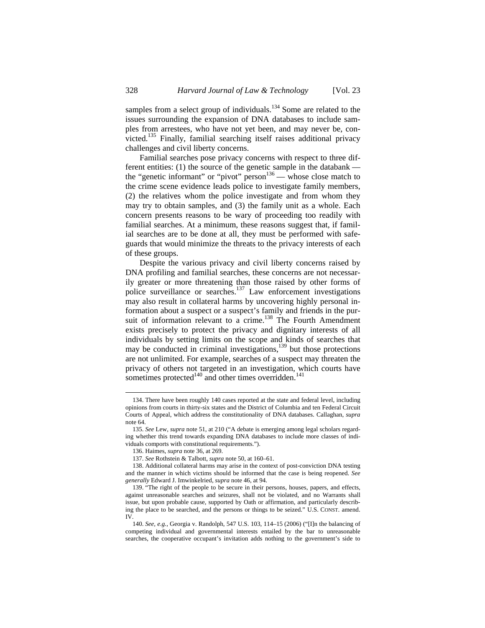samples from a select group of individuals.<sup>134</sup> Some are related to the issues surrounding the expansion of DNA databases to include samples from arrestees, who have not yet been, and may never be, convicted.135 Finally, familial searching itself raises additional privacy challenges and civil liberty concerns.

Familial searches pose privacy concerns with respect to three different entities: (1) the source of the genetic sample in the databank the "genetic informant" or "pivot" person $^{136}$  — whose close match to the crime scene evidence leads police to investigate family members, (2) the relatives whom the police investigate and from whom they may try to obtain samples, and (3) the family unit as a whole. Each concern presents reasons to be wary of proceeding too readily with familial searches. At a minimum, these reasons suggest that, if familial searches are to be done at all, they must be performed with safeguards that would minimize the threats to the privacy interests of each of these groups.

Despite the various privacy and civil liberty concerns raised by DNA profiling and familial searches, these concerns are not necessarily greater or more threatening than those raised by other forms of police surveillance or searches. $137$  Law enforcement investigations may also result in collateral harms by uncovering highly personal information about a suspect or a suspect's family and friends in the pursuit of information relevant to a crime.<sup>138</sup> The Fourth Amendment exists precisely to protect the privacy and dignitary interests of all individuals by setting limits on the scope and kinds of searches that may be conducted in criminal investigations, $139$  but those protections are not unlimited. For example, searches of a suspect may threaten the privacy of others not targeted in an investigation, which courts have sometimes protected<sup>140</sup> and other times overridden.<sup>1</sup>

<sup>134.</sup> There have been roughly 140 cases reported at the state and federal level, including opinions from courts in thirty-six states and the District of Columbia and ten Federal Circuit Courts of Appeal, which address the constitutionality of DNA databases. Callaghan, *supra* note 64.

<sup>135.</sup> *See* Lew, *supra* note 51, at 210 ("A debate is emerging among legal scholars regarding whether this trend towards expanding DNA databases to include more classes of individuals comports with constitutional requirements.").

<sup>136.</sup> Haimes, *supra* note 36, at 269.

<sup>137.</sup> *See* Rothstein & Talbott, *supra* note 50, at 160–61.

<sup>138.</sup> Additional collateral harms may arise in the context of post-conviction DNA testing and the manner in which victims should be informed that the case is being reopened. *See generally* Edward J. Imwinkelried, *supra* note 46, at 94.

<sup>139. &</sup>quot;The right of the people to be secure in their persons, houses, papers, and effects, against unreasonable searches and seizures, shall not be violated, and no Warrants shall issue, but upon probable cause, supported by Oath or affirmation, and particularly describing the place to be searched, and the persons or things to be seized." U.S. CONST. amend. IV.

<sup>140.</sup> *See, e.g.*, Georgia v. Randolph, 547 U.S. 103, 114–15 (2006) ("[I]n the balancing of competing individual and governmental interests entailed by the bar to unreasonable searches, the cooperative occupant's invitation adds nothing to the government's side to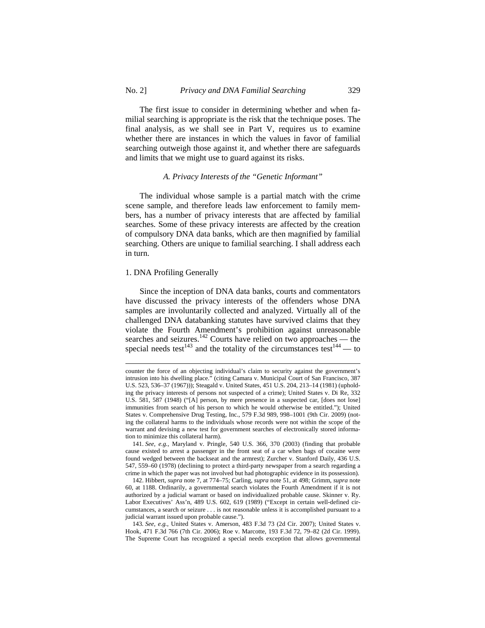The first issue to consider in determining whether and when familial searching is appropriate is the risk that the technique poses. The final analysis, as we shall see in Part V, requires us to examine whether there are instances in which the values in favor of familial searching outweigh those against it, and whether there are safeguards and limits that we might use to guard against its risks.

## *A. Privacy Interests of the "Genetic Informant"*

The individual whose sample is a partial match with the crime scene sample, and therefore leads law enforcement to family members, has a number of privacy interests that are affected by familial searches. Some of these privacy interests are affected by the creation of compulsory DNA data banks, which are then magnified by familial searching. Others are unique to familial searching. I shall address each in turn.

#### 1. DNA Profiling Generally

 $\overline{a}$ 

 Since the inception of DNA data banks, courts and commentators have discussed the privacy interests of the offenders whose DNA samples are involuntarily collected and analyzed. Virtually all of the challenged DNA databanking statutes have survived claims that they violate the Fourth Amendment's prohibition against unreasonable searches and seizures.<sup>142</sup> Courts have relied on two approaches — the special needs test<sup>143</sup> and the totality of the circumstances test<sup>144</sup> — to

counter the force of an objecting individual's claim to security against the government's intrusion into his dwelling place." (citing Camara v. Municipal Court of San Francisco, 387 U.S. 523, 536–37 (1967))); Steagald v. United States, 451 U.S. 204, 213–14 (1981) (upholding the privacy interests of persons not suspected of a crime); United States v. Di Re, 332 U.S. 581, 587 (1948) ("[A] person, by mere presence in a suspected car, [does not lose] immunities from search of his person to which he would otherwise be entitled."); United States v. Comprehensive Drug Testing, Inc., 579 F.3d 989, 998–1001 (9th Cir. 2009) (noting the collateral harms to the individuals whose records were not within the scope of the warrant and devising a new test for government searches of electronically stored information to minimize this collateral harm).

<sup>141.</sup> *See, e.g.*, Maryland v. Pringle, 540 U.S. 366, 370 (2003) (finding that probable cause existed to arrest a passenger in the front seat of a car when bags of cocaine were found wedged between the backseat and the armrest); Zurcher v. Stanford Daily, 436 U.S. 547, 559–60 (1978) (declining to protect a third-party newspaper from a search regarding a crime in which the paper was not involved but had photographic evidence in its possession).

<sup>142.</sup> Hibbert, *supra* note 7, at 774–75; Carling, *supra* note 51, at 498; Grimm, *supra* note 60, at 1188. Ordinarily, a governmental search violates the Fourth Amendment if it is not authorized by a judicial warrant or based on individualized probable cause. Skinner v. Ry. Labor Executives' Ass'n, 489 U.S. 602, 619 (1989) ("Except in certain well-defined circumstances, a search or seizure . . . is not reasonable unless it is accomplished pursuant to a judicial warrant issued upon probable cause.").

<sup>143</sup>*. See, e.g.*, United States v. Amerson, 483 F.3d 73 (2d Cir. 2007); United States v. Hook, 471 F.3d 766 (7th Cir. 2006); Roe v. Marcotte, 193 F.3d 72, 79–82 (2d Cir. 1999). The Supreme Court has recognized a special needs exception that allows governmental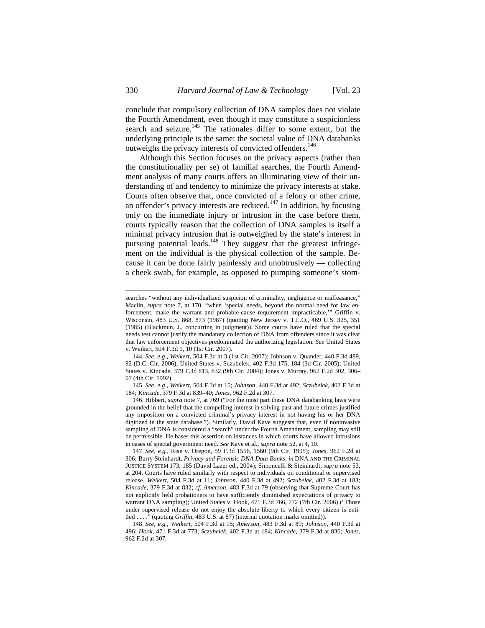conclude that compulsory collection of DNA samples does not violate the Fourth Amendment, even though it may constitute a suspicionless search and seizure.<sup>145</sup> The rationales differ to some extent, but the underlying principle is the same: the societal value of DNA databanks outweighs the privacy interests of convicted offenders.<sup>146</sup>

Although this Section focuses on the privacy aspects (rather than the constitutionality per se) of familial searches, the Fourth Amendment analysis of many courts offers an illuminating view of their understanding of and tendency to minimize the privacy interests at stake. Courts often observe that, once convicted of a felony or other crime, an offender's privacy interests are reduced.<sup>147</sup> In addition, by focusing only on the immediate injury or intrusion in the case before them, courts typically reason that the collection of DNA samples is itself a minimal privacy intrusion that is outweighed by the state's interest in pursuing potential leads. $148$  They suggest that the greatest infringement on the individual is the physical collection of the sample. Because it can be done fairly painlessly and unobtrusively — collecting a cheek swab, for example, as opposed to pumping someone's stom-

searches "without any individualized suspicion of criminality, negligence or malfeasance," Maclin, *supra* note 7, at 170, "when 'special needs, beyond the normal need for law enforcement, make the warrant and probable-cause requirement impracticable,'" Griffin v. Wisconsin, 483 U.S. 868, 873 (1987) (quoting New Jersey v. T.L.O., 469 U.S. 325, 351 (1985) (Blackmun, J., concurring in judgment)). Some courts have ruled that the special needs test cannot justify the mandatory collection of DNA from offenders since it was clear that law enforcement objectives predominated the authorizing legislation. *See* United States v. Weikert, 504 F.3d 1, 10 (1st Cir. 2007).

<sup>144.</sup> *See, e.g*., *Weikert*, 504 F.3d at 3 (1st Cir. 2007); Johnson v. Quander, 440 F.3d 489, 92 (D.C. Cir. 2006); United States v. Sczubelek, 402 F.3d 175, 184 (3d Cir. 2005); United States v. Kincade, 379 F.3d 813, 832 (9th Cir. 2004); Jones v. Murray, 962 F.2d 302, 306– 07 (4th Cir. 1992).

<sup>145.</sup> *See, e.g*., *Weikert*, 504 F.3d at 15; *Johnson*, 440 F.3d at 492; *Sczubelek*, 402 F.3d at 184; *Kincade*, 379 F.3d at 839–40; *Jones*, 962 F.2d at 307.

<sup>146.</sup> Hibbert, *supra* note 7, at 769 ("For the most part these DNA databanking laws were grounded in the belief that the compelling interest in solving past and future crimes justified any imposition on a convicted criminal's privacy interest in not having his or her DNA digitized in the state database."). Similarly, David Kaye suggests that, even if noninvasive sampling of DNA is considered a "search" under the Fourth Amendment, sampling may still be permissible. He bases this assertion on instances in which courts have allowed intrusions in cases of special government need. *See* Kaye et al., *supra* note 52, at 4, 10.

<sup>147.</sup> *See, e.g.*, Rise v. Oregon, 59 F.3d 1556, 1560 (9th Cir. 1995); *Jones*, 962 F.2d at 306; Barry Steinhardt, *Privacy and Forensic DNA Data Banks, in* DNA AND THE CRIMINAL JUSTICE SYSTEM 173, 185 (David Lazer ed., 2004); Simoncelli & Steinhardt, *supra* note 53, at 204. Courts have ruled similarly with respect to individuals on conditional or supervised release. *Weikert*, 504 F.3d at 11; *Johnson*, 440 F.3d at 492; *Sczubelek*, 402 F.3d at 183; *Kincade*, 379 F.3d at 832; *cf. Amerson*, 483 F.3d at 79 (observing that Supreme Court has not explicitly held probationers to have sufficiently diminished expectations of privacy to warrant DNA sampling); United States v. Hook, 471 F.3d 766, 772 (7th Cir. 2006) ("Those under supervised release do not enjoy the absolute liberty to which every citizen is entitled . . . ." (quoting *Griffin*, 483 U.S. at 87) (internal quotation marks omitted)).

<sup>148.</sup> *See, e.g.*, *Weikert*, 504 F.3d at 15; *Amerson*, 483 F.3d at 89; *Johnson*, 440 F.3d at 496; *Hook*, 471 F.3d at 773; *Sczubelek*, 402 F.3d at 184; *Kincade*, 379 F.3d at 836; *Jones*, 962 F.2d at 307.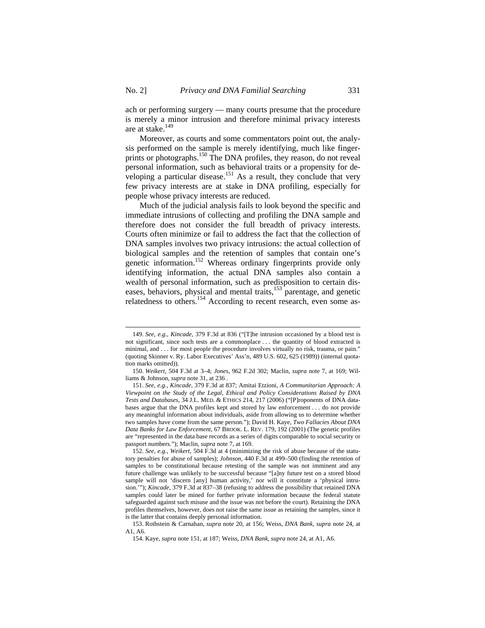ach or performing surgery — many courts presume that the procedure is merely a minor intrusion and therefore minimal privacy interests are at stake.149

Moreover, as courts and some commentators point out, the analysis performed on the sample is merely identifying, much like fingerprints or photographs.<sup>150</sup> The DNA profiles, they reason, do not reveal personal information, such as behavioral traits or a propensity for developing a particular disease.<sup>151</sup> As a result, they conclude that very few privacy interests are at stake in DNA profiling, especially for people whose privacy interests are reduced.

Much of the judicial analysis fails to look beyond the specific and immediate intrusions of collecting and profiling the DNA sample and therefore does not consider the full breadth of privacy interests. Courts often minimize or fail to address the fact that the collection of DNA samples involves two privacy intrusions: the actual collection of biological samples and the retention of samples that contain one's genetic information.<sup>152</sup> Whereas ordinary fingerprints provide only identifying information, the actual DNA samples also contain a wealth of personal information, such as predisposition to certain diseases, behaviors, physical and mental traits,<sup>153</sup> parentage, and genetic relatedness to others.154 According to recent research, even some as-

<sup>149.</sup> *See, e.g.*, *Kincade*, 379 F.3d at 836 ("[T]he intrusion occasioned by a blood test is not significant, since such tests are a commonplace . . . the quantity of blood extracted is minimal, and . . . for most people the procedure involves virtually no risk, trauma, or pain." (quoting Skinner v. Ry. Labor Executives' Ass'n, 489 U.S. 602, 625 (1989)) (internal quotation marks omitted)).

<sup>150.</sup> *Weikert*, 504 F.3d at 3–4; *Jones*, 962 F.2d 302; Maclin, *supra* note 7, at 169; Williams & Johnson, *supra* note 31, at 236 .

<sup>151.</sup> *See, e.g.*, *Kincade*, 379 F.3d at 837; Amitai Etzioni, *A Communitarian Approach: A Viewpoint on the Study of the Legal, Ethical and Policy Considerations Raised by DNA Tests and Databases*, 34 J.L. MED. & ETHICS 214, 217 (2006) ("[P]roponents of DNA databases argue that the DNA profiles kept and stored by law enforcement . . . do not provide any meaningful information about individuals, aside from allowing us to determine whether two samples have come from the same person."); David H. Kaye, *Two Fallacies About DNA Data Banks for Law Enforcement*, 67 BROOK. L. REV. 179, 192 (2001) (The genetic profiles are "represented in the data base records as a series of digits comparable to social security or passport numbers."); Maclin, *supra* note 7, at 169.

<sup>152.</sup> *See, e.g.*, *Weikert*, 504 F.3d at 4 (minimizing the risk of abuse because of the statutory penalties for abuse of samples); *Johnson*, 440 F.3d at 499–500 (finding the retention of samples to be constitutional because retesting of the sample was not imminent and any future challenge was unlikely to be successful because "[a]ny future test on a stored blood sample will not 'discern [any] human activity,' nor will it constitute a 'physical intrusion.'"); *Kincade*, 379 F.3d at 837–38 (refusing to address the possibility that retained DNA samples could later be mined for further private information because the federal statute safeguarded against such misuse and the issue was not before the court). Retaining the DNA profiles themselves, however, does not raise the same issue as retaining the samples, since it is the latter that contains deeply personal information.

<sup>153.</sup> Rothstein & Carnahan, *supra* note 20, at 156; Weiss, *DNA Bank*, *supra* note 24, at A1, A6.

<sup>154.</sup> Kaye, *supra* note 151, at 187; Weiss, *DNA Bank*, *supra* note 24, at A1, A6.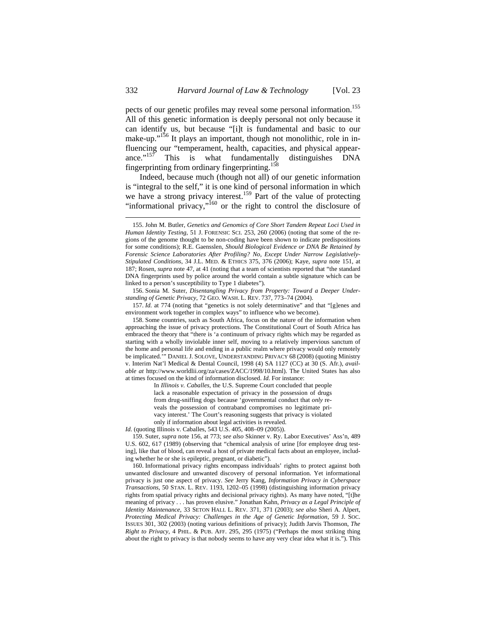pects of our genetic profiles may reveal some personal information.<sup>155</sup> All of this genetic information is deeply personal not only because it can identify us, but because "[i]t is fundamental and basic to our make-up."<sup>156</sup> It plays an important, though not monolithic, role in influencing our "temperament, health, capacities, and physical appear-<br>ance."<sup>157</sup> This is what fundamentally distinguishes DNA This is what fundamentally distinguishes DNA fingerprinting from ordinary fingerprinting.<sup>158</sup>

Indeed, because much (though not all) of our genetic information is "integral to the self," it is one kind of personal information in which we have a strong privacy interest.<sup>159</sup> Part of the value of protecting "informational privacy,"<sup>160</sup> or the right to control the disclosure of

157. *Id.* at 774 (noting that "genetics is not solely determinative" and that "[g]enes and environment work together in complex ways" to influence who we become).

158. Some countries, such as South Africa, focus on the nature of the information when approaching the issue of privacy protections. The Constitutional Court of South Africa has embraced the theory that "there is 'a continuum of privacy rights which may be regarded as starting with a wholly inviolable inner self, moving to a relatively impervious sanctum of the home and personal life and ending in a public realm where privacy would only remotely be implicated." DANIEL J. SOLOVE, UNDERSTANDING PRIVACY 68 (2008) (quoting Ministry v. Interim Nat'l Medical & Dental Council, 1998 (4) SA 1127 (CC) at 30 (S. Afr.), *available at* http://www.worldlii.org/za/cases/ZACC/1998/10.html). The United States has also at times focused on the kind of information disclosed. *Id.* For instance:

> In *Illinois v. Caballes,* the U.S. Supreme Court concluded that people lack a reasonable expectation of privacy in the possession of drugs from drug-sniffing dogs because 'governmental conduct that *only* reveals the possession of contraband compromises no legitimate privacy interest.' The Court's reasoning suggests that privacy is violated only if information about legal activities is revealed.

*Id.* (quoting Illinois v. Caballes, 543 U.S. 405, 408–09 (2005)).

159. Suter, *supra* note 156, at 773; *see also* Skinner v. Ry. Labor Executives' Ass'n, 489 U.S. 602, 617 (1989) (observing that "chemical analysis of urine [for employee drug testing], like that of blood, can reveal a host of private medical facts about an employee, including whether he or she is epileptic, pregnant, or diabetic").

160. Informational privacy rights encompass individuals' rights to protect against both unwanted disclosure and unwanted discovery of personal information. Yet informational privacy is just one aspect of privacy. *See* Jerry Kang, *Information Privacy in Cyberspace Transactions*, 50 STAN. L. REV. 1193, 1202–05 (1998) (distinguishing information privacy rights from spatial privacy rights and decisional privacy rights). As many have noted, "[t]he meaning of privacy . . . has proven elusive." Jonathan Kahn, *Privacy as a Legal Principle of Identity Maintenance*, 33 SETON HALL L. REV. 371, 371 (2003); *see also* Sheri A. Alpert, *Protecting Medical Privacy: Challenges in the Age of Genetic Information*, 59 J. SOC. ISSUES 301, 302 (2003) (noting various definitions of privacy); Judith Jarvis Thomson, *The Right to Privacy*, 4 PHIL. & PUB. AFF. 295, 295 (1975) ("Perhaps the most striking thing about the right to privacy is that nobody seems to have any very clear idea what it is."). This

<sup>155.</sup> John M. Butler, *Genetics and Genomics of Core Short Tandem Repeat Loci Used in Human Identity Testing*, 51 J. FORENSIC SCI. 253, 260 (2006) (noting that some of the regions of the genome thought to be non-coding have been shown to indicate predispositions for some conditions); R.E. Gaensslen, *Should Biological Evidence or DNA Be Retained by Forensic Science Laboratories After Profiling? No, Except Under Narrow Legislatively-Stipulated Conditions*, 34 J.L. MED. & ETHICS 375, 376 (2006); Kaye, *supra* note 151, at 187; Rosen, *supra* note 47, at 41 (noting that a team of scientists reported that "the standard DNA fingerprints used by police around the world contain a subtle signature which can be linked to a person's susceptibility to Type 1 diabetes")*.* 

<sup>156.</sup> Sonia M. Suter, *Disentangling Privacy from Property: Toward a Deeper Understanding of Genetic Privacy*, 72 GEO. WASH. L. REV. 737, 773–74 (2004).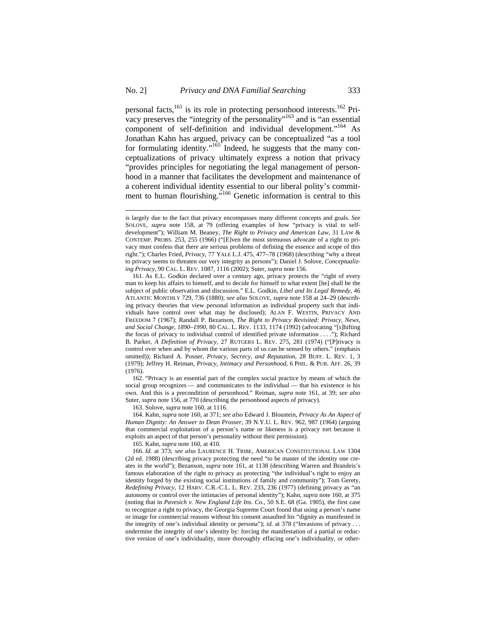personal facts,<sup>161</sup> is its role in protecting personhood interests.<sup>162</sup> Privacy preserves the "integrity of the personality"<sup>163</sup> and is "an essential" component of self-definition and individual development."<sup>164</sup> As Jonathan Kahn has argued, privacy can be conceptualized "as a tool for formulating identity."<sup>165</sup> Indeed, he suggests that the many conceptualizations of privacy ultimately express a notion that privacy "provides principles for negotiating the legal management of personhood in a manner that facilitates the development and maintenance of a coherent individual identity essential to our liberal polity's commitment to human flourishing."<sup>166</sup> Genetic information is central to this

162. "Privacy is an essential part of the complex social practice by means of which the social group recognizes — and communicates to the individual — that his existence is his own. And this is a precondition of personhood." Reiman, *supra* note 161, at 39; *see also*  Suter*, supra* note 156, at 770 (describing the personhood aspects of privacy).

163. Solove, *supra* note 160, at 1116.

 $\overline{a}$ 

164. Kahn, *supra* note 160, at 371; *see also* Edward J. Bloustein, *Privacy As An Aspect of Human Dignity: An Answer to Dean Prosser*, 39 N.Y.U. L. REV. 962, 987 (1964) (arguing that commercial exploitation of a person's name or likeness is a privacy tort because it exploits an aspect of that person's personality without their permission).

165. Kahn, *supra* note 160, at 410.

166. *Id.* at 373; *see also* LAURENCE H. TRIBE, AMERICAN CONSTITUTIONAL LAW 1304 (2d ed. 1988) (describing privacy protecting the need "to be master of the identity one creates in the world"); Bezanson, *supra* note 161, at 1138 (describing Warren and Brandeis's famous elaboration of the right to privacy as protecting "the individual's right to enjoy an identity forged by the existing social institutions of family and community"); Tom Gerety, *Redefining Privacy*, 12 HARV. C.R.-C.L. L. REV. 233, 236 (1977) (defining privacy as "an autonomy or control over the intimacies of personal identity"); Kahn, *supra* note 160, at 375 (noting that in *Pavesich v. New England Life Ins. Co.*, 50 S.E. 68 (Ga. 1905), the first case to recognize a right to privacy, the Georgia Supreme Court found that using a person's name or image for commercial reasons without his consent assaulted his "dignity as manifested in the integrity of one's individual identity or persona"); *id.* at 378 ("Invasions of privacy . . . undermine the integrity of one's identity by: forcing the manifestation of a partial or reductive version of one's individuality, more thoroughly effacing one's individuality, or other-

is largely due to the fact that privacy encompasses many different concepts and goals. *See* SOLOVE, *supra* note 158, at 79 (offering examples of how "privacy is vital to selfdevelopment"); William M. Beaney, *The Right to Privacy and American Law*, 31 LAW & CONTEMP. PROBS. 253, 255 (1966) ("[E]ven the most strenuous advocate of a right to privacy must confess that there are serious problems of defining the essence and scope of this right."); Charles Fried, *Privacy*, 77 YALE L.J. 475, 477–78 (1968) (describing "why a threat to privacy seems to threaten our very integrity as persons"); Daniel J. Solove, *Conceptualizing Privacy*, 90 CAL. L. REV. 1087, 1116 (2002); Suter, *supra* note 156.

<sup>161.</sup> As E.L. Godkin declared over a century ago, privacy protects the "right of every man to keep his affairs to himself, and to decide for himself to what extent [he] shall be the subject of public observation and discussion." E.L. Godkin, *Libel and Its Legal Remedy*, 46 ATLANTIC MONTHLY 729, 736 (1880); *see also* SOLOVE, *supra* note 158 at 24–29 (describing privacy theories that view personal information as individual property such that individuals have control over what may be disclosed); ALAN F. WESTIN, PRIVACY AND FREEDOM 7 (1967); Randall P. Bezanson, *The Right to Privacy Revisited: Privacy, News, and Social Change, 1890–1990*, 80 CAL. L. REV. 1133, 1174 (1992) (advocating "[s]hifting the focus of privacy to individual control of identified private information . . . ."); Richard B. Parker, *A Definition of Privacy*, 27 RUTGERS L. REV. 275, 281 (1974) ("[P]rivacy is control over when and by whom the various parts of us can be sensed by others." (emphasis omitted)); Richard A. Posner, *Privacy, Secrecy, and Reputation*, 28 BUFF. L. REV. 1, 3 (1979); Jeffrey H. Reiman, *Privacy, Intimacy and Personhood*, 6 PHIL. & PUB. AFF. 26, 39 (1976).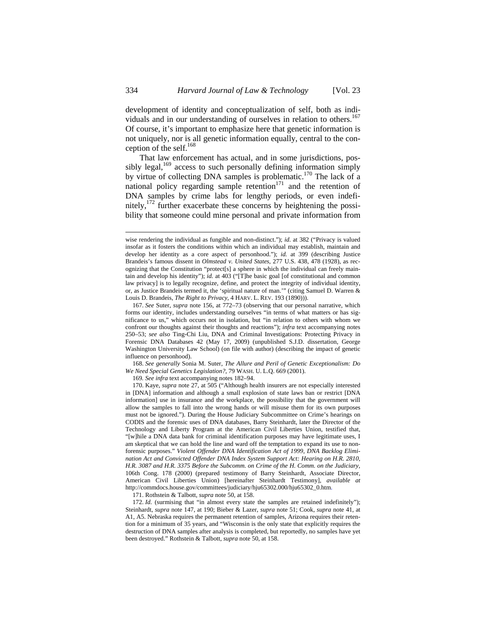development of identity and conceptualization of self, both as individuals and in our understanding of ourselves in relation to others.<sup>167</sup> Of course, it's important to emphasize here that genetic information is not uniquely, nor is all genetic information equally, central to the conception of the self.<sup>168</sup>

That law enforcement has actual, and in some jurisdictions, possibly legal, $169$  access to such personally defining information simply by virtue of collecting DNA samples is problematic.<sup>170</sup> The lack of a national policy regarding sample retention<sup>171</sup> and the retention of DNA samples by crime labs for lengthy periods, or even indefinitely,172 further exacerbate these concerns by heightening the possibility that someone could mine personal and private information from

168. *See generally* Sonia M. Suter, *The Allure and Peril of Genetic Exceptionalism: Do We Need Special Genetics Legislation?*, 79 WASH. U. L.Q. 669 (2001).

169*. See infra* text accompanying notes 182–94.

170. Kaye, *supra* note 27, at 505 ("Although health insurers are not especially interested in [DNA] information and although a small explosion of state laws ban or restrict [DNA information] use in insurance and the workplace, the possibility that the government will allow the samples to fall into the wrong hands or will misuse them for its own purposes must not be ignored."). During the House Judiciary Subcommittee on Crime's hearings on CODIS and the forensic uses of DNA databases, Barry Steinhardt, later the Director of the Technology and Liberty Program at the American Civil Liberties Union, testified that, "[w]hile a DNA data bank for criminal identification purposes may have legitimate uses, I am skeptical that we can hold the line and ward off the temptation to expand its use to nonforensic purposes." *Violent Offender DNA Identification Act of 1999, DNA Backlog Elimination Act and Convicted Offender DNA Index System Support Act: Hearing on H.R. 2810, H.R. 3087 and H.R. 3375 Before the Subcomm. on Crime of the H. Comm. on the Judiciary*, 106th Cong. 178 (2000) (prepared testimony of Barry Steinhardt, Associate Director, American Civil Liberties Union) [hereinafter Steinhardt Testimony], *available at* http://commdocs.house.gov/committees/judiciary/hju65302.000/hju65302\_0.htm.

171. Rothstein & Talbott, *supra* note 50, at 158.

172. *Id.* (surmising that "in almost every state the samples are retained indefinitely"); Steinhardt, *supra* note 147, at 190; Bieber & Lazer, *supra* note 51; Cook, *supra* note 41, at A1, A5. Nebraska requires the permanent retention of samples, Arizona requires their retention for a minimum of 35 years, and "Wisconsin is the only state that explicitly requires the destruction of DNA samples after analysis is completed, but reportedly, no samples have yet been destroyed." Rothstein & Talbott, *supra* note 50, at 158.

wise rendering the individual as fungible and non-distinct."); *id.* at 382 ("Privacy is valued insofar as it fosters the conditions within which an individual may establish, maintain and develop her identity as a core aspect of personhood."); *id.* at 399 (describing Justice Brandeis's famous dissent in *Olmstead v. United States*, 277 U.S. 438, 478 (1928), as recognizing that the Constitution "protect[s] a sphere in which the individual can freely maintain and develop his identity"); *id.* at 403 ("[T]he basic goal [of constitutional and common law privacy] is to legally recognize, define, and protect the integrity of individual identity, or, as Justice Brandeis termed it, the 'spiritual nature of man.'" (citing Samuel D. Warren & Louis D. Brandeis, *The Right to Privacy*, 4 HARV. L. REV. 193 (1890))).

<sup>167.</sup> *See* Suter, *supra* note 156, at 772–73 (observing that our personal narrative, which forms our identity, includes understanding ourselves "in terms of what matters or has significance to us," which occurs not in isolation, but "in relation to others with whom we confront our thoughts against their thoughts and reactions"); *infra* text accompanying notes 250–53; *see also* Ting-Chi Liu, DNA and Criminal Investigations: Protecting Privacy in Forensic DNA Databases 42 (May 17, 2009) (unpublished S.J.D. dissertation, George Washington University Law School) (on file with author) (describing the impact of genetic influence on personhood).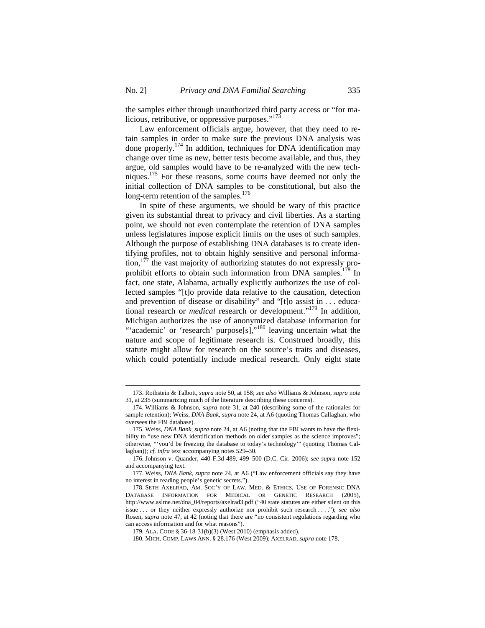the samples either through unauthorized third party access or "for malicious, retributive, or oppressive purposes."<sup>173</sup>

Law enforcement officials argue, however, that they need to retain samples in order to make sure the previous DNA analysis was done properly.174 In addition, techniques for DNA identification may change over time as new, better tests become available, and thus, they argue, old samples would have to be re-analyzed with the new techniques.<sup>175</sup> For these reasons, some courts have deemed not only the initial collection of DNA samples to be constitutional, but also the long-term retention of the samples.<sup>176</sup>

In spite of these arguments, we should be wary of this practice given its substantial threat to privacy and civil liberties. As a starting point, we should not even contemplate the retention of DNA samples unless legislatures impose explicit limits on the uses of such samples. Although the purpose of establishing DNA databases is to create identifying profiles, not to obtain highly sensitive and personal informa- $\mu$ <sub>177</sub> the vast majority of authorizing statutes do not expressly proprohibit efforts to obtain such information from DNA samples.<sup>178</sup> In fact, one state, Alabama, actually explicitly authorizes the use of collected samples "[t]o provide data relative to the causation, detection and prevention of disease or disability" and "[t]o assist in . . . educational research or *medical* research or development."<sup>179</sup> In addition, Michigan authorizes the use of anonymized database information for "'academic' or 'research' purpose[s],"<sup>180</sup> leaving uncertain what the nature and scope of legitimate research is. Construed broadly, this statute might allow for research on the source's traits and diseases, which could potentially include medical research. Only eight state

<sup>173.</sup> Rothstein & Talbott, *supra* note 50, at 158; *see also* Williams & Johnson, *supra* note 31, at 235 (summarizing much of the literature describing these concerns).

<sup>174.</sup> Williams & Johnson, *supra* note 31, at 240 (describing some of the rationales for sample retention); Weiss, *DNA Bank*, *supra* note 24, at A6 (quoting Thomas Callaghan, who oversees the FBI database).

<sup>175.</sup> Weiss, *DNA Bank*, *supra* note 24, at A6 (noting that the FBI wants to have the flexibility to "use new DNA identification methods on older samples as the science improves"; otherwise, "'you'd be freezing the database to today's technology'" (quoting Thomas Callaghan)); *cf. infra* text accompanying notes 529–30.

<sup>176.</sup> Johnson v. Quander, 440 F.3d 489, 499–500 (D.C. Cir. 2006); *see supra* note 152 and accompanying text.

<sup>177.</sup> Weiss, *DNA Bank*, *supra* note 24, at A6 ("Law enforcement officials say they have no interest in reading people's genetic secrets.").

<sup>178.</sup> SETH AXELRAD, AM. SOC'Y OF LAW, MED. & ETHICS, USE OF FORENSIC DNA DATABASE INFORMATION FOR MEDICAL OR GENETIC RESEARCH (2005), http://www.aslme.net/dna\_04/reports/axelrad3.pdf ("40 state statutes are either silent on this issue . . . or they neither expressly authorize nor prohibit such research . . . ."); *see also*  Rosen, *supra* note 47, at 42 (noting that there are "no consistent regulations regarding who can access information and for what reasons").

<sup>179.</sup> ALA. CODE § 36-18-31(b)(3) (West 2010) (emphasis added).

<sup>180.</sup> MICH. COMP. LAWS ANN. § 28.176 (West 2009); AXELRAD, *supra* note 178.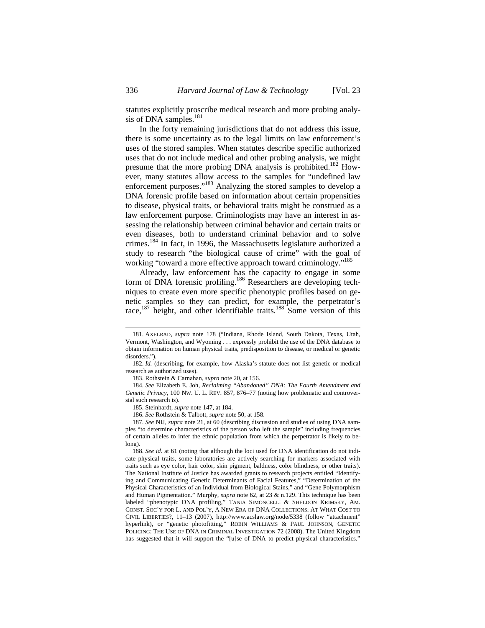statutes explicitly proscribe medical research and more probing analysis of DNA samples. $^{181}$ 

In the forty remaining jurisdictions that do not address this issue, there is some uncertainty as to the legal limits on law enforcement's uses of the stored samples. When statutes describe specific authorized uses that do not include medical and other probing analysis, we might presume that the more probing DNA analysis is prohibited.<sup>182</sup> However, many statutes allow access to the samples for "undefined law enforcement purposes."183 Analyzing the stored samples to develop a DNA forensic profile based on information about certain propensities to disease, physical traits, or behavioral traits might be construed as a law enforcement purpose. Criminologists may have an interest in assessing the relationship between criminal behavior and certain traits or even diseases, both to understand criminal behavior and to solve crimes.<sup>184</sup> In fact, in 1996, the Massachusetts legislature authorized a study to research "the biological cause of crime" with the goal of working "toward a more effective approach toward criminology."<sup>185</sup>

Already, law enforcement has the capacity to engage in some form of DNA forensic profiling.<sup>186</sup> Researchers are developing techniques to create even more specific phenotypic profiles based on genetic samples so they can predict, for example, the perpetrator's race,<sup>187</sup> height, and other identifiable traits.<sup>188</sup> Some version of this

184. *See* Elizabeth E. Joh, *Reclaiming "Abandoned" DNA: The Fourth Amendment and Genetic Privacy*, 100 NW. U. L. REV. 857, 876–77 (noting how problematic and controversial such research is).

<sup>181.</sup> AXELRAD, *supra* note 178 ("Indiana, Rhode Island, South Dakota, Texas, Utah, Vermont, Washington, and Wyoming . . . expressly prohibit the use of the DNA database to obtain information on human physical traits, predisposition to disease, or medical or genetic disorders.").

<sup>182.</sup> *Id.* (describing, for example, how Alaska's statute does not list genetic or medical research as authorized uses).

<sup>183.</sup> Rothstein & Carnahan, *supra* note 20, at 156.

<sup>185.</sup> Steinhardt, *supra* note 147, at 184.

<sup>186.</sup> *See* Rothstein & Talbott, *supra* note 50, at 158.

<sup>187.</sup> *See* NIJ, *supra* note 21, at 60 (describing discussion and studies of using DNA samples "to determine characteristics of the person who left the sample" including frequencies of certain alleles to infer the ethnic population from which the perpetrator is likely to belong).

<sup>188.</sup> *See id.* at 61 (noting that although the loci used for DNA identification do not indicate physical traits, some laboratories are actively searching for markers associated with traits such as eye color, hair color, skin pigment, baldness, color blindness, or other traits). The National Institute of Justice has awarded grants to research projects entitled "Identifying and Communicating Genetic Determinants of Facial Features," "Determination of the Physical Characteristics of an Individual from Biological Stains," and "Gene Polymorphism and Human Pigmentation." Murphy, *supra* note 62, at 23 & n.129. This technique has been labeled "phenotypic DNA profiling," TANIA SIMONCELLI & SHELDON KRIMSKY, AM. CONST. SOC'Y FOR L. AND POL'Y, A NEW ERA OF DNA COLLECTIONS: AT WHAT COST TO CIVIL LIBERTIES?, 11–13 (2007), http://www.acslaw.org/node/5338 (follow "attachment" hyperlink), or "genetic photofitting," ROBIN WILLIAMS & PAUL JOHNSON, GENETIC POLICING: THE USE OF DNA IN CRIMINAL INVESTIGATION 72 (2008). The United Kingdom has suggested that it will support the "[u]se of DNA to predict physical characteristics."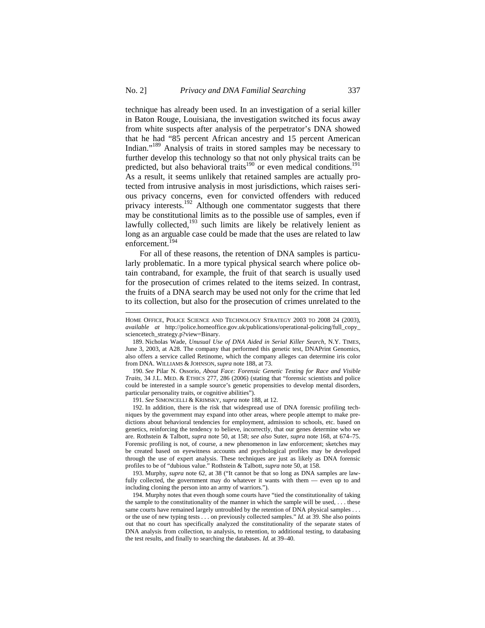technique has already been used. In an investigation of a serial killer in Baton Rouge, Louisiana, the investigation switched its focus away from white suspects after analysis of the perpetrator's DNA showed that he had "85 percent African ancestry and 15 percent American Indian."189 Analysis of traits in stored samples may be necessary to further develop this technology so that not only physical traits can be predicted, but also behavioral traits<sup>190</sup> or even medical conditions.<sup>191</sup> As a result, it seems unlikely that retained samples are actually protected from intrusive analysis in most jurisdictions, which raises serious privacy concerns, even for convicted offenders with reduced privacy interests.<sup>192</sup> Although one commentator suggests that there may be constitutional limits as to the possible use of samples, even if lawfully collected, $193$  such limits are likely be relatively lenient as long as an arguable case could be made that the uses are related to law enforcement.<sup>194</sup>

For all of these reasons, the retention of DNA samples is particularly problematic. In a more typical physical search where police obtain contraband, for example, the fruit of that search is usually used for the prosecution of crimes related to the items seized. In contrast, the fruits of a DNA search may be used not only for the crime that led to its collection, but also for the prosecution of crimes unrelated to the

190. *See* Pilar N. Ossorio, *About Face: Forensic Genetic Testing for Race and Visible Traits*, 34 J.L. MED. & ETHICS 277, 286 (2006) (stating that "forensic scientists and police could be interested in a sample source's genetic propensities to develop mental disorders, particular personality traits, or cognitive abilities").

191. *See* SIMONCELLI & KRIMSKY, *supra* note 188, at 12.

 $\overline{a}$ 

192. In addition, there is the risk that widespread use of DNA forensic profiling techniques by the government may expand into other areas, where people attempt to make predictions about behavioral tendencies for employment, admission to schools, etc. based on genetics, reinforcing the tendency to believe, incorrectly, that our genes determine who we are. Rothstein & Talbott, *supra* note 50, at 158; *see also* Suter, *supra* note 168, at 674–75. Forensic profiling is not, of course, a new phenomenon in law enforcement; sketches may be created based on eyewitness accounts and psychological profiles may be developed through the use of expert analysis. These techniques are just as likely as DNA forensic profiles to be of "dubious value." Rothstein & Talbott, *supra* note 50, at 158.

193. Murphy, *supra* note 62, at 38 ("It cannot be that so long as DNA samples are lawfully collected, the government may do whatever it wants with them — even up to and including cloning the person into an army of warriors.").

194. Murphy notes that even though some courts have "tied the constitutionality of taking the sample to the constitutionality of the manner in which the sample will be used, . . . these same courts have remained largely untroubled by the retention of DNA physical samples . . . or the use of new typing tests . . . on previously collected samples." *Id.* at 39. She also points out that no court has specifically analyzed the constitutionality of the separate states of DNA analysis from collection, to analysis, to retention, to additional testing, to databasing the test results, and finally to searching the databases. *Id.* at 39–40.

HOME OFFICE, POLICE SCIENCE AND TECHNOLOGY STRATEGY 2003 TO 2008 24 (2003), *available at* http://police.homeoffice.gov.uk/publications/operational-policing/full\_copy\_ sciencetech\_strategy.p?view=Binary.

<sup>189.</sup> Nicholas Wade, *Unusual Use of DNA Aided in Serial Killer Search*, N.Y. TIMES, June 3, 2003, at A28. The company that performed this genetic test, DNAPrint Genomics, also offers a service called Retinome, which the company alleges can determine iris color from DNA. WILLIAMS & JOHNSON, *supra* note 188, at 73.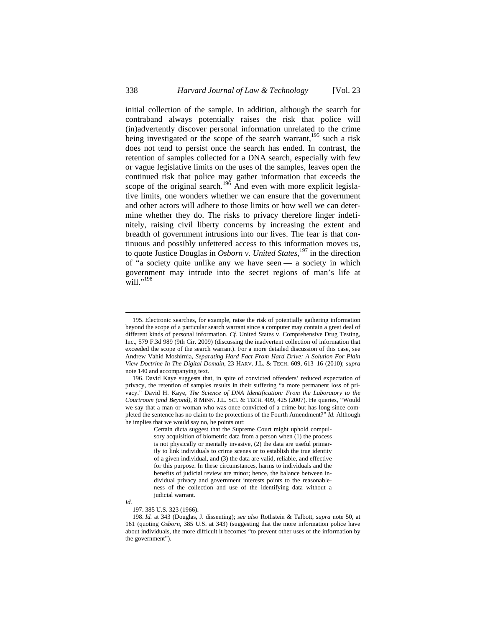initial collection of the sample. In addition, although the search for contraband always potentially raises the risk that police will (in)advertently discover personal information unrelated to the crime being investigated or the scope of the search warrant,  $195$  such a risk does not tend to persist once the search has ended. In contrast, the retention of samples collected for a DNA search, especially with few or vague legislative limits on the uses of the samples, leaves open the continued risk that police may gather information that exceeds the scope of the original search.<sup>196</sup> And even with more explicit legislative limits, one wonders whether we can ensure that the government and other actors will adhere to those limits or how well we can determine whether they do. The risks to privacy therefore linger indefinitely, raising civil liberty concerns by increasing the extent and breadth of government intrusions into our lives. The fear is that continuous and possibly unfettered access to this information moves us, to quote Justice Douglas in *Osborn v. United States*, 197 in the direction of "a society quite unlike any we have seen — a society in which government may intrude into the secret regions of man's life at will."<sup>198</sup>

*Id.*

 $\overline{a}$ 

197. 385 U.S. 323 (1966).

<sup>195.</sup> Electronic searches, for example, raise the risk of potentially gathering information beyond the scope of a particular search warrant since a computer may contain a great deal of different kinds of personal information. *Cf.* United States v. Comprehensive Drug Testing, Inc., 579 F.3d 989 (9th Cir. 2009) (discussing the inadvertent collection of information that exceeded the scope of the search warrant). For a more detailed discussion of this case, see Andrew Vahid Moshirnia, *Separating Hard Fact From Hard Drive: A Solution For Plain View Doctrine In The Digital Domain*, 23 HARV. J.L. & TECH. 609, 613–16 (2010); *supra* note 140 and accompanying text.

<sup>196.</sup> David Kaye suggests that, in spite of convicted offenders' reduced expectation of privacy, the retention of samples results in their suffering "a more permanent loss of privacy." David H. Kaye, *The Science of DNA Identification: From the Laboratory to the Courtroom (and Beyond)*, 8 MINN. J.L. SCI. & TECH. 409, 425 (2007). He queries, "Would we say that a man or woman who was once convicted of a crime but has long since completed the sentence has no claim to the protections of the Fourth Amendment?" *Id.* Although he implies that we would say no, he points out:

Certain dicta suggest that the Supreme Court might uphold compulsory acquisition of biometric data from a person when (1) the process is not physically or mentally invasive, (2) the data are useful primarily to link individuals to crime scenes or to establish the true identity of a given individual, and (3) the data are valid, reliable, and effective for this purpose. In these circumstances, harms to individuals and the benefits of judicial review are minor; hence, the balance between individual privacy and government interests points to the reasonableness of the collection and use of the identifying data without a judicial warrant.

<sup>198.</sup> *Id.* at 343 (Douglas, J. dissenting); *see also* Rothstein & Talbott, *supra* note 50, at 161 (quoting *Osborn*, 385 U.S. at 343) (suggesting that the more information police have about individuals, the more difficult it becomes "to prevent other uses of the information by the government").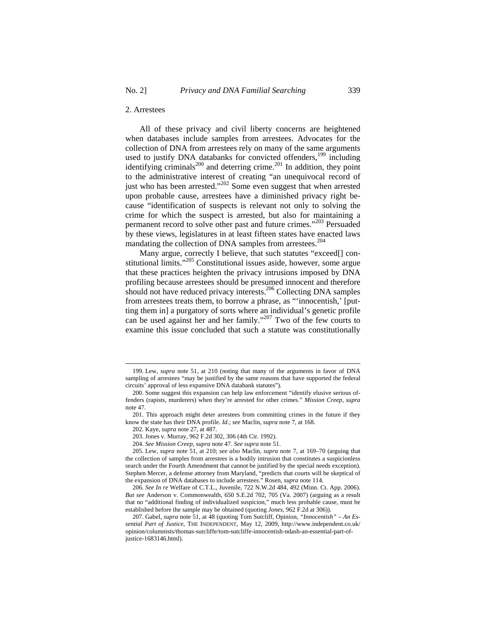## 2. Arrestees

All of these privacy and civil liberty concerns are heightened when databases include samples from arrestees. Advocates for the collection of DNA from arrestees rely on many of the same arguments used to justify DNA databanks for convicted offenders,<sup>199</sup> including identifying criminals<sup>200</sup> and deterring crime.<sup>201</sup> In addition, they point to the administrative interest of creating "an unequivocal record of just who has been arrested."<sup>202</sup> Some even suggest that when arrested upon probable cause, arrestees have a diminished privacy right because "identification of suspects is relevant not only to solving the crime for which the suspect is arrested, but also for maintaining a permanent record to solve other past and future crimes."203 Persuaded by these views, legislatures in at least fifteen states have enacted laws mandating the collection of DNA samples from arrestees.<sup>204</sup>

Many argue, correctly I believe, that such statutes "exceed[] constitutional limits."<sup>205</sup> Constitutional issues aside, however, some argue that these practices heighten the privacy intrusions imposed by DNA profiling because arrestees should be presumed innocent and therefore should not have reduced privacy interests.<sup>206</sup> Collecting DNA samples from arrestees treats them, to borrow a phrase, as "'innocentish,' [putting them in] a purgatory of sorts where an individual's genetic profile can be used against her and her family."207 Two of the few courts to examine this issue concluded that such a statute was constitutionally

<sup>199.</sup> Lew, *supra* note 51, at 210 (noting that many of the arguments in favor of DNA sampling of arrestees "may be justified by the same reasons that have supported the federal circuits' approval of less expansive DNA databank statutes").

<sup>200.</sup> Some suggest this expansion can help law enforcement "identify elusive serious offenders (rapists, murderers) when they're arrested for other crimes." *Mission Creep*, *supra* note 47.

<sup>201.</sup> This approach might deter arrestees from committing crimes in the future if they know the state has their DNA profile. *Id.*; *see* Maclin, *supra* note 7, at 168.

<sup>202.</sup> Kaye, *supra* note 27, at 487.

<sup>203.</sup> Jones v. Murray, 962 F.2d 302, 306 (4th Cir. 1992).

<sup>204.</sup> *See Mission Creep*, *supra* note 47. *See supra* note 51.

<sup>205.</sup> Lew, *supra* note 51, at 210; *see also* Maclin, *supra* note 7, at 169–70 (arguing that the collection of samples from arrestees is a bodily intrusion that constitutes a suspicionless search under the Fourth Amendment that cannot be justified by the special needs exception). Stephen Mercer, a defense attorney from Maryland, "predicts that courts will be skeptical of the expansion of DNA databases to include arrestees." Rosen, *supra* note 114.

<sup>206.</sup> *See In re* Welfare of C.T.L., Juvenile, 722 N.W.2d 484, 492 (Minn. Ct. App. 2006). *But see* Anderson v. Commonwealth, 650 S.E.2d 702, 705 (Va. 2007) (arguing as a result that no "additional finding of individualized suspicion," much less probable cause, must be established before the sample may be obtained (quoting *Jones*, 962 F.2d at 306)).

<sup>207.</sup> Gabel, *supra* note 51, at 48 (quoting Tom Sutcliff, Opinion, *"Innocentish" – An Essential Part of Justice*, THE INDEPENDENT, May 12, 2009, http://www.independent.co.uk/ opinion/columnists/thomas-sutcliffe/tom-sutcliffe-innocentish-ndash-an-essential-part-ofjustice-1683146.html).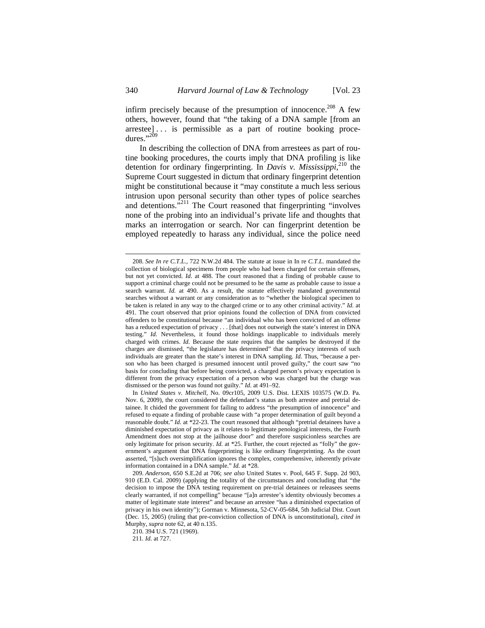infirm precisely because of the presumption of innocence.<sup>208</sup> A few others, however, found that "the taking of a DNA sample [from an arrestee] . . . is permissible as a part of routine booking procedures."<sup>209</sup>

In describing the collection of DNA from arrestees as part of routine booking procedures, the courts imply that DNA profiling is like detention for ordinary fingerprinting. In *Davis v. Mississippi*, 210 the Supreme Court suggested in dictum that ordinary fingerprint detention might be constitutional because it "may constitute a much less serious intrusion upon personal security than other types of police searches and detentions.<sup>"211</sup> The Court reasoned that fingerprinting "involves none of the probing into an individual's private life and thoughts that marks an interrogation or search. Nor can fingerprint detention be employed repeatedly to harass any individual, since the police need

<sup>208.</sup> *See In re C.T.L.,* 722 N.W.2d 484. The statute at issue in In re *C.T.L.* mandated the collection of biological specimens from people who had been charged for certain offenses, but not yet convicted. *Id.* at 488. The court reasoned that a finding of probable cause to support a criminal charge could not be presumed to be the same as probable cause to issue a search warrant. *Id.* at 490. As a result, the statute effectively mandated governmental searches without a warrant or any consideration as to "whether the biological specimen to be taken is related in any way to the charged crime or to any other criminal activity." *Id.* at 491. The court observed that prior opinions found the collection of DNA from convicted offenders to be constitutional because "an individual who has been convicted of an offense has a reduced expectation of privacy . . . [that] does not outweigh the state's interest in DNA testing." *Id.* Nevertheless, it found those holdings inapplicable to individuals merely charged with crimes. *Id.* Because the state requires that the samples be destroyed if the charges are dismissed, "the legislature has determined" that the privacy interests of such individuals are greater than the state's interest in DNA sampling. *Id.* Thus, "because a person who has been charged is presumed innocent until proved guilty," the court saw "no basis for concluding that before being convicted, a charged person's privacy expectation is different from the privacy expectation of a person who was charged but the charge was dismissed or the person was found not guilty." *Id.* at 491–92.

In *United States v. Mitchell*, No. 09cr105, 2009 U.S. Dist. LEXIS 103575 (W.D. Pa. Nov. 6, 2009)*,* the court considered the defendant's status as both arrestee and pretrial detainee. It chided the government for failing to address "the presumption of innocence" and refused to equate a finding of probable cause with "a proper determination of guilt beyond a reasonable doubt." *Id.* at \*22-23. The court reasoned that although "pretrial detainees have a diminished expectation of privacy as it relates to legitimate penological interests, the Fourth Amendment does not stop at the jailhouse door" and therefore suspicionless searches are only legitimate for prison security. *Id.* at \*25. Further, the court rejected as "folly" the government's argument that DNA fingerprinting is like ordinary fingerprinting. As the court asserted, "[s]uch oversimplification ignores the complex, comprehensive, inherently private information contained in a DNA sample." *Id.* at \*28.

<sup>209.</sup> *Anderson*, 650 S.E.2d at 706; *see also* United States v. Pool, 645 F. Supp. 2d 903, 910 (E.D. Cal. 2009) (applying the totality of the circumstances and concluding that "the decision to impose the DNA testing requirement on pre-trial detainees or releasees seems clearly warranted, if not compelling" because "[a]n arrestee's identity obviously becomes a matter of legitimate state interest" and because an arrestee "has a diminished expectation of privacy in his own identity"); Gorman v. Minnesota, 52-CV-05-684, 5th Judicial Dist. Court (Dec. 15, 2005) (ruling that pre-conviction collection of DNA is unconstitutional), *cited in*  Murphy, *supra* note 62, at 40 n.135.

<sup>210. 394</sup> U.S. 721 (1969).

<sup>211</sup>*. Id*. at 727.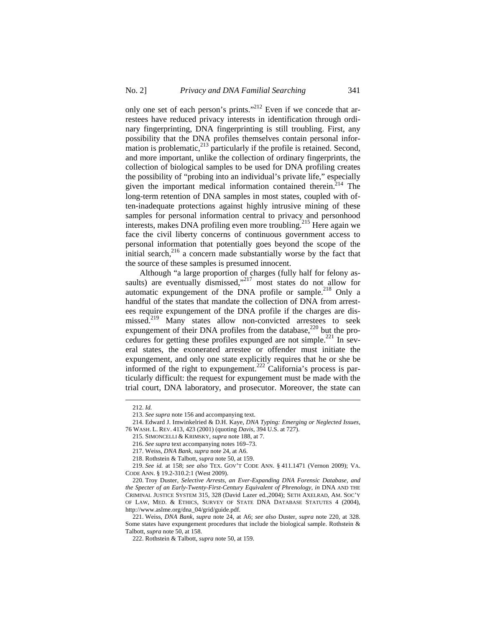only one set of each person's prints."212 Even if we concede that arrestees have reduced privacy interests in identification through ordinary fingerprinting, DNA fingerprinting is still troubling. First, any possibility that the DNA profiles themselves contain personal information is problematic, $^{213}$  particularly if the profile is retained. Second, and more important, unlike the collection of ordinary fingerprints, the collection of biological samples to be used for DNA profiling creates the possibility of "probing into an individual's private life," especially given the important medical information contained therein.<sup>214</sup> The long-term retention of DNA samples in most states, coupled with often-inadequate protections against highly intrusive mining of these samples for personal information central to privacy and personhood interests, makes DNA profiling even more troubling.<sup>215</sup> Here again we face the civil liberty concerns of continuous government access to personal information that potentially goes beyond the scope of the initial search, $2^{16}$  a concern made substantially worse by the fact that the source of these samples is presumed innocent.

Although "a large proportion of charges (fully half for felony assaults) are eventually dismissed,"<sup>217</sup> most states do not allow for automatic expungement of the DNA profile or sample.<sup>218</sup> Only a handful of the states that mandate the collection of DNA from arrestees require expungement of the DNA profile if the charges are dismissed.<sup>219</sup> Many states allow non-convicted arrestees to seek expungement of their DNA profiles from the database,<sup>220</sup> but the procedures for getting these profiles expunged are not simple.<sup>221</sup> In several states, the exonerated arrestee or offender must initiate the expungement, and only one state explicitly requires that he or she be informed of the right to expungement.<sup>222</sup> California's process is particularly difficult: the request for expungement must be made with the trial court, DNA laboratory, and prosecutor. Moreover, the state can

<sup>212.</sup> *Id.*

<sup>213.</sup> *See supra* note 156 and accompanying text.

<sup>214.</sup> Edward J. Imwinkelried & D.H. Kaye, *DNA Typing: Emerging or Neglected Issues*, 76 WASH. L. REV. 413, 423 (2001) (quoting *Davis*, 394 U.S. at 727).

<sup>215.</sup> SIMONCELLI & KRIMSKY, *supra* note 188, at 7.

<sup>216.</sup> *See supra* text accompanying notes 169–73.

<sup>217.</sup> Weiss, *DNA Bank*, *supra* note 24, at A6.

<sup>218.</sup> Rothstein & Talbott, *supra* note 50, at 159.

<sup>219.</sup> *See id.* at 158; *see also* TEX. GOV'T CODE ANN. § 411.1471 (Vernon 2009); VA. CODE ANN. § 19.2-310.2:1 (West 2009).

<sup>220.</sup> Troy Duster, *Selective Arrests, an Ever-Expanding DNA Forensic Database, and the Specter of an Early-Twenty-First-Century Equivalent of Phrenology*, *in* DNA AND THE CRIMINAL JUSTICE SYSTEM 315, 328 (David Lazer ed.,2004); SETH AXELRAD, AM. SOC'Y OF LAW, MED. & ETHICS, SURVEY OF STATE DNA DATABASE STATUTES 4 (2004), http://www.aslme.org/dna\_04/grid/guide.pdf.

<sup>221.</sup> Weiss, *DNA Bank*, *supra* note 24, at A6; *see also* Duster, *supra* note 220, at 328. Some states have expungement procedures that include the biological sample. Rothstein & Talbott, *supra* note 50, at 158.

<sup>222.</sup> Rothstein & Talbott, *supra* note 50, at 159.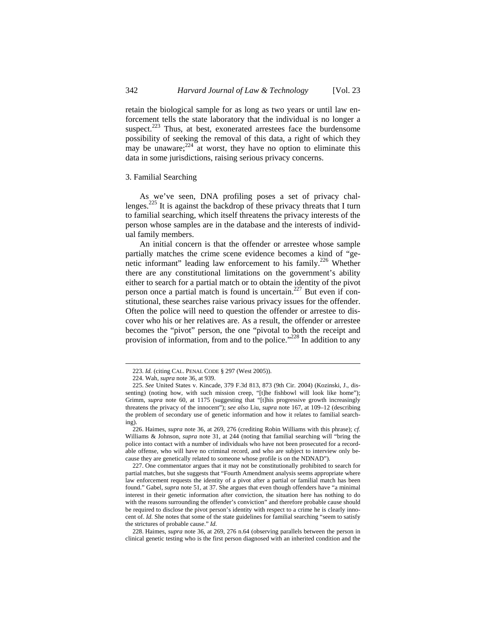retain the biological sample for as long as two years or until law enforcement tells the state laboratory that the individual is no longer a suspect. $223$  Thus, at best, exonerated arrestees face the burdensome possibility of seeking the removal of this data, a right of which they may be unaware; $^{224}$  at worst, they have no option to eliminate this data in some jurisdictions, raising serious privacy concerns.

## 3. Familial Searching

As we've seen, DNA profiling poses a set of privacy challenges.<sup>225</sup> It is against the backdrop of these privacy threats that I turn to familial searching, which itself threatens the privacy interests of the person whose samples are in the database and the interests of individual family members.

An initial concern is that the offender or arrestee whose sample partially matches the crime scene evidence becomes a kind of "genetic informant" leading law enforcement to his family.<sup>226</sup> Whether there are any constitutional limitations on the government's ability either to search for a partial match or to obtain the identity of the pivot person once a partial match is found is uncertain.227 But even if constitutional, these searches raise various privacy issues for the offender. Often the police will need to question the offender or arrestee to discover who his or her relatives are. As a result, the offender or arrestee becomes the "pivot" person, the one "pivotal to both the receipt and provision of information, from and to the police."<sup>228</sup> In addition to any

<sup>223.</sup> *Id.* (citing CAL. PENAL CODE § 297 (West 2005)).

<sup>224.</sup> Wah, *supra* note 36, at 939.

<sup>225.</sup> *See* United States v. Kincade, 379 F.3d 813, 873 (9th Cir. 2004) (Kozinski, J., dissenting) (noting how, with such mission creep, "[t]he fishbowl will look like home"); Grimm, *supra* note 60, at 1175 (suggesting that "[t]his progressive growth increasingly threatens the privacy of the innocent"); *see also* Liu, *supra* note 167, at 109–12 (describing the problem of secondary use of genetic information and how it relates to familial searching).

<sup>226.</sup> Haimes, *supra* note 36, at 269, 276 (crediting Robin Williams with this phrase); *cf.*  Williams & Johnson, *supra* note 31, at 244 (noting that familial searching will "bring the police into contact with a number of individuals who have not been prosecuted for a recordable offense, who will have no criminal record, and who are subject to interview only because they are genetically related to someone whose profile is on the NDNAD").

<sup>227.</sup> One commentator argues that it may not be constitutionally prohibited to search for partial matches, but she suggests that "Fourth Amendment analysis seems appropriate where law enforcement requests the identity of a pivot after a partial or familial match has been found." Gabel, *supra* note 51, at 37. She argues that even though offenders have "a minimal interest in their genetic information after conviction, the situation here has nothing to do with the reasons surrounding the offender's conviction" and therefore probable cause should be required to disclose the pivot person's identity with respect to a crime he is clearly innocent of. *Id.* She notes that some of the state guidelines for familial searching "seem to satisfy the strictures of probable cause." *Id.* 

<sup>228.</sup> Haimes, *supra* note 36, at 269, 276 n.64 (observing parallels between the person in clinical genetic testing who is the first person diagnosed with an inherited condition and the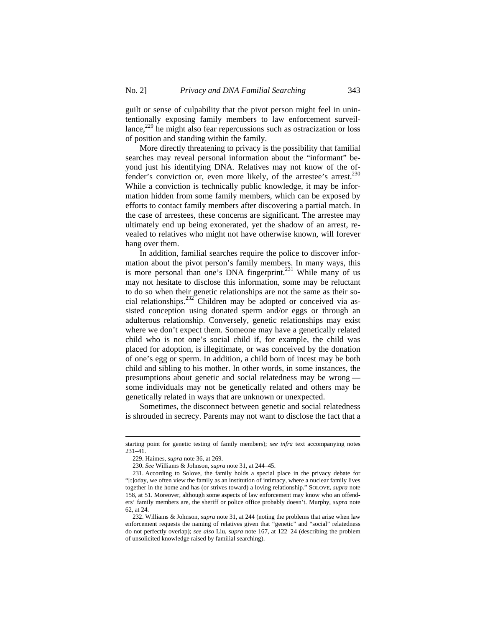guilt or sense of culpability that the pivot person might feel in unintentionally exposing family members to law enforcement surveil $lance<sup>229</sup>$  he might also fear repercussions such as ostracization or loss of position and standing within the family.

More directly threatening to privacy is the possibility that familial searches may reveal personal information about the "informant" beyond just his identifying DNA. Relatives may not know of the offender's conviction or, even more likely, of the arrestee's arrest.<sup>230</sup> While a conviction is technically public knowledge, it may be information hidden from some family members, which can be exposed by efforts to contact family members after discovering a partial match. In the case of arrestees, these concerns are significant. The arrestee may ultimately end up being exonerated, yet the shadow of an arrest, revealed to relatives who might not have otherwise known, will forever hang over them.

In addition, familial searches require the police to discover information about the pivot person's family members. In many ways, this is more personal than one's DNA fingerprint.<sup>231</sup> While many of us may not hesitate to disclose this information, some may be reluctant to do so when their genetic relationships are not the same as their social relationships.232 Children may be adopted or conceived via assisted conception using donated sperm and/or eggs or through an adulterous relationship. Conversely, genetic relationships may exist where we don't expect them. Someone may have a genetically related child who is not one's social child if, for example, the child was placed for adoption, is illegitimate, or was conceived by the donation of one's egg or sperm. In addition, a child born of incest may be both child and sibling to his mother. In other words, in some instances, the presumptions about genetic and social relatedness may be wrong some individuals may not be genetically related and others may be genetically related in ways that are unknown or unexpected.

Sometimes, the disconnect between genetic and social relatedness is shrouded in secrecy. Parents may not want to disclose the fact that a

starting point for genetic testing of family members); *see infra* text accompanying notes 231–41.

<sup>229.</sup> Haimes, *supra* note 36, at 269.

<sup>230.</sup> *See* Williams & Johnson, *supra* note 31, at 244–45.

<sup>231.</sup> According to Solove, the family holds a special place in the privacy debate for "[t]oday, we often view the family as an institution of intimacy, where a nuclear family lives together in the home and has (or strives toward) a loving relationship." SOLOVE, *supra* note 158, at 51. Moreover, although some aspects of law enforcement may know who an offenders' family members are, the sheriff or police office probably doesn't. Murphy, *supra* note 62, at 24.

<sup>232.</sup> Williams & Johnson, *supra* note 31, at 244 (noting the problems that arise when law enforcement requests the naming of relatives given that "genetic" and "social" relatedness do not perfectly overlap); *see also* Liu, *supra* note 167, at 122–24 (describing the problem of unsolicited knowledge raised by familial searching).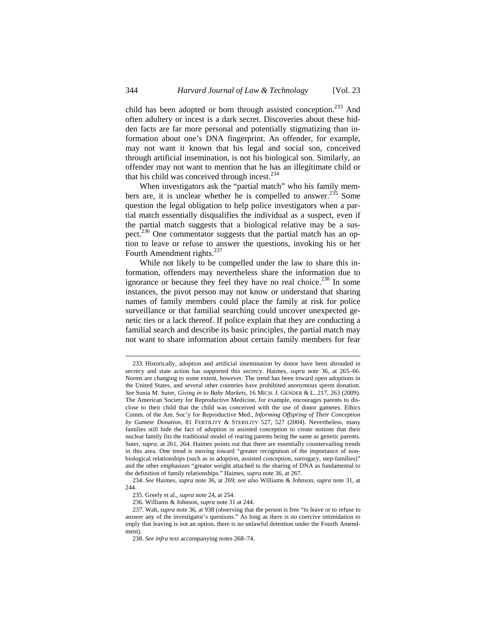child has been adopted or born through assisted conception.<sup>233</sup> And often adultery or incest is a dark secret. Discoveries about these hidden facts are far more personal and potentially stigmatizing than information about one's DNA fingerprint. An offender, for example, may not want it known that his legal and social son, conceived through artificial insemination, is not his biological son. Similarly, an offender may not want to mention that he has an illegitimate child or that his child was conceived through incest. $234$ 

When investigators ask the "partial match" who his family members are, it is unclear whether he is compelled to answer. $^{235}$  Some question the legal obligation to help police investigators when a partial match essentially disqualifies the individual as a suspect, even if the partial match suggests that a biological relative may be a suspect.<sup>236</sup> One commentator suggests that the partial match has an option to leave or refuse to answer the questions, invoking his or her Fourth Amendment rights.<sup>237</sup>

While not likely to be compelled under the law to share this information, offenders may nevertheless share the information due to ignorance or because they feel they have no real choice.<sup>238</sup> In some instances, the pivot person may not know or understand that sharing names of family members could place the family at risk for police surveillance or that familial searching could uncover unexpected genetic ties or a lack thereof. If police explain that they are conducting a familial search and describe its basic principles, the partial match may not want to share information about certain family members for fear

<sup>233.</sup> Historically, adoption and artificial insemination by donor have been shrouded in secrecy and state action has supported this secrecy. Haimes, *supra* note 36, at 265–66. Norms are changing to some extent, however. The trend has been toward open adoptions in the United States, and several other countries have prohibited anonymous sperm donation. *See* Sonia M. Suter, *Giving in to Baby Markets*, 16 MICH. J. GENDER & L. 217, 263 (2009). The American Society for Reproductive Medicine, for example, encourages parents to disclose to their child that the child was conceived with the use of donor gametes. Ethics Comm. of the Am. Soc'y for Reproductive Med., *Informing Offspring of Their Conception by Gamete Donation*, 81 FERTILITY & STERILITY 527, 527 (2004). Nevertheless, many families still hide the fact of adoption or assisted conception to create notions that their nuclear family fits the traditional model of rearing parents being the same as genetic parents. Suter, *supra*, at 261, 264. Haimes points out that there are essentially countervailing trends in this area. One trend is moving toward "greater recognition of the importance of nonbiological relationships (such as in adoption, assisted conception, surrogacy, step-families)" and the other emphasizes "greater weight attached to the sharing of DNA as fundamental to the definition of family relationships." Haimes, *supra* note 36, at 267.

<sup>234.</sup> *See* Haimes, *supra* note 36, at 269; *see also* Williams & Johnson, *supra* note 31, at 244.

<sup>235.</sup> Greely et al., *supra* note 24, at 254.

<sup>236.</sup> Williams & Johnson, *supra* note 31 at 244.

<sup>237.</sup> Wah, *supra* note 36, at 938 (observing that the person is free "to leave or to refuse to answer any of the investigator's questions." As long as there is no coercive intimidation to imply that leaving is not an option, there is no unlawful detention under the Fourth Amendment).

<sup>238.</sup> *See infra* text accompanying notes 268–74.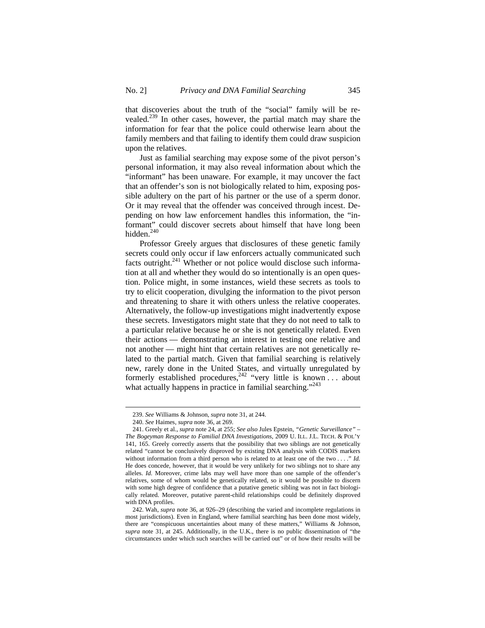that discoveries about the truth of the "social" family will be revealed.<sup>239</sup> In other cases, however, the partial match may share the information for fear that the police could otherwise learn about the family members and that failing to identify them could draw suspicion upon the relatives.

Just as familial searching may expose some of the pivot person's personal information, it may also reveal information about which the "informant" has been unaware. For example, it may uncover the fact that an offender's son is not biologically related to him, exposing possible adultery on the part of his partner or the use of a sperm donor. Or it may reveal that the offender was conceived through incest. Depending on how law enforcement handles this information, the "informant" could discover secrets about himself that have long been hidden.<sup>240</sup>

Professor Greely argues that disclosures of these genetic family secrets could only occur if law enforcers actually communicated such facts outright. $241$  Whether or not police would disclose such information at all and whether they would do so intentionally is an open question. Police might, in some instances, wield these secrets as tools to try to elicit cooperation, divulging the information to the pivot person and threatening to share it with others unless the relative cooperates. Alternatively, the follow-up investigations might inadvertently expose these secrets. Investigators might state that they do not need to talk to a particular relative because he or she is not genetically related. Even their actions — demonstrating an interest in testing one relative and not another — might hint that certain relatives are not genetically related to the partial match. Given that familial searching is relatively new, rarely done in the United States, and virtually unregulated by formerly established procedures,<sup>242</sup> "very little is known . . . about what actually happens in practice in familial searching."<sup>243</sup>

<sup>239.</sup> *See* Williams & Johnson, *supra* note 31, at 244.

<sup>240.</sup> *See* Haimes, *supra* note 36, at 269.

<sup>241.</sup> Greely et al., *supra* note 24, at 255; *See also* Jules Epstein, *"Genetic Surveillance" – The Bogeyman Response to Familial DNA Investigations*, 2009 U. ILL. J.L. TECH. & POL'Y 141, 165. Greely correctly asserts that the possibility that two siblings are not genetically related "cannot be conclusively disproved by existing DNA analysis with CODIS markers without information from a third person who is related to at least one of the two . . . ." *Id.*  He does concede, however, that it would be very unlikely for two siblings not to share any alleles. *Id.* Moreover, crime labs may well have more than one sample of the offender's relatives, some of whom would be genetically related, so it would be possible to discern with some high degree of confidence that a putative genetic sibling was not in fact biologically related. Moreover, putative parent-child relationships could be definitely disproved with DNA profiles.

<sup>242.</sup> Wah, *supra* note 36, at 926–29 (describing the varied and incomplete regulations in most jurisdictions). Even in England, where familial searching has been done most widely, there are "conspicuous uncertainties about many of these matters," Williams & Johnson, *supra* note 31, at 245. Additionally, in the U.K., there is no public dissemination of "the circumstances under which such searches will be carried out" or of how their results will be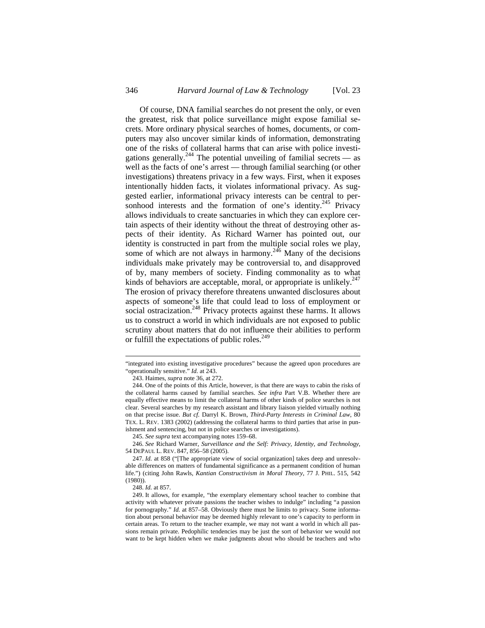Of course, DNA familial searches do not present the only, or even the greatest, risk that police surveillance might expose familial secrets. More ordinary physical searches of homes, documents, or computers may also uncover similar kinds of information, demonstrating one of the risks of collateral harms that can arise with police investigations generally.<sup>244</sup> The potential unveiling of familial secrets  $-$  as well as the facts of one's arrest — through familial searching (or other investigations) threatens privacy in a few ways. First, when it exposes intentionally hidden facts, it violates informational privacy. As suggested earlier, informational privacy interests can be central to personhood interests and the formation of one's identity.<sup>245</sup> Privacy allows individuals to create sanctuaries in which they can explore certain aspects of their identity without the threat of destroying other aspects of their identity. As Richard Warner has pointed out, our identity is constructed in part from the multiple social roles we play, some of which are not always in harmony.<sup>246</sup> Many of the decisions individuals make privately may be controversial to, and disapproved of by, many members of society. Finding commonality as to what kinds of behaviors are acceptable, moral, or appropriate is unlikely.<sup>24</sup> The erosion of privacy therefore threatens unwanted disclosures about aspects of someone's life that could lead to loss of employment or social ostracization.<sup>248</sup> Privacy protects against these harms. It allows us to construct a world in which individuals are not exposed to public scrutiny about matters that do not influence their abilities to perform or fulfill the expectations of public roles.<sup>249</sup>

<sup>&</sup>quot;integrated into existing investigative procedures" because the agreed upon procedures are "operationally sensitive." *Id.* at 243.

<sup>243.</sup> Haimes, *supra* note 36, at 272.

<sup>244.</sup> One of the points of this Article, however, is that there are ways to cabin the risks of the collateral harms caused by familial searches. *See infra* Part V.B. Whether there are equally effective means to limit the collateral harms of other kinds of police searches is not clear. Several searches by my research assistant and library liaison yielded virtually nothing on that precise issue. *But cf.* Darryl K. Brown, *Third-Party Interests in Criminal Law*, 80 TEX. L. REV. 1383 (2002) (addressing the collateral harms to third parties that arise in punishment and sentencing, but not in police searches or investigations).

<sup>245.</sup> *See supra* text accompanying notes 159–68.

<sup>246.</sup> *See* Richard Warner, *Surveillance and the Self: Privacy, Identity, and Technology*, 54 DEPAUL L. REV. 847, 856–58 (2005).

<sup>247.</sup> *Id.* at 858 ("[The appropriate view of social organization] takes deep and unresolvable differences on matters of fundamental significance as a permanent condition of human life.") (citing John Rawls, *Kantian Constructivism in Moral Theory*, 77 J. PHIL. 515, 542 (1980)).

<sup>248.</sup> *Id.* at 857.

<sup>249.</sup> It allows, for example, "the exemplary elementary school teacher to combine that activity with whatever private passions the teacher wishes to indulge" including "a passion for pornography*.*" *Id.* at 857–58. Obviously there must be limits to privacy. Some information about personal behavior may be deemed highly relevant to one's capacity to perform in certain areas. To return to the teacher example, we may not want a world in which all passions remain private. Pedophilic tendencies may be just the sort of behavior we would not want to be kept hidden when we make judgments about who should be teachers and who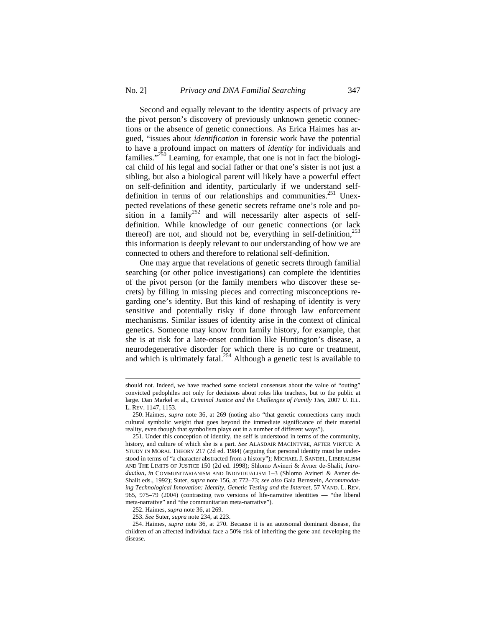$\overline{a}$ 

Second and equally relevant to the identity aspects of privacy are the pivot person's discovery of previously unknown genetic connections or the absence of genetic connections. As Erica Haimes has argued, "issues about *identification* in forensic work have the potential to have a profound impact on matters of *identity* for individuals and families."<sup>250</sup> Learning, for example, that one is not in fact the biological child of his legal and social father or that one's sister is not just a sibling, but also a biological parent will likely have a powerful effect on self-definition and identity, particularly if we understand selfdefinition in terms of our relationships and communities.<sup>251</sup> Unexpected revelations of these genetic secrets reframe one's role and position in a family<sup>252</sup> and will necessarily alter aspects of selfdefinition. While knowledge of our genetic connections (or lack thereof) are not, and should not be, everything in self-definition,  $253$ this information is deeply relevant to our understanding of how we are connected to others and therefore to relational self-definition.

One may argue that revelations of genetic secrets through familial searching (or other police investigations) can complete the identities of the pivot person (or the family members who discover these secrets) by filling in missing pieces and correcting misconceptions regarding one's identity. But this kind of reshaping of identity is very sensitive and potentially risky if done through law enforcement mechanisms. Similar issues of identity arise in the context of clinical genetics. Someone may know from family history, for example, that she is at risk for a late-onset condition like Huntington's disease, a neurodegenerative disorder for which there is no cure or treatment, and which is ultimately fatal.<sup>254</sup> Although a genetic test is available to

should not. Indeed, we have reached some societal consensus about the value of "outing" convicted pedophiles not only for decisions about roles like teachers, but to the public at large. Dan Markel et al., *Criminal Justice and the Challenges of Family Ties*, 2007 U. ILL. L. REV. 1147, 1153.

<sup>250.</sup> Haimes, *supra* note 36, at 269 (noting also "that genetic connections carry much cultural symbolic weight that goes beyond the immediate significance of their material reality, even though that symbolism plays out in a number of different ways").

<sup>251.</sup> Under this conception of identity, the self is understood in terms of the community, history, and culture of which she is a part. *See* ALASDAIR MACINTYRE, AFTER VIRTUE: A STUDY IN MORAL THEORY 217 (2d ed. 1984) (arguing that personal identity must be understood in terms of "a character abstracted from a history"); MICHAEL J. SANDEL, LIBERALISM AND THE LIMITS OF JUSTICE 150 (2d ed. 1998); Shlomo Avineri & Avner de-Shalit, *Introduction*, *in* COMMUNITARIANISM AND INDIVIDUALISM 1–3 (Shlomo Avineri & Avner de-Shalit eds., 1992); Suter, *supra* note 156, at 772–73; *see also* Gaia Bernstein, *Accommodating Technological Innovation: Identity, Genetic Testing and the Internet*, 57 VAND. L. REV. 965, 975–79 (2004) (contrasting two versions of life-narrative identities — "the liberal meta-narrative" and "the communitarian meta-narrative").

<sup>252.</sup> Haimes, *supra* note 36, at 269.

<sup>253.</sup> *See* Suter, *supra* note 234, at 223.

<sup>254.</sup> Haimes, *supra* note 36, at 270. Because it is an autosomal dominant disease, the children of an affected individual face a 50% risk of inheriting the gene and developing the disease.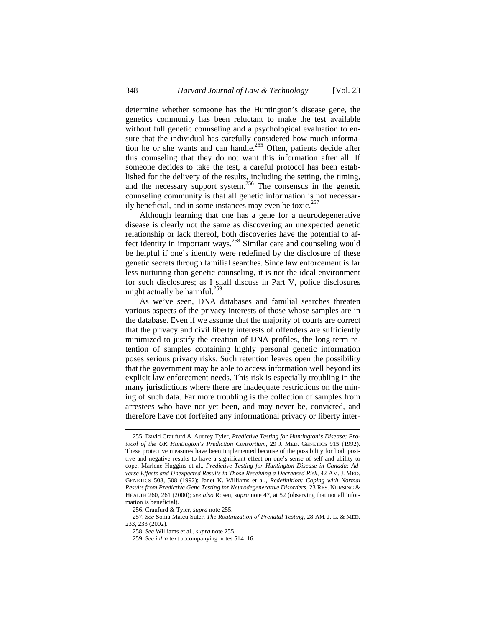determine whether someone has the Huntington's disease gene, the genetics community has been reluctant to make the test available without full genetic counseling and a psychological evaluation to ensure that the individual has carefully considered how much information he or she wants and can handle.<sup>255</sup> Often, patients decide after this counseling that they do not want this information after all. If someone decides to take the test, a careful protocol has been established for the delivery of the results, including the setting, the timing, and the necessary support system.<sup>256</sup> The consensus in the genetic counseling community is that all genetic information is not necessarily beneficial, and in some instances may even be toxic.<sup>257</sup>

Although learning that one has a gene for a neurodegenerative disease is clearly not the same as discovering an unexpected genetic relationship or lack thereof, both discoveries have the potential to affect identity in important ways.<sup>258</sup> Similar care and counseling would be helpful if one's identity were redefined by the disclosure of these genetic secrets through familial searches. Since law enforcement is far less nurturing than genetic counseling, it is not the ideal environment for such disclosures; as I shall discuss in Part V, police disclosures might actually be harmful. $^{259}$ 

As we've seen, DNA databases and familial searches threaten various aspects of the privacy interests of those whose samples are in the database. Even if we assume that the majority of courts are correct that the privacy and civil liberty interests of offenders are sufficiently minimized to justify the creation of DNA profiles, the long-term retention of samples containing highly personal genetic information poses serious privacy risks. Such retention leaves open the possibility that the government may be able to access information well beyond its explicit law enforcement needs. This risk is especially troubling in the many jurisdictions where there are inadequate restrictions on the mining of such data. Far more troubling is the collection of samples from arrestees who have not yet been, and may never be, convicted, and therefore have not forfeited any informational privacy or liberty inter-

 $\overline{a}$ 

257. *See* Sonia Mateu Suter, *The Routinization of Prenatal Testing*, 28 AM. J. L. & MED. 233, 233 (2002).

<sup>255.</sup> David Craufurd & Audrey Tyler, *Predictive Testing for Huntington's Disease: Protocol of the UK Huntington's Prediction Consortium*, 29 J. MED. GENETICS 915 (1992). These protective measures have been implemented because of the possibility for both positive and negative results to have a significant effect on one's sense of self and ability to cope. Marlene Huggins et al., *Predictive Testing for Huntington Disease in Canada: Adverse Effects and Unexpected Results in Those Receiving a Decreased Risk*, 42 AM. J. MED. GENETICS 508, 508 (1992); Janet K. Williams et al., *Redefinition: Coping with Normal Results from Predictive Gene Testing for Neurodegenerative Disorders*, 23 RES. NURSING & HEALTH 260, 261 (2000); *see also* Rosen, *supra* note 47, at 52 (observing that not all information is beneficial).

<sup>256.</sup> Craufurd & Tyler, *supra* note 255.

<sup>258.</sup> *See* Williams et al., *supra* note 255.

<sup>259.</sup> *See infra* text accompanying notes 514–16.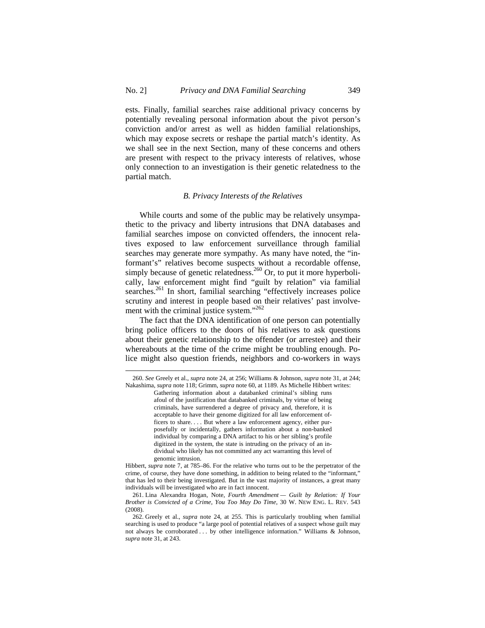ests. Finally, familial searches raise additional privacy concerns by potentially revealing personal information about the pivot person's conviction and/or arrest as well as hidden familial relationships, which may expose secrets or reshape the partial match's identity. As we shall see in the next Section, many of these concerns and others are present with respect to the privacy interests of relatives, whose only connection to an investigation is their genetic relatedness to the partial match.

#### *B. Privacy Interests of the Relatives*

While courts and some of the public may be relatively unsympathetic to the privacy and liberty intrusions that DNA databases and familial searches impose on convicted offenders, the innocent relatives exposed to law enforcement surveillance through familial searches may generate more sympathy. As many have noted, the "informant's" relatives become suspects without a recordable offense, simply because of genetic relatedness.<sup>260</sup> Or, to put it more hyperbolically, law enforcement might find "guilt by relation" via familial searches.<sup>261</sup> In short, familial searching "effectively increases police scrutiny and interest in people based on their relatives' past involvement with the criminal justice system."<sup>262</sup>

The fact that the DNA identification of one person can potentially bring police officers to the doors of his relatives to ask questions about their genetic relationship to the offender (or arrestee) and their whereabouts at the time of the crime might be troubling enough. Police might also question friends, neighbors and co-workers in ways

<sup>260.</sup> *See* Greely et al., *supra* note 24, at 256; Williams & Johnson, *supra* note 31, at 244; Nakashima, *supra* note 118; Grimm, *supra* note 60, at 1189. As Michelle Hibbert writes:

Gathering information about a databanked criminal's sibling runs afoul of the justification that databanked criminals, by virtue of being criminals, have surrendered a degree of privacy and, therefore, it is acceptable to have their genome digitized for all law enforcement officers to share. . . . But where a law enforcement agency, either purposefully or incidentally, gathers information about a non-banked individual by comparing a DNA artifact to his or her sibling's profile digitized in the system, the state is intruding on the privacy of an individual who likely has not committed any act warranting this level of genomic intrusion.

Hibbert, *supra* note 7, at 785–86. For the relative who turns out to be the perpetrator of the crime, of course, they have done something, in addition to being related to the "informant," that has led to their being investigated. But in the vast majority of instances, a great many individuals will be investigated who are in fact innocent.

<sup>261.</sup> Lina Alexandra Hogan, Note, *Fourth Amendment — Guilt by Relation: If Your Brother is Convicted of a Crime, You Too May Do Time,* 30 W. NEW ENG. L. REV. 543 (2008).

<sup>262.</sup> Greely et al., *supra* note 24, at 255. This is particularly troubling when familial searching is used to produce "a large pool of potential relatives of a suspect whose guilt may not always be corroborated . . . by other intelligence information." Williams & Johnson, *supra* note 31, at 243.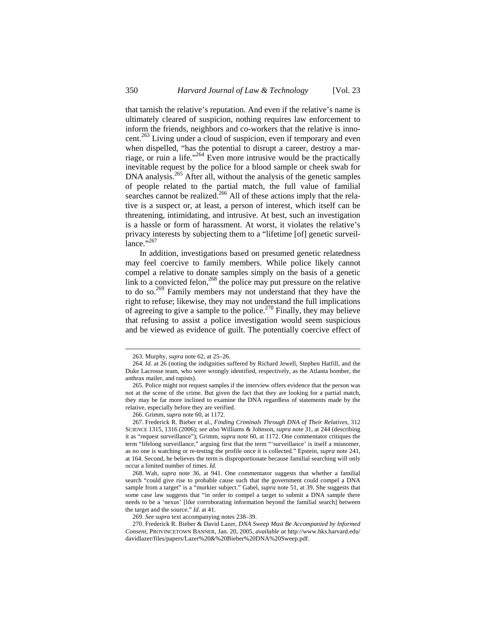that tarnish the relative's reputation. And even if the relative's name is ultimately cleared of suspicion, nothing requires law enforcement to inform the friends, neighbors and co-workers that the relative is innocent.<sup>263</sup> Living under a cloud of suspicion, even if temporary and even when dispelled, "has the potential to disrupt a career, destroy a marriage, or ruin a life."<sup>264</sup> Even more intrusive would be the practically inevitable request by the police for a blood sample or cheek swab for DNA analysis.<sup>265</sup> After all, without the analysis of the genetic samples of people related to the partial match, the full value of familial searches cannot be realized.<sup>266</sup> All of these actions imply that the relative is a suspect or, at least, a person of interest, which itself can be threatening, intimidating, and intrusive. At best, such an investigation is a hassle or form of harassment. At worst, it violates the relative's privacy interests by subjecting them to a "lifetime [of] genetic surveillance."<sup>267</sup>

In addition, investigations based on presumed genetic relatedness may feel coercive to family members. While police likely cannot compel a relative to donate samples simply on the basis of a genetic link to a convicted felon,  $268$  the police may put pressure on the relative to do so.<sup>269</sup> Family members may not understand that they have the right to refuse; likewise, they may not understand the full implications of agreeing to give a sample to the police.<sup>270</sup> Finally, they may believe that refusing to assist a police investigation would seem suspicious and be viewed as evidence of guilt. The potentially coercive effect of

<sup>263.</sup> Murphy, *supra* note 62, at 25–26.

<sup>264.</sup> *Id.* at 26 (noting the indignities suffered by Richard Jewell, Stephen Hatfill, and the Duke Lacrosse team, who were wrongly identified, respectively, as the Atlanta bomber, the anthrax mailer, and rapists).

<sup>265.</sup> Police might not request samples if the interview offers evidence that the person was not at the scene of the crime. But given the fact that they are looking for a partial match, they may be far more inclined to examine the DNA regardless of statements made by the relative, especially before they are verified.

<sup>266.</sup> Grimm, *supra* note 60, at 1172.

<sup>267.</sup> Frederick R. Bieber et al., *Finding Criminals Through DNA of Their Relatives,* 312 SCIENCE 1315, 1316 (2006); *see also* Williams & Johnson, *supra* note 31, at 244 (describing it as "request surveillance"); Grimm, *supra* note 60, at 1172. One commentator critiques the term "lifelong surveillance," arguing first that the term "'surveillance' is itself a misnomer, as no one is watching or re-testing the profile once it is collected." Epstein, *supra* note 241, at 164. Second, he believes the term is disproportionate because familial searching will only occur a limited number of times. *Id.* 

<sup>268.</sup> Wah, *supra* note 36, at 941. One commentator suggests that whether a familial search "could give rise to probable cause such that the government could compel a DNA sample from a target" is a "murkier subject." Gabel, *supra* note 51, at 39. She suggests that some case law suggests that "in order to compel a target to submit a DNA sample there needs to be a 'nexus' [like corroborating information beyond the familial search] between the target and the source." *Id*. at 41.

<sup>269.</sup> *See supra* text accompanying notes 238–39.

<sup>270.</sup> Frederick R. Bieber & David Lazer, *DNA Sweep Must Be Accompanied by Informed Consent*, PROVINCETOWN BANNER, Jan. 20, 2005, *available at* http://www.hks.harvard.edu/ davidlazer/files/papers/Lazer%20&%20Bieber%20DNA%20Sweep.pdf.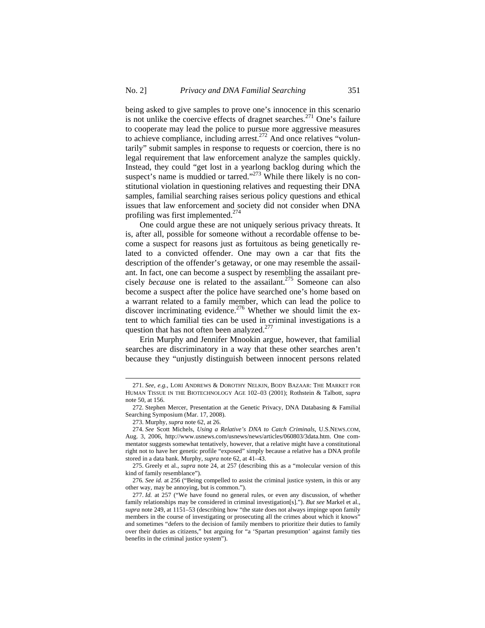being asked to give samples to prove one's innocence in this scenario is not unlike the coercive effects of dragnet searches.<sup>271</sup> One's failure to cooperate may lead the police to pursue more aggressive measures to achieve compliance, including arrest.<sup>272</sup> And once relatives "voluntarily" submit samples in response to requests or coercion, there is no legal requirement that law enforcement analyze the samples quickly. Instead, they could "get lost in a yearlong backlog during which the suspect's name is muddied or tarred."<sup>273</sup> While there likely is no constitutional violation in questioning relatives and requesting their DNA samples, familial searching raises serious policy questions and ethical issues that law enforcement and society did not consider when DNA profiling was first implemented.<sup>274</sup>

One could argue these are not uniquely serious privacy threats. It is, after all, possible for someone without a recordable offense to become a suspect for reasons just as fortuitous as being genetically related to a convicted offender. One may own a car that fits the description of the offender's getaway, or one may resemble the assailant. In fact, one can become a suspect by resembling the assailant precisely *because* one is related to the assailant.275 Someone can also become a suspect after the police have searched one's home based on a warrant related to a family member, which can lead the police to discover incriminating evidence.<sup>276</sup> Whether we should limit the extent to which familial ties can be used in criminal investigations is a question that has not often been analyzed.<sup>277</sup>

Erin Murphy and Jennifer Mnookin argue, however, that familial searches are discriminatory in a way that these other searches aren't because they "unjustly distinguish between innocent persons related

<sup>271.</sup> *See*, *e.g.*, LORI ANDREWS & DOROTHY NELKIN, BODY BAZAAR: THE MARKET FOR HUMAN TISSUE IN THE BIOTECHNOLOGY AGE 102–03 (2001); Rothstein & Talbott, *supra*  note 50, at 156.

<sup>272.</sup> Stephen Mercer, Presentation at the Genetic Privacy, DNA Databasing & Familial Searching Symposium (Mar. 17, 2008).

<sup>273.</sup> Murphy, *supra* note 62, at 26.

<sup>274.</sup> *See* Scott Michels, *Using a Relative's DNA to Catch Criminals*, U.S.NEWS.COM, Aug. 3, 2006, http://www.usnews.com/usnews/news/articles/060803/3data.htm. One commentator suggests somewhat tentatively, however, that a relative might have a constitutional right not to have her genetic profile "exposed" simply because a relative has a DNA profile stored in a data bank. Murphy, *supra* note 62, at 41–43.

<sup>275.</sup> Greely et al., *supra* note 24, at 257 (describing this as a "molecular version of this kind of family resemblance").

<sup>276</sup>*. See id.* at 256 ("Being compelled to assist the criminal justice system, in this or any other way, may be annoying, but is common.").

<sup>277.</sup> *Id.* at 257 ("We have found no general rules, or even any discussion, of whether family relationships may be considered in criminal investigation[s]."). *But see* Markel et al., *supra* note 249, at 1151–53 (describing how "the state does not always impinge upon family members in the course of investigating or prosecuting all the crimes about which it knows" and sometimes "defers to the decision of family members to prioritize their duties to family over their duties as citizens," but arguing for "a 'Spartan presumption' against family ties benefits in the criminal justice system").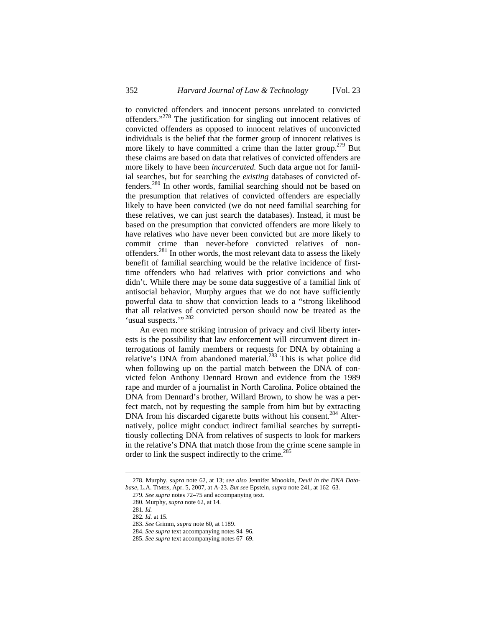to convicted offenders and innocent persons unrelated to convicted offenders."278 The justification for singling out innocent relatives of convicted offenders as opposed to innocent relatives of unconvicted individuals is the belief that the former group of innocent relatives is more likely to have committed a crime than the latter group.<sup>279</sup> But these claims are based on data that relatives of convicted offenders are more likely to have been *incarcerated.* Such data argue not for familial searches, but for searching the *existing* databases of convicted offenders.<sup>280</sup> In other words, familial searching should not be based on the presumption that relatives of convicted offenders are especially likely to have been convicted (we do not need familial searching for these relatives, we can just search the databases). Instead, it must be based on the presumption that convicted offenders are more likely to have relatives who have never been convicted but are more likely to commit crime than never-before convicted relatives of nonoffenders.<sup>281</sup> In other words, the most relevant data to assess the likely benefit of familial searching would be the relative incidence of firsttime offenders who had relatives with prior convictions and who didn't. While there may be some data suggestive of a familial link of antisocial behavior, Murphy argues that we do not have sufficiently powerful data to show that conviction leads to a "strong likelihood that all relatives of convicted person should now be treated as the 'usual suspects."<sup>282</sup>

An even more striking intrusion of privacy and civil liberty interests is the possibility that law enforcement will circumvent direct interrogations of family members or requests for DNA by obtaining a relative's DNA from abandoned material.<sup>283</sup> This is what police did when following up on the partial match between the DNA of convicted felon Anthony Dennard Brown and evidence from the 1989 rape and murder of a journalist in North Carolina. Police obtained the DNA from Dennard's brother, Willard Brown, to show he was a perfect match, not by requesting the sample from him but by extracting DNA from his discarded cigarette butts without his consent.<sup>284</sup> Alternatively, police might conduct indirect familial searches by surreptitiously collecting DNA from relatives of suspects to look for markers in the relative's DNA that match those from the crime scene sample in order to link the suspect indirectly to the crime.<sup>285</sup>

<sup>278.</sup> Murphy, *supra* note 62, at 13; *see also* Jennifer Mnookin, *Devil in the DNA Database,* L.A. TIMES, Apr. 5, 2007, at A-23. *But see* Epstein, *supra* note 241, at 162–63*.*

<sup>279</sup>*. See supra* notes 72–75 and accompanying text.

<sup>280</sup>*.* Murphy, *supra* note 62, at 14.

<sup>281</sup>*. Id.*

<sup>282</sup>*. Id*. at 15.

<sup>283.</sup> *See* Grimm, *supra* note 60, at 1189.

<sup>284.</sup> *See supra* text accompanying notes 94–96.

<sup>285.</sup> *See supra* text accompanying notes 67–69.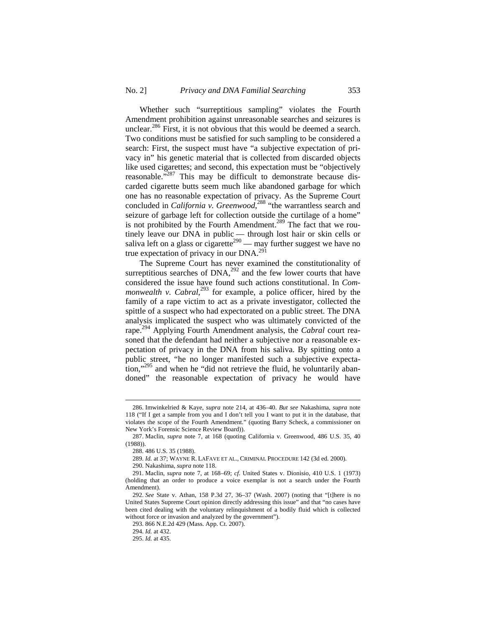Whether such "surreptitious sampling" violates the Fourth Amendment prohibition against unreasonable searches and seizures is unclear.<sup>286</sup> First, it is not obvious that this would be deemed a search. Two conditions must be satisfied for such sampling to be considered a search: First, the suspect must have "a subjective expectation of privacy in" his genetic material that is collected from discarded objects like used cigarettes; and second, this expectation must be "objectively reasonable."<sup>287</sup> This may be difficult to demonstrate because discarded cigarette butts seem much like abandoned garbage for which one has no reasonable expectation of privacy. As the Supreme Court concluded in *California v. Greenwood*, 288 "the warrantless search and seizure of garbage left for collection outside the curtilage of a home" is not prohibited by the Fourth Amendment.<sup>289</sup> The fact that we routinely leave our DNA in public — through lost hair or skin cells or saliva left on a glass or cigarette<sup>290</sup> — may further suggest we have no true expectation of privacy in our DNA.<sup>291</sup>

The Supreme Court has never examined the constitutionality of surreptitious searches of  $DNA<sub>292</sub><sup>292</sup>$  and the few lower courts that have considered the issue have found such actions constitutional. In *Commonwealth v. Cabral*<sup>293</sup> for example, a police officer, hired by the family of a rape victim to act as a private investigator, collected the spittle of a suspect who had expectorated on a public street. The DNA analysis implicated the suspect who was ultimately convicted of the rape. 294 Applying Fourth Amendment analysis, the *Cabral* court reasoned that the defendant had neither a subjective nor a reasonable expectation of privacy in the DNA from his saliva. By spitting onto a public street, "he no longer manifested such a subjective expectation,"<sup>295</sup> and when he "did not retrieve the fluid, he voluntarily abandoned" the reasonable expectation of privacy he would have

<sup>286.</sup> Imwinkelried & Kaye, *supra* note 214, at 436–40. *But see* Nakashima, *supra* note 118 ("If I get a sample from you and I don't tell you I want to put it in the database, that violates the scope of the Fourth Amendment." (quoting Barry Scheck, a commissioner on New York's Forensic Science Review Board)).

<sup>287.</sup> Maclin, *supra* note 7, at 168 (quoting California v. Greenwood, 486 U.S. 35, 40 (1988)).

<sup>288. 486</sup> U.S. 35 (1988).

<sup>289.</sup> *Id.* at 37; WAYNE R. LAFAVE ET AL., CRIMINAL PROCEDURE 142 (3d ed. 2000).

<sup>290.</sup> Nakashima, *supra* note 118.

<sup>291.</sup> Maclin, *supra* note 7, at 168–69; *cf*. United States v. Dionisio, 410 U.S. 1 (1973) (holding that an order to produce a voice exemplar is not a search under the Fourth Amendment).

<sup>292.</sup> *See* State v. Athan, 158 P.3d 27, 36–37 (Wash. 2007) (noting that "[t]here is no United States Supreme Court opinion directly addressing this issue" and that "no cases have been cited dealing with the voluntary relinquishment of a bodily fluid which is collected without force or invasion and analyzed by the government").

<sup>293. 866</sup> N.E.2d 429 (Mass. App. Ct. 2007).

<sup>294.</sup> *Id.* at 432.

<sup>295.</sup> *Id.* at 435.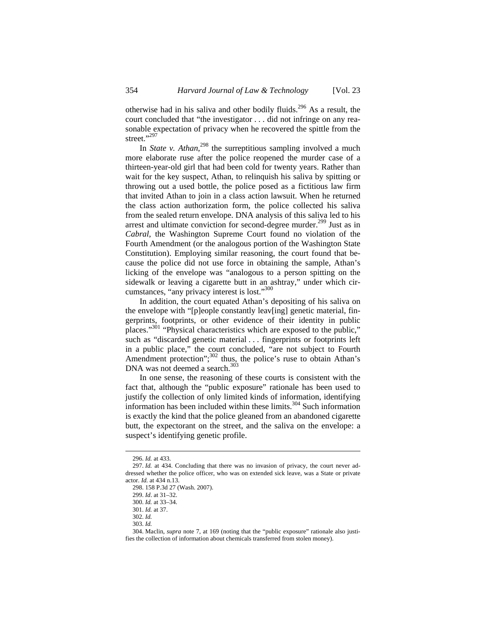otherwise had in his saliva and other bodily fluids.<sup>296</sup> As a result, the court concluded that "the investigator . . . did not infringe on any reasonable expectation of privacy when he recovered the spittle from the street."<sup>297</sup>

In *State v. Athan*<sup>298</sup>, the surreptitious sampling involved a much more elaborate ruse after the police reopened the murder case of a thirteen-year-old girl that had been cold for twenty years. Rather than wait for the key suspect, Athan, to relinquish his saliva by spitting or throwing out a used bottle, the police posed as a fictitious law firm that invited Athan to join in a class action lawsuit. When he returned the class action authorization form, the police collected his saliva from the sealed return envelope. DNA analysis of this saliva led to his arrest and ultimate conviction for second-degree murder.<sup>299</sup> Just as in *Cabral*, the Washington Supreme Court found no violation of the Fourth Amendment (or the analogous portion of the Washington State Constitution). Employing similar reasoning, the court found that because the police did not use force in obtaining the sample, Athan's licking of the envelope was "analogous to a person spitting on the sidewalk or leaving a cigarette butt in an ashtray," under which circumstances, "any privacy interest is lost."300

In addition, the court equated Athan's depositing of his saliva on the envelope with "[p]eople constantly leav[ing] genetic material, fingerprints, footprints, or other evidence of their identity in public places."301 "Physical characteristics which are exposed to the public," such as "discarded genetic material . . . fingerprints or footprints left in a public place," the court concluded, "are not subject to Fourth Amendment protection";<sup>302</sup> thus, the police's ruse to obtain Athan's DNA was not deemed a search.<sup>303</sup>

In one sense, the reasoning of these courts is consistent with the fact that, although the "public exposure" rationale has been used to justify the collection of only limited kinds of information, identifying information has been included within these limits.<sup>304</sup> Such information is exactly the kind that the police gleaned from an abandoned cigarette butt, the expectorant on the street, and the saliva on the envelope: a suspect's identifying genetic profile.

<sup>296.</sup> *Id.* at 433.

<sup>297.</sup> *Id.* at 434. Concluding that there was no invasion of privacy, the court never addressed whether the police officer, who was on extended sick leave, was a State or private actor. *Id.* at 434 n.13.

<sup>298. 158</sup> P.3d 27 (Wash. 2007).

<sup>299.</sup> *Id*. at 31–32.

<sup>300.</sup> *Id.* at 33–34.

<sup>301.</sup> *Id.* at 37.

<sup>302.</sup> *Id.*

<sup>303.</sup> *Id.*

<sup>304.</sup> Maclin, *supra* note 7, at 169 (noting that the "public exposure" rationale also justifies the collection of information about chemicals transferred from stolen money).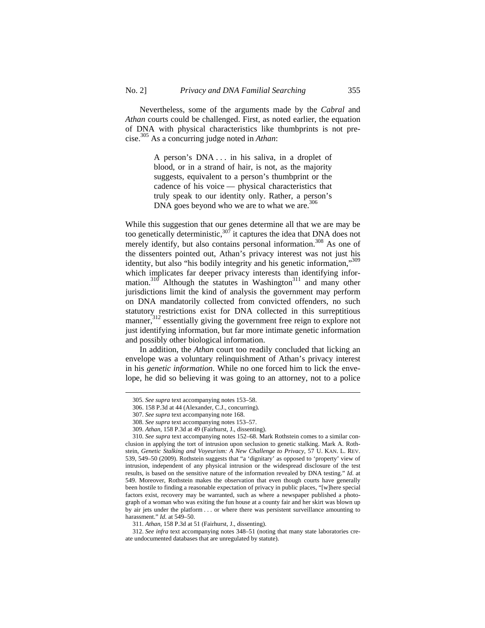Nevertheless, some of the arguments made by the *Cabral* and *Athan* courts could be challenged. First, as noted earlier, the equation of DNA with physical characteristics like thumbprints is not precise.305 As a concurring judge noted in *Athan*:

> A person's DNA . . . in his saliva, in a droplet of blood, or in a strand of hair, is not, as the majority suggests, equivalent to a person's thumbprint or the cadence of his voice — physical characteristics that truly speak to our identity only. Rather, a person's DNA goes beyond who we are to what we are.<sup>306</sup>

While this suggestion that our genes determine all that we are may be too genetically deterministic, $307$  it captures the idea that DNA does not merely identify, but also contains personal information.<sup>308</sup> As one of the dissenters pointed out, Athan's privacy interest was not just his identity, but also "his bodily integrity and his genetic information,"309 which implicates far deeper privacy interests than identifying information.<sup>310</sup> Although the statutes in Washington<sup>311</sup> and many other jurisdictions limit the kind of analysis the government may perform on DNA mandatorily collected from convicted offenders, no such statutory restrictions exist for DNA collected in this surreptitious manner,<sup>312</sup> essentially giving the government free reign to explore not just identifying information, but far more intimate genetic information and possibly other biological information.

In addition, the *Athan* court too readily concluded that licking an envelope was a voluntary relinquishment of Athan's privacy interest in his *genetic information*. While no one forced him to lick the envelope, he did so believing it was going to an attorney, not to a police

<sup>305.</sup> *See supra* text accompanying notes 153–58.

<sup>306. 158</sup> P.3d at 44 (Alexander, C.J., concurring).

<sup>307.</sup> *See supra* text accompanying note 168.

<sup>308.</sup> *See supra* text accompanying notes 153–57.

<sup>309.</sup> *Athan*, 158 P.3d at 49 (Fairhurst, J., dissenting).

<sup>310.</sup> *See supra* text accompanying notes 152–68. Mark Rothstein comes to a similar conclusion in applying the tort of intrusion upon seclusion to genetic stalking. Mark A. Rothstein, *Genetic Stalking and Voyeurism: A New Challenge to Privacy,* 57 U. KAN. L. REV. 539, 549–50 (2009). Rothstein suggests that "a 'dignitary' as opposed to 'property' view of intrusion, independent of any physical intrusion or the widespread disclosure of the test results, is based on the sensitive nature of the information revealed by DNA testing." *Id.* at 549. Moreover, Rothstein makes the observation that even though courts have generally been hostile to finding a reasonable expectation of privacy in public places, "[w]here special factors exist, recovery may be warranted, such as where a newspaper published a photograph of a woman who was exiting the fun house at a county fair and her skirt was blown up by air jets under the platform . . . or where there was persistent surveillance amounting to harassment." *Id.* at 549–50.

<sup>311.</sup> *Athan*, 158 P.3d at 51 (Fairhurst, J., dissenting).

<sup>312.</sup> *See infra* text accompanying notes 348–51 (noting that many state laboratories create undocumented databases that are unregulated by statute).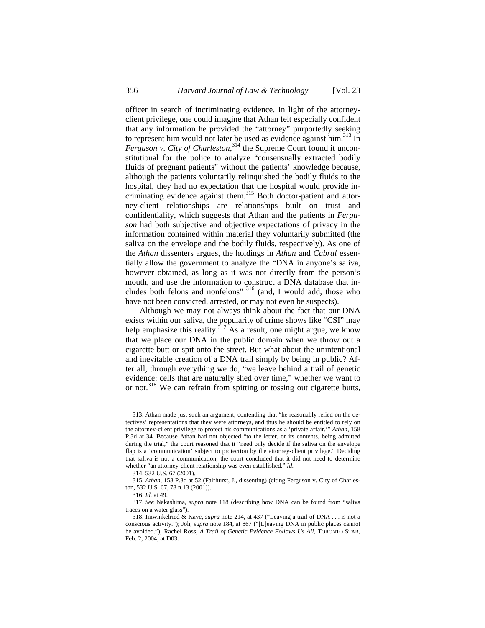officer in search of incriminating evidence. In light of the attorneyclient privilege, one could imagine that Athan felt especially confident that any information he provided the "attorney" purportedly seeking to represent him would not later be used as evidence against him.<sup>313</sup> In *Ferguson v. City of Charleston*, 314 the Supreme Court found it unconstitutional for the police to analyze "consensually extracted bodily fluids of pregnant patients" without the patients' knowledge because, although the patients voluntarily relinquished the bodily fluids to the hospital, they had no expectation that the hospital would provide incriminating evidence against them.<sup>315</sup> Both doctor-patient and attorney-client relationships are relationships built on trust and confidentiality, which suggests that Athan and the patients in *Ferguson* had both subjective and objective expectations of privacy in the information contained within material they voluntarily submitted (the saliva on the envelope and the bodily fluids, respectively). As one of the *Athan* dissenters argues, the holdings in *Athan* and *Cabral* essentially allow the government to analyze the "DNA in anyone's saliva, however obtained, as long as it was not directly from the person's mouth, and use the information to construct a DNA database that includes both felons and nonfelons" <sup>316</sup> (and, I would add, those who have not been convicted, arrested, or may not even be suspects).

Although we may not always think about the fact that our DNA exists within our saliva, the popularity of crime shows like "CSI" may help emphasize this reality.<sup>317</sup> As a result, one might argue, we know that we place our DNA in the public domain when we throw out a cigarette butt or spit onto the street. But what about the unintentional and inevitable creation of a DNA trail simply by being in public? After all, through everything we do, "we leave behind a trail of genetic evidence: cells that are naturally shed over time," whether we want to or not.318 We can refrain from spitting or tossing out cigarette butts,

<sup>313.</sup> Athan made just such an argument, contending that "he reasonably relied on the detectives' representations that they were attorneys, and thus he should be entitled to rely on the attorney-client privilege to protect his communications as a 'private affair.'" *Athan*, 158 P.3d at 34. Because Athan had not objected "to the letter, or its contents, being admitted during the trial," the court reasoned that it "need only decide if the saliva on the envelope flap is a 'communication' subject to protection by the attorney-client privilege." Deciding that saliva is not a communication, the court concluded that it did not need to determine whether "an attorney-client relationship was even established." *Id.* 

<sup>314. 532</sup> U.S. 67 (2001).

<sup>315.</sup> *Athan*, 158 P.3d at 52 (Fairhurst, J., dissenting) (citing Ferguson v. City of Charleston, 532 U.S. 67, 78 n.13 (2001)).

<sup>316.</sup> *Id.* at 49.

<sup>317.</sup> *See* Nakashima, *supra* note 118 (describing how DNA can be found from "saliva traces on a water glass").

<sup>318.</sup> Imwinkelried & Kaye, *supra* note 214, at 437 ("Leaving a trail of DNA . . . is not a conscious activity."); Joh, *supra* note 184, at 867 ("[L]eaving DNA in public places cannot be avoided."); Rachel Ross, *A Trail of Genetic Evidence Follows Us All*, TORONTO STAR, Feb. 2, 2004, at D03.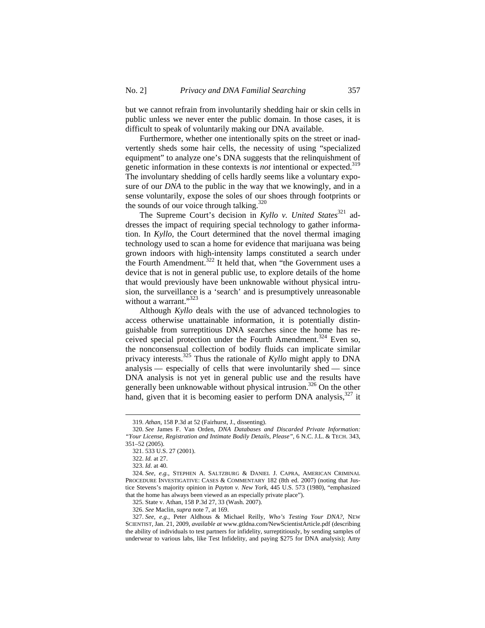but we cannot refrain from involuntarily shedding hair or skin cells in public unless we never enter the public domain. In those cases, it is difficult to speak of voluntarily making our DNA available.

Furthermore, whether one intentionally spits on the street or inadvertently sheds some hair cells, the necessity of using "specialized equipment" to analyze one's DNA suggests that the relinquishment of genetic information in these contexts is *not* intentional or expected.<sup>319</sup> The involuntary shedding of cells hardly seems like a voluntary exposure of our *DNA* to the public in the way that we knowingly, and in a sense voluntarily, expose the soles of our shoes through footprints or the sounds of our voice through talking.<sup>320</sup>

The Supreme Court's decision in *Kyllo v. United States*<sup>321</sup> addresses the impact of requiring special technology to gather information. In *Kyllo*, the Court determined that the novel thermal imaging technology used to scan a home for evidence that marijuana was being grown indoors with high-intensity lamps constituted a search under the Fourth Amendment.322 It held that, when "the Government uses a device that is not in general public use, to explore details of the home that would previously have been unknowable without physical intrusion, the surveillance is a 'search' and is presumptively unreasonable without a warrant."323

Although *Kyllo* deals with the use of advanced technologies to access otherwise unattainable information, it is potentially distinguishable from surreptitious DNA searches since the home has received special protection under the Fourth Amendment.<sup>324</sup> Even so, the nonconsensual collection of bodily fluids can implicate similar privacy interests.325 Thus the rationale of *Kyllo* might apply to DNA analysis — especially of cells that were involuntarily shed — since DNA analysis is not yet in general public use and the results have generally been unknowable without physical intrusion.<sup>326</sup> On the other hand, given that it is becoming easier to perform DNA analysis, $327$  it

 $\overline{a}$ 

325. State v. Athan, 158 P.3d 27, 33 (Wash. 2007).

<sup>319.</sup> *Athan*, 158 P.3d at 52 (Fairhurst, J., dissenting).

<sup>320.</sup> *See* James F. Van Orden, *DNA Databases and Discarded Private Information: "Your License, Registration and Intimate Bodily Details, Please"*, 6 N.C. J.L. & TECH. 343, 351–52 (2005).

<sup>321. 533</sup> U.S. 27 (2001).

<sup>322.</sup> *Id.* at 27.

<sup>323.</sup> *Id*. at 40.

<sup>324.</sup> *See, e.g.*, STEPHEN A. SALTZBURG & DANIEL J. CAPRA, AMERICAN CRIMINAL PROCEDURE INVESTIGATIVE: CASES & COMMENTARY 182 (8th ed. 2007) (noting that Justice Stevens's majority opinion in *Payton v. New York*, 445 U.S. 573 (1980), "emphasized that the home has always been viewed as an especially private place").

<sup>326.</sup> *See* Maclin, *supra* note 7, at 169.

<sup>327.</sup> *See, e.g.*, Peter Aldhous & Michael Reilly, *Who's Testing Your DNA?*, NEW SCIENTIST, Jan. 21, 2009, *available at* www.gtldna.com/NewScientistArticle.pdf (describing the ability of individuals to test partners for infidelity, surreptitiously, by sending samples of underwear to various labs, like Test Infidelity, and paying \$275 for DNA analysis); Amy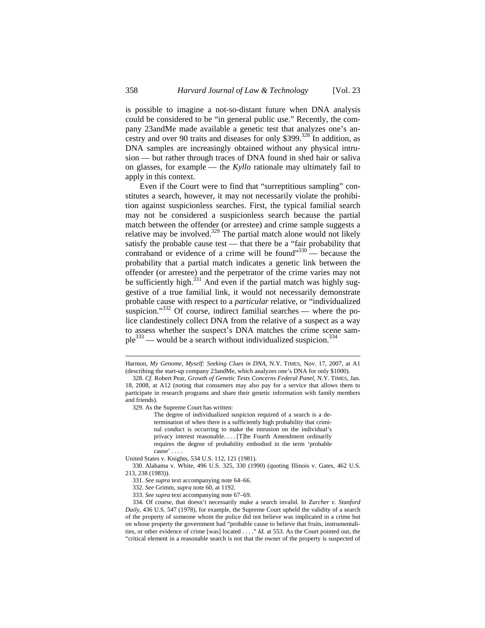is possible to imagine a not-so-distant future when DNA analysis could be considered to be "in general public use." Recently, the company 23andMe made available a genetic test that analyzes one's ancestry and over 90 traits and diseases for only \$399.<sup>328</sup> In addition, as DNA samples are increasingly obtained without any physical intrusion — but rather through traces of DNA found in shed hair or saliva on glasses, for example — the *Kyllo* rationale may ultimately fail to apply in this context.

Even if the Court were to find that "surreptitious sampling" constitutes a search, however, it may not necessarily violate the prohibition against suspicionless searches. First, the typical familial search may not be considered a suspicionless search because the partial match between the offender (or arrestee) and crime sample suggests a relative may be involved. $329$  The partial match alone would not likely satisfy the probable cause test — that there be a "fair probability that contraband or evidence of a crime will be found" $330$  — because the probability that a partial match indicates a genetic link between the offender (or arrestee) and the perpetrator of the crime varies may not be sufficiently high. $331$  And even if the partial match was highly suggestive of a true familial link, it would not necessarily demonstrate probable cause with respect to a *particular* relative, or "individualized suspicion."<sup>332</sup> Of course, indirect familial searches — where the police clandestinely collect DNA from the relative of a suspect as a way to assess whether the suspect's DNA matches the crime scene sam $ple^{333}$  — would be a search without individualized suspicion.<sup>334</sup>

329. As the Supreme Court has written:

The degree of individualized suspicion required of a search is a determination of when there is a sufficiently high probability that criminal conduct is occurring to make the intrusion on the individual's privacy interest reasonable. . . . [T]he Fourth Amendment ordinarily requires the degree of probability embodied in the term 'probable cause' . . . .

United States v. Knights, 534 U.S. 112, 121 (1981).

330. Alabama v. White, 496 U.S. 325, 330 (1990) (quoting Illinois v. Gates, 462 U.S. 213, 238 (1983)).

331. *See supra* text accompanying note 64–66.

332. *See* Grimm, *supra* note 60, at 1192.

333. *See supra* text accompanying note 67–69.

Harmon, *My Genome, Myself: Seeking Clues in DNA*, N.Y. TIMES, Nov. 17, 2007, at A1 (describing the start-up company 23andMe, which analyzes one's DNA for only \$1000).

<sup>328.</sup> *Cf.* Robert Pear, *Growth of Genetic Tests Concerns Federal Panel*, N.Y. TIMES, Jan. 18, 2008, at A12 (noting that consumers may also pay for a service that allows them to participate in research programs and share their genetic information with family members and friends).

<sup>334.</sup> Of course, that doesn't necessarily make a search invalid. In *Zurcher v. Stanford Daily*, 436 U.S. 547 (1978), for example, the Supreme Court upheld the validity of a search of the property of someone whom the police did not believe was implicated in a crime but on whose property the government had "probable cause to believe that fruits, instrumentalities, or other evidence of crime [was] located . . . ." *Id.* at 553. As the Court pointed out, the "critical element in a reasonable search is not that the owner of the property is suspected of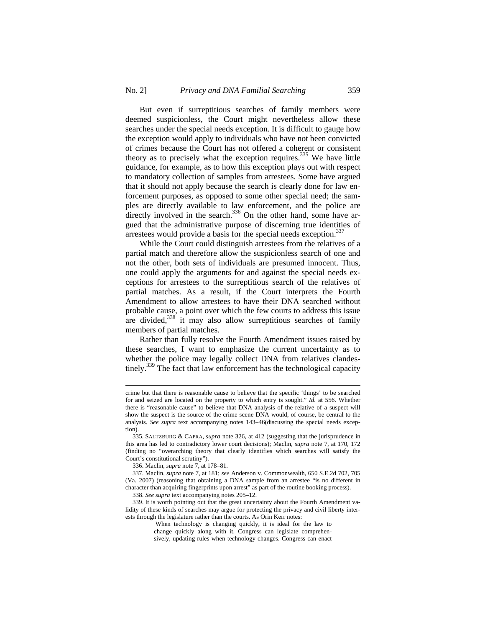But even if surreptitious searches of family members were deemed suspicionless, the Court might nevertheless allow these searches under the special needs exception. It is difficult to gauge how the exception would apply to individuals who have not been convicted of crimes because the Court has not offered a coherent or consistent theory as to precisely what the exception requires.<sup>335</sup> We have little guidance, for example, as to how this exception plays out with respect to mandatory collection of samples from arrestees. Some have argued that it should not apply because the search is clearly done for law enforcement purposes, as opposed to some other special need; the samples are directly available to law enforcement, and the police are directly involved in the search. $336$  On the other hand, some have argued that the administrative purpose of discerning true identities of arrestees would provide a basis for the special needs exception.<sup>337</sup>

While the Court could distinguish arrestees from the relatives of a partial match and therefore allow the suspicionless search of one and not the other, both sets of individuals are presumed innocent. Thus, one could apply the arguments for and against the special needs exceptions for arrestees to the surreptitious search of the relatives of partial matches. As a result, if the Court interprets the Fourth Amendment to allow arrestees to have their DNA searched without probable cause, a point over which the few courts to address this issue are divided,<sup>338</sup> it may also allow surreptitious searches of family members of partial matches.

Rather than fully resolve the Fourth Amendment issues raised by these searches, I want to emphasize the current uncertainty as to whether the police may legally collect DNA from relatives clandestinely.339 The fact that law enforcement has the technological capacity

crime but that there is reasonable cause to believe that the specific 'things' to be searched for and seized are located on the property to which entry is sought." *Id.* at 556. Whether there is "reasonable cause" to believe that DNA analysis of the relative of a suspect will show the suspect is the source of the crime scene DNA would, of course, be central to the analysis. *See supra* text accompanying notes 143–46(discussing the special needs exception).

<sup>335.</sup> SALTZBURG & CAPRA, *supra* note 326, at 412 (suggesting that the jurisprudence in this area has led to contradictory lower court decisions); Maclin, *supra* note 7, at 170, 172 (finding no "overarching theory that clearly identifies which searches will satisfy the Court's constitutional scrutiny").

<sup>336.</sup> Maclin, *supra* note 7, at 178–81.

<sup>337.</sup> Maclin, *supra* note 7, at 181; *see* Anderson v. Commonwealth, 650 S.E.2d 702, 705 (Va. 2007) (reasoning that obtaining a DNA sample from an arrestee "is no different in character than acquiring fingerprints upon arrest" as part of the routine booking process).

<sup>338.</sup> *See supra* text accompanying notes 205–12.

<sup>339.</sup> It is worth pointing out that the great uncertainty about the Fourth Amendment validity of these kinds of searches may argue for protecting the privacy and civil liberty interests through the legislature rather than the courts. As Orin Kerr notes:

When technology is changing quickly, it is ideal for the law to change quickly along with it. Congress can legislate comprehen-

sively, updating rules when technology changes. Congress can enact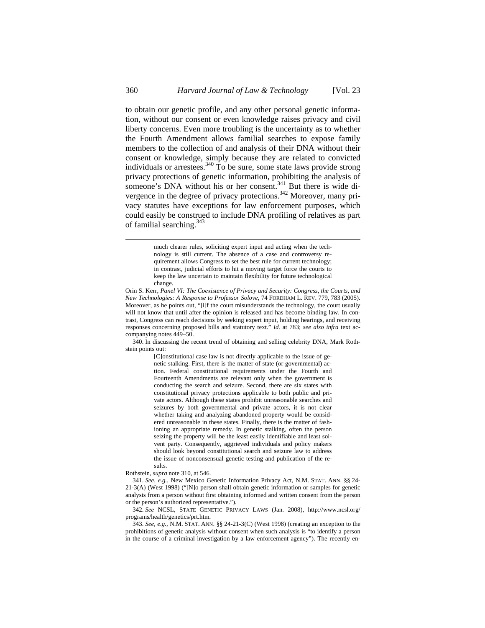to obtain our genetic profile, and any other personal genetic information, without our consent or even knowledge raises privacy and civil liberty concerns. Even more troubling is the uncertainty as to whether the Fourth Amendment allows familial searches to expose family members to the collection of and analysis of their DNA without their consent or knowledge, simply because they are related to convicted individuals or arrestees.<sup>340</sup> To be sure, some state laws provide strong privacy protections of genetic information, prohibiting the analysis of someone's DNA without his or her consent.<sup>341</sup> But there is wide divergence in the degree of privacy protections.<sup>342</sup> Moreover, many privacy statutes have exceptions for law enforcement purposes, which could easily be construed to include DNA profiling of relatives as part of familial searching.<sup>343</sup>

> much clearer rules, soliciting expert input and acting when the technology is still current. The absence of a case and controversy requirement allows Congress to set the best rule for current technology; in contrast, judicial efforts to hit a moving target force the courts to keep the law uncertain to maintain flexibility for future technological change.

340. In discussing the recent trend of obtaining and selling celebrity DNA, Mark Rothstein points out:

[C]onstitutional case law is not directly applicable to the issue of genetic stalking. First, there is the matter of state (or governmental) action. Federal constitutional requirements under the Fourth and Fourteenth Amendments are relevant only when the government is conducting the search and seizure. Second, there are six states with constitutional privacy protections applicable to both public and private actors. Although these states prohibit unreasonable searches and seizures by both governmental and private actors, it is not clear whether taking and analyzing abandoned property would be considered unreasonable in these states. Finally, there is the matter of fashioning an appropriate remedy. In genetic stalking, often the person seizing the property will be the least easily identifiable and least solvent party. Consequently, aggrieved individuals and policy makers should look beyond constitutional search and seizure law to address the issue of nonconsensual genetic testing and publication of the results.

Rothstein, *supra* note 310, at 546.

341. *See, e.g.*, New Mexico Genetic Information Privacy Act, N.M. STAT. ANN. §§ 24- 21-3(A) (West 1998) ("[N]o person shall obtain genetic information or samples for genetic analysis from a person without first obtaining informed and written consent from the person or the person's authorized representative.").

342. *See* NCSL, STATE GENETIC PRIVACY LAWS (Jan. 2008), http://www.ncsl.org/ programs/health/genetics/prt.htm.

343. *See, e.g.*, N.M. STAT. ANN. §§ 24-21-3(C) (West 1998) (creating an exception to the prohibitions of genetic analysis without consent when such analysis is "to identify a person in the course of a criminal investigation by a law enforcement agency"). The recently en-

Orin S. Kerr, *Panel VI: The Coexistence of Privacy and Security: Congress, the Courts, and New Technologies: A Response to Professor Solove*, 74 FORDHAM L. REV. 779, 783 (2005). Moreover, as he points out, "[i]f the court misunderstands the technology, the court usually will not know that until after the opinion is released and has become binding law. In contrast, Congress can reach decisions by seeking expert input, holding hearings, and receiving responses concerning proposed bills and statutory text." *Id.* at 783; *see also infra* text accompanying notes 449–50.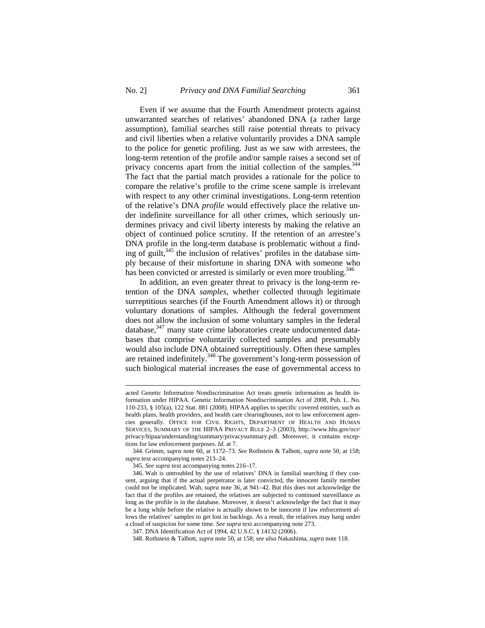$\overline{a}$ 

Even if we assume that the Fourth Amendment protects against unwarranted searches of relatives' abandoned DNA (a rather large assumption), familial searches still raise potential threats to privacy and civil liberties when a relative voluntarily provides a DNA sample to the police for genetic profiling. Just as we saw with arrestees, the long-term retention of the profile and/or sample raises a second set of privacy concerns apart from the initial collection of the samples.<sup>344</sup> The fact that the partial match provides a rationale for the police to compare the relative's profile to the crime scene sample is irrelevant with respect to any other criminal investigations. Long-term retention of the relative's DNA *profile* would effectively place the relative under indefinite surveillance for all other crimes, which seriously undermines privacy and civil liberty interests by making the relative an object of continued police scrutiny. If the retention of an arrestee's DNA profile in the long-term database is problematic without a finding of guilt, $345$  the inclusion of relatives' profiles in the database simply because of their misfortune in sharing DNA with someone who has been convicted or arrested is similarly or even more troubling.<sup>346</sup>

In addition, an even greater threat to privacy is the long-term retention of the DNA *samples*, whether collected through legitimate surreptitious searches (if the Fourth Amendment allows it) or through voluntary donations of samples. Although the federal government does not allow the inclusion of some voluntary samples in the federal database,<sup>347</sup> many state crime laboratories create undocumented databases that comprise voluntarily collected samples and presumably would also include DNA obtained surreptitiously. Often these samples are retained indefinitely.<sup>348</sup> The government's long-term possession of such biological material increases the ease of governmental access to

acted Genetic Information Nondiscrimination Act treats genetic information as health information under HIPAA. Genetic Information Nondiscrimination Act of 2008, Pub. L. No. 110-233, § 105(a), 122 Stat. 881 (2008). HIPAA applies to specific covered entities, such as health plans, health providers, and health care clearinghouses, not to law enforcement agencies generally. OFFICE FOR CIVIL RIGHTS, DEPARTMENT OF HEALTH AND HUMAN SERVICES, SUMMARY OF THE HIPAA PRIVACY RULE 2–3 (2003), http://www.hhs.gov/ocr/ privacy/hipaa/understanding/summary/privacysummary.pdf. Moreover, it contains exceptions for law enforcement purposes. *Id.* at 7.

<sup>344.</sup> Grimm, *supra* note 60, at 1172–73. *See* Rothstein & Talbott, *supra* note 50, at 158; *supra* text accompanying notes 213–24.

<sup>345.</sup> *See supra* text accompanying notes 216–17.

<sup>346.</sup> Wah is untroubled by the use of relatives' DNA in familial searching if they consent, arguing that if the actual perpetrator is later convicted, the innocent family member could not be implicated. Wah, *supra* note 36, at 941–42. But this does not acknowledge the fact that if the profiles are retained, the relatives are subjected to continued surveillance as long as the profile is in the database. Moreover, it doesn't acknowledge the fact that it may be a long while before the relative is actually shown to be innocent if law enforcement allows the relatives' samples to get lost in backlogs. As a result, the relatives may hang under a cloud of suspicion for some time. *See supra* text accompanying note 273.

<sup>347.</sup> DNA Identification Act of 1994, 42 U.S.C. § 14132 (2006).

<sup>348.</sup> Rothstein & Talbott, *supra* note 50, at 158; *see also* Nakashima, *supra* note 118.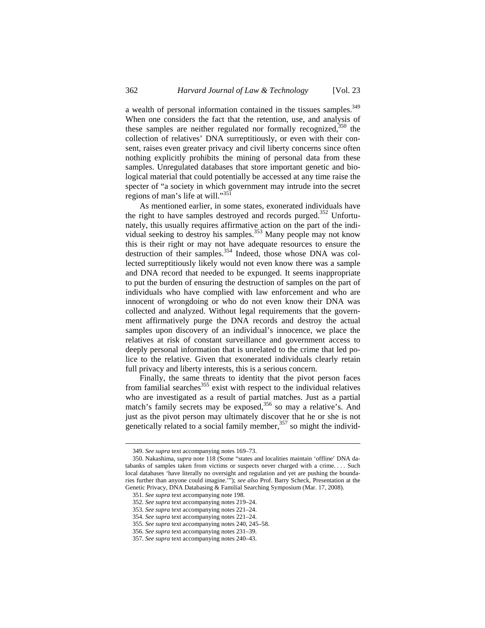a wealth of personal information contained in the tissues samples.<sup>349</sup> When one considers the fact that the retention, use, and analysis of these samples are neither regulated nor formally recognized,  $350$  the collection of relatives' DNA surreptitiously, or even with their consent, raises even greater privacy and civil liberty concerns since often nothing explicitly prohibits the mining of personal data from these samples. Unregulated databases that store important genetic and biological material that could potentially be accessed at any time raise the specter of "a society in which government may intrude into the secret regions of man's life at will."<sup>351</sup>

As mentioned earlier, in some states, exonerated individuals have the right to have samples destroyed and records purged.<sup>352</sup> Unfortunately, this usually requires affirmative action on the part of the individual seeking to destroy his samples.<sup>353</sup> Many people may not know this is their right or may not have adequate resources to ensure the destruction of their samples.<sup>354</sup> Indeed, those whose DNA was collected surreptitiously likely would not even know there was a sample and DNA record that needed to be expunged. It seems inappropriate to put the burden of ensuring the destruction of samples on the part of individuals who have complied with law enforcement and who are innocent of wrongdoing or who do not even know their DNA was collected and analyzed. Without legal requirements that the government affirmatively purge the DNA records and destroy the actual samples upon discovery of an individual's innocence, we place the relatives at risk of constant surveillance and government access to deeply personal information that is unrelated to the crime that led police to the relative. Given that exonerated individuals clearly retain full privacy and liberty interests, this is a serious concern.

Finally, the same threats to identity that the pivot person faces from familial searches<sup>355</sup> exist with respect to the individual relatives who are investigated as a result of partial matches. Just as a partial match's family secrets may be exposed,<sup>356</sup> so may a relative's. And just as the pivot person may ultimately discover that he or she is not genetically related to a social family member,  $357$  so might the individ-

<sup>349.</sup> *See supra* text accompanying notes 169–73.

<sup>350.</sup> Nakashima, *supra* note 118 (Some "states and localities maintain 'offline' DNA databanks of samples taken from victims or suspects never charged with a crime. . . . Such local databases 'have literally no oversight and regulation and yet are pushing the boundaries further than anyone could imagine.'"); *see also* Prof. Barry Scheck, Presentation at the Genetic Privacy, DNA Databasing & Familial Searching Symposium (Mar. 17, 2008).

<sup>351.</sup> *See supra* text accompanying note 198.

<sup>352.</sup> *See supra* text accompanying notes 219–24.

<sup>353.</sup> *See supra* text accompanying notes 221–24.

<sup>354.</sup> *See supra* text accompanying notes 221–24.

<sup>355.</sup> *See supra* text accompanying notes 240, 245–58.

<sup>356.</sup> *See supra* text accompanying notes 231–39.

<sup>357.</sup> *See supra* text accompanying notes 240–43.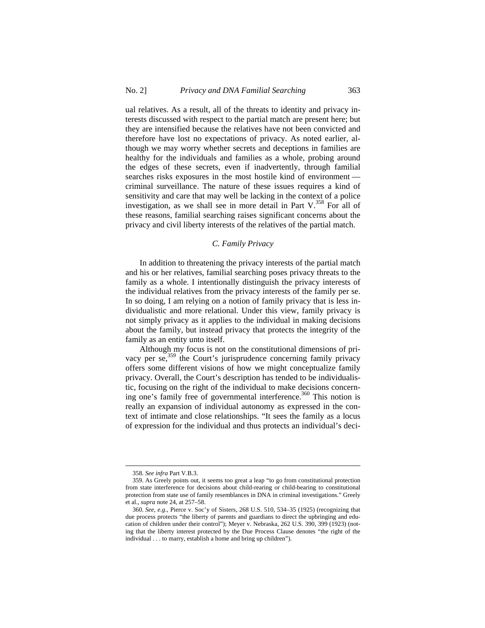ual relatives. As a result, all of the threats to identity and privacy interests discussed with respect to the partial match are present here; but they are intensified because the relatives have not been convicted and therefore have lost no expectations of privacy. As noted earlier, although we may worry whether secrets and deceptions in families are healthy for the individuals and families as a whole, probing around the edges of these secrets, even if inadvertently, through familial searches risks exposures in the most hostile kind of environment criminal surveillance. The nature of these issues requires a kind of sensitivity and care that may well be lacking in the context of a police investigation, as we shall see in more detail in Part  $V^{358}$  For all of these reasons, familial searching raises significant concerns about the privacy and civil liberty interests of the relatives of the partial match.

# *C. Family Privacy*

In addition to threatening the privacy interests of the partial match and his or her relatives, familial searching poses privacy threats to the family as a whole. I intentionally distinguish the privacy interests of the individual relatives from the privacy interests of the family per se. In so doing, I am relying on a notion of family privacy that is less individualistic and more relational. Under this view, family privacy is not simply privacy as it applies to the individual in making decisions about the family, but instead privacy that protects the integrity of the family as an entity unto itself.

Although my focus is not on the constitutional dimensions of privacy per se,<sup>359</sup> the Court's jurisprudence concerning family privacy offers some different visions of how we might conceptualize family privacy. Overall, the Court's description has tended to be individualistic, focusing on the right of the individual to make decisions concerning one's family free of governmental interference.<sup>360</sup> This notion is really an expansion of individual autonomy as expressed in the context of intimate and close relationships. "It sees the family as a locus of expression for the individual and thus protects an individual's deci-

<sup>358.</sup> *See infra* Part V.B.3.

<sup>359.</sup> As Greely points out, it seems too great a leap "to go from constitutional protection from state interference for decisions about child-rearing or child-bearing to constitutional protection from state use of family resemblances in DNA in criminal investigations." Greely et al., *supra* note 24, at 257–58.

<sup>360.</sup> *See, e.g.*, Pierce v. Soc'y of Sisters, 268 U.S. 510, 534–35 (1925) (recognizing that due process protects "the liberty of parents and guardians to direct the upbringing and education of children under their control"); Meyer v. Nebraska, 262 U.S. 390, 399 (1923) (noting that the liberty interest protected by the Due Process Clause denotes "the right of the individual . . . to marry, establish a home and bring up children").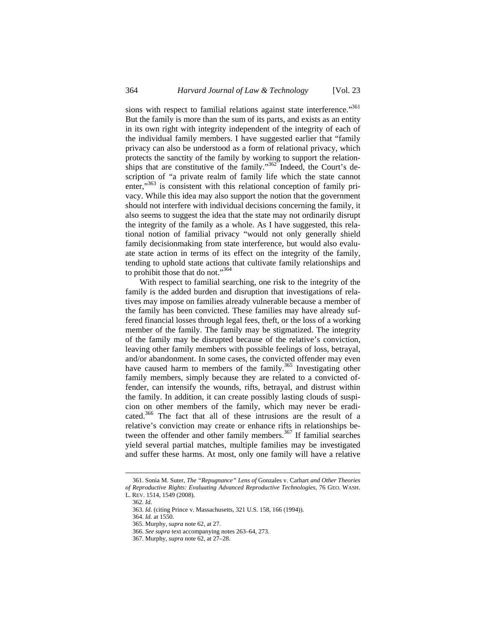sions with respect to familial relations against state interference."361 But the family is more than the sum of its parts, and exists as an entity in its own right with integrity independent of the integrity of each of the individual family members. I have suggested earlier that "family privacy can also be understood as a form of relational privacy, which protects the sanctity of the family by working to support the relationships that are constitutive of the family." $362$  Indeed, the Court's description of "a private realm of family life which the state cannot enter,"<sup>363</sup> is consistent with this relational conception of family privacy. While this idea may also support the notion that the government should not interfere with individual decisions concerning the family, it also seems to suggest the idea that the state may not ordinarily disrupt the integrity of the family as a whole. As I have suggested, this relational notion of familial privacy "would not only generally shield family decisionmaking from state interference, but would also evaluate state action in terms of its effect on the integrity of the family, tending to uphold state actions that cultivate family relationships and to prohibit those that do not."364

With respect to familial searching, one risk to the integrity of the family is the added burden and disruption that investigations of relatives may impose on families already vulnerable because a member of the family has been convicted. These families may have already suffered financial losses through legal fees, theft, or the loss of a working member of the family. The family may be stigmatized. The integrity of the family may be disrupted because of the relative's conviction, leaving other family members with possible feelings of loss, betrayal, and/or abandonment. In some cases, the convicted offender may even have caused harm to members of the family.<sup>365</sup> Investigating other family members, simply because they are related to a convicted offender, can intensify the wounds, rifts, betrayal, and distrust within the family. In addition, it can create possibly lasting clouds of suspicion on other members of the family, which may never be eradicated.<sup>366</sup> The fact that all of these intrusions are the result of a relative's conviction may create or enhance rifts in relationships between the offender and other family members.<sup>367</sup> If familial searches yield several partial matches, multiple families may be investigated and suffer these harms. At most, only one family will have a relative

<sup>361.</sup> Sonia M. Suter, *The "Repugnance" Lens of* Gonzales v. Carhart *and Other Theories of Reproductive Rights: Evaluating Advanced Reproductive Technologies*, 76 GEO. WASH. L. REV. 1514, 1549 (2008).

<sup>362.</sup> *Id.*

<sup>363.</sup> *Id.* (citing Prince v. Massachusetts, 321 U.S. 158, 166 (1994)).

<sup>364.</sup> *Id.* at 1550.

<sup>365.</sup> Murphy, *supra* note 62, at 27.

<sup>366.</sup> *See supra* text accompanying notes 263–64, 273.

<sup>367.</sup> Murphy, *supra* note 62, at 27–28.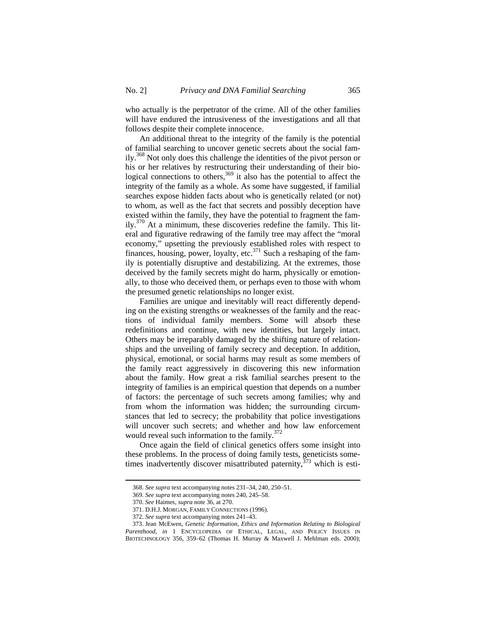who actually is the perpetrator of the crime. All of the other families will have endured the intrusiveness of the investigations and all that follows despite their complete innocence.

An additional threat to the integrity of the family is the potential of familial searching to uncover genetic secrets about the social family.<sup>368</sup> Not only does this challenge the identities of the pivot person or his or her relatives by restructuring their understanding of their biological connections to others, $369$  it also has the potential to affect the integrity of the family as a whole. As some have suggested, if familial searches expose hidden facts about who is genetically related (or not) to whom, as well as the fact that secrets and possibly deception have existed within the family, they have the potential to fragment the fam $i\frac{1}{3}$  At a minimum, these discoveries redefine the family. This literal and figurative redrawing of the family tree may affect the "moral economy," upsetting the previously established roles with respect to finances, housing, power, loyalty, etc. $371$  Such a reshaping of the family is potentially disruptive and destabilizing. At the extremes, those deceived by the family secrets might do harm, physically or emotionally, to those who deceived them, or perhaps even to those with whom the presumed genetic relationships no longer exist.

Families are unique and inevitably will react differently depending on the existing strengths or weaknesses of the family and the reactions of individual family members. Some will absorb these redefinitions and continue, with new identities, but largely intact. Others may be irreparably damaged by the shifting nature of relationships and the unveiling of family secrecy and deception. In addition, physical, emotional, or social harms may result as some members of the family react aggressively in discovering this new information about the family. How great a risk familial searches present to the integrity of families is an empirical question that depends on a number of factors: the percentage of such secrets among families; why and from whom the information was hidden; the surrounding circumstances that led to secrecy; the probability that police investigations will uncover such secrets; and whether and how law enforcement would reveal such information to the family. $372$ 

Once again the field of clinical genetics offers some insight into these problems. In the process of doing family tests, geneticists sometimes inadvertently discover misattributed paternity,  $373$  which is esti-

<sup>368.</sup> *See supra* text accompanying notes 231–34, 240, 250–51.

<sup>369.</sup> *See supra* text accompanying notes 240, 245–58.

<sup>370.</sup> *See* Haimes, *supra* note 36, at 270.

<sup>371.</sup> D.H.J. MORGAN, FAMILY CONNECTIONS (1996).

<sup>372.</sup> *See supra* text accompanying notes 241–43.

<sup>373.</sup> Jean McEwen, *Genetic Information, Ethics and Information Relating to Biological Parenthood*, *in* 1 ENCYCLOPEDIA OF ETHICAL, LEGAL, AND POLICY ISSUES IN BIOTECHNOLOGY 356, 359–62 (Thomas H. Murray & Maxwell J. Mehlman eds. 2000);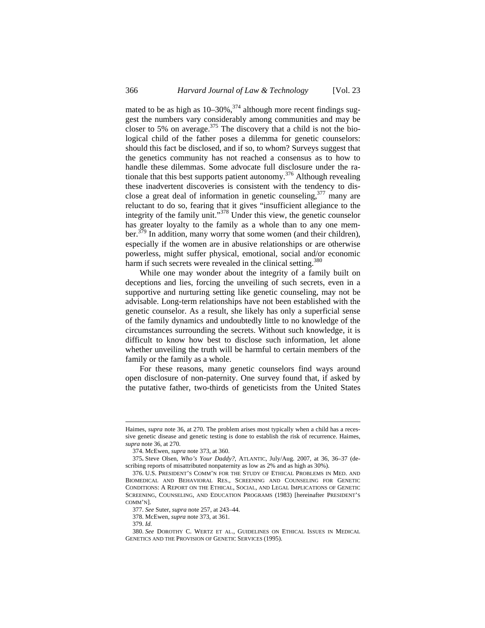mated to be as high as  $10-30\%$ ,<sup>374</sup> although more recent findings suggest the numbers vary considerably among communities and may be closer to 5% on average. $375$  The discovery that a child is not the biological child of the father poses a dilemma for genetic counselors: should this fact be disclosed, and if so, to whom? Surveys suggest that the genetics community has not reached a consensus as to how to handle these dilemmas. Some advocate full disclosure under the rationale that this best supports patient autonomy.376 Although revealing these inadvertent discoveries is consistent with the tendency to disclose a great deal of information in genetic counseling,  $377$  many are reluctant to do so, fearing that it gives "insufficient allegiance to the integrity of the family unit."378 Under this view, the genetic counselor has greater loyalty to the family as a whole than to any one member.<sup>379</sup> In addition, many worry that some women (and their children), especially if the women are in abusive relationships or are otherwise powerless, might suffer physical, emotional, social and/or economic harm if such secrets were revealed in the clinical setting.<sup>380</sup>

While one may wonder about the integrity of a family built on deceptions and lies, forcing the unveiling of such secrets, even in a supportive and nurturing setting like genetic counseling, may not be advisable. Long-term relationships have not been established with the genetic counselor. As a result, she likely has only a superficial sense of the family dynamics and undoubtedly little to no knowledge of the circumstances surrounding the secrets. Without such knowledge, it is difficult to know how best to disclose such information, let alone whether unveiling the truth will be harmful to certain members of the family or the family as a whole.

For these reasons, many genetic counselors find ways around open disclosure of non-paternity. One survey found that, if asked by the putative father, two-thirds of geneticists from the United States

Haimes, *supra* note 36, at 270. The problem arises most typically when a child has a recessive genetic disease and genetic testing is done to establish the risk of recurrence. Haimes, *supra* note 36, at 270.

<sup>374.</sup> McEwen, *supra* note 373, at 360.

<sup>375</sup>**.** Steve Olsen, *Who's Your Daddy?*, ATLANTIC, July/Aug. 2007, at 36, 36–37 (describing reports of misattributed nonpaternity as low as 2% and as high as 30%).

<sup>376.</sup> U.S. PRESIDENT'S COMM'N FOR THE STUDY OF ETHICAL PROBLEMS IN MED. AND BIOMEDICAL AND BEHAVIORAL RES., SCREENING AND COUNSELING FOR GENETIC CONDITIONS: A REPORT ON THE ETHICAL, SOCIAL, AND LEGAL IMPLICATIONS OF GENETIC SCREENING, COUNSELING, AND EDUCATION PROGRAMS (1983) [hereinafter PRESIDENT'S COMM'N].

<sup>377.</sup> *See* Suter, *supra* note 257, at 243–44.

<sup>378.</sup> McEwen, *supra* note 373, at 361.

<sup>379.</sup> *Id.*

<sup>380.</sup> *See* DOROTHY C. WERTZ ET AL., GUIDELINES ON ETHICAL ISSUES IN MEDICAL GENETICS AND THE PROVISION OF GENETIC SERVICES (1995).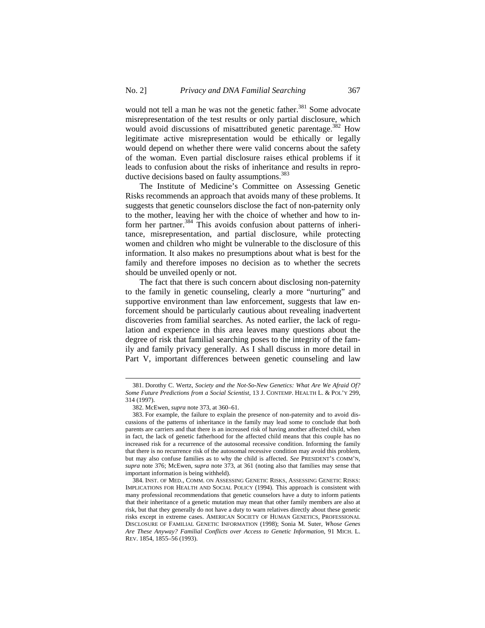would not tell a man he was not the genetic father.<sup>381</sup> Some advocate misrepresentation of the test results or only partial disclosure, which would avoid discussions of misattributed genetic parentage.<sup>382</sup> How legitimate active misrepresentation would be ethically or legally would depend on whether there were valid concerns about the safety of the woman. Even partial disclosure raises ethical problems if it leads to confusion about the risks of inheritance and results in reproductive decisions based on faulty assumptions.<sup>383</sup>

The Institute of Medicine's Committee on Assessing Genetic Risks recommends an approach that avoids many of these problems. It suggests that genetic counselors disclose the fact of non-paternity only to the mother, leaving her with the choice of whether and how to inform her partner.<sup>384</sup> This avoids confusion about patterns of inheritance, misrepresentation, and partial disclosure, while protecting women and children who might be vulnerable to the disclosure of this information. It also makes no presumptions about what is best for the family and therefore imposes no decision as to whether the secrets should be unveiled openly or not.

The fact that there is such concern about disclosing non-paternity to the family in genetic counseling, clearly a more "nurturing" and supportive environment than law enforcement, suggests that law enforcement should be particularly cautious about revealing inadvertent discoveries from familial searches. As noted earlier, the lack of regulation and experience in this area leaves many questions about the degree of risk that familial searching poses to the integrity of the family and family privacy generally. As I shall discuss in more detail in Part V, important differences between genetic counseling and law

<sup>381.</sup> Dorothy C. Wertz, *Society and the Not-So-New Genetics: What Are We Afraid Of? Some Future Predictions from a Social Scientist*, 13 J. CONTEMP. HEALTH L. & POL'Y 299, 314 (1997).

<sup>382.</sup> McEwen, *supra* note 373, at 360–61.

<sup>383.</sup> For example, the failure to explain the presence of non-paternity and to avoid discussions of the patterns of inheritance in the family may lead some to conclude that both parents are carriers and that there is an increased risk of having another affected child, when in fact, the lack of genetic fatherhood for the affected child means that this couple has no increased risk for a recurrence of the autosomal recessive condition. Informing the family that there is no recurrence risk of the autosomal recessive condition may avoid this problem, but may also confuse families as to why the child is affected. *See* PRESIDENT'S COMM'N, *supra* note 376; McEwen, s*upra* note 373, at 361 (noting also that families may sense that important information is being withheld).

<sup>384.</sup> INST. OF MED., COMM. ON ASSESSING GENETIC RISKS, ASSESSING GENETIC RISKS: IMPLICATIONS FOR HEALTH AND SOCIAL POLICY (1994). This approach is consistent with many professional recommendations that genetic counselors have a duty to inform patients that their inheritance of a genetic mutation may mean that other family members are also at risk, but that they generally do not have a duty to warn relatives directly about these genetic risks except in extreme cases. AMERICAN SOCIETY OF HUMAN GENETICS, PROFESSIONAL DISCLOSURE OF FAMILIAL GENETIC INFORMATION (1998); Sonia M*.* Suter, *Whose Genes Are These Anyway? Familial Conflicts over Access to Genetic Information*, 91 MICH. L. REV. 1854, 1855–56 (1993).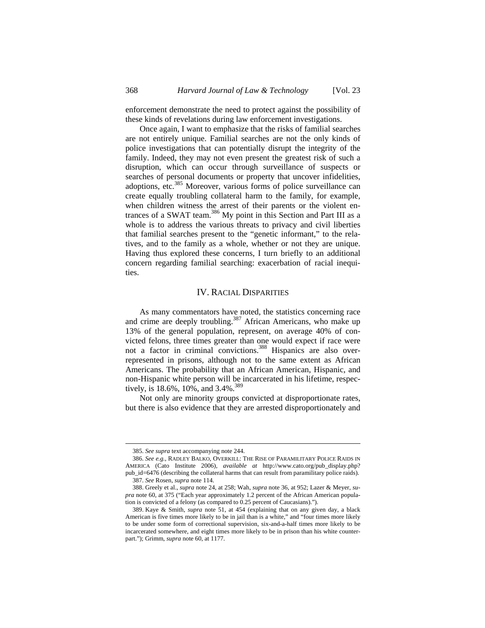enforcement demonstrate the need to protect against the possibility of these kinds of revelations during law enforcement investigations.

Once again, I want to emphasize that the risks of familial searches are not entirely unique. Familial searches are not the only kinds of police investigations that can potentially disrupt the integrity of the family. Indeed, they may not even present the greatest risk of such a disruption, which can occur through surveillance of suspects or searches of personal documents or property that uncover infidelities, adoptions, etc.<sup>385</sup> Moreover, various forms of police surveillance can create equally troubling collateral harm to the family, for example, when children witness the arrest of their parents or the violent entrances of a SWAT team.<sup>386</sup> My point in this Section and Part III as a whole is to address the various threats to privacy and civil liberties that familial searches present to the "genetic informant," to the relatives, and to the family as a whole, whether or not they are unique. Having thus explored these concerns, I turn briefly to an additional concern regarding familial searching: exacerbation of racial inequities.

## IV. RACIAL DISPARITIES

As many commentators have noted, the statistics concerning race and crime are deeply troubling.<sup>387</sup> African Americans, who make up 13% of the general population, represent, on average 40% of convicted felons, three times greater than one would expect if race were not a factor in criminal convictions.<sup>388</sup> Hispanics are also overrepresented in prisons, although not to the same extent as African Americans. The probability that an African American, Hispanic, and non-Hispanic white person will be incarcerated in his lifetime, respectively, is 18.6%, 10%, and 3.4%.<sup>389</sup>

Not only are minority groups convicted at disproportionate rates, but there is also evidence that they are arrested disproportionately and

<sup>385.</sup> *See supra* text accompanying note 244.

<sup>386.</sup> *See e.g.*, RADLEY BALKO, OVERKILL: THE RISE OF PARAMILITARY POLICE RAIDS IN AMERICA (Cato Institute 2006), *available at* http://www.cato.org/pub\_display.php? pub\_id=6476 (describing the collateral harms that can result from paramilitary police raids). 387. *See* Rosen, *supra* note 114.

<sup>388.</sup> Greely et al., *supra* note 24, at 258; Wah, *supra* note 36, at 952; Lazer & Meyer, *supra* note 60, at 375 ("Each year approximately 1.2 percent of the African American population is convicted of a felony (as compared to 0.25 percent of Caucasians).").

<sup>389.</sup> Kaye & Smith, *supra* note 51, at 454 (explaining that on any given day, a black American is five times more likely to be in jail than is a white," and "four times more likely to be under some form of correctional supervision, six-and-a-half times more likely to be incarcerated somewhere, and eight times more likely to be in prison than his white counterpart."); Grimm, *supra* note 60, at 1177.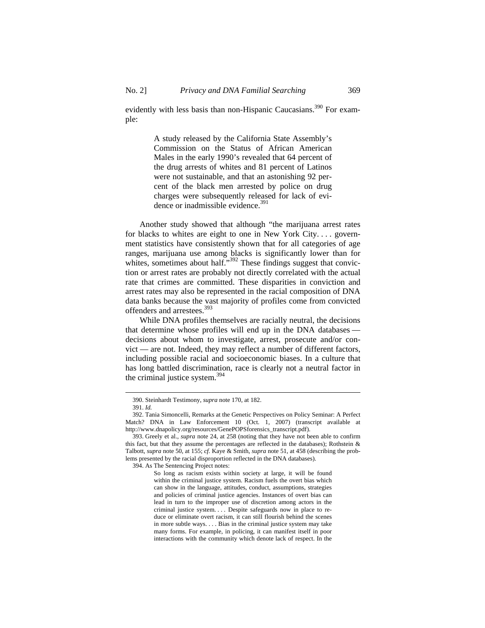evidently with less basis than non-Hispanic Caucasians.<sup>390</sup> For example:

> A study released by the California State Assembly's Commission on the Status of African American Males in the early 1990's revealed that 64 percent of the drug arrests of whites and 81 percent of Latinos were not sustainable, and that an astonishing 92 percent of the black men arrested by police on drug charges were subsequently released for lack of evidence or inadmissible evidence.<sup>391</sup>

Another study showed that although "the marijuana arrest rates for blacks to whites are eight to one in New York City. . . . government statistics have consistently shown that for all categories of age ranges, marijuana use among blacks is significantly lower than for whites, sometimes about half."<sup>392</sup> These findings suggest that conviction or arrest rates are probably not directly correlated with the actual rate that crimes are committed. These disparities in conviction and arrest rates may also be represented in the racial composition of DNA data banks because the vast majority of profiles come from convicted offenders and arrestees.<sup>393</sup>

While DNA profiles themselves are racially neutral, the decisions that determine whose profiles will end up in the DNA databases decisions about whom to investigate, arrest, prosecute and/or convict — are not. Indeed, they may reflect a number of different factors, including possible racial and socioeconomic biases. In a culture that has long battled discrimination, race is clearly not a neutral factor in the criminal justice system.<sup>394</sup>

 $\overline{a}$ 

394. As The Sentencing Project notes:

<sup>390.</sup> Steinhardt Testimony, *supra* note 170, at 182.

<sup>391.</sup> *Id.*

<sup>392.</sup> Tania Simoncelli, Remarks at the Genetic Perspectives on Policy Seminar: A Perfect Match? DNA in Law Enforcement 10 (Oct. 1, 2007) (transcript available at http://www.dnapolicy.org/resources/GenePOPSforensics\_transcript.pdf).

<sup>393.</sup> Greely et al., *supra* note 24, at 258 (noting that they have not been able to confirm this fact, but that they assume the percentages are reflected in the databases); Rothstein  $\&$ Talbott, *supra* note 50, at 155; *cf.* Kaye & Smith, *supra* note 51, at 458 (describing the problems presented by the racial disproportion reflected in the DNA databases).

So long as racism exists within society at large, it will be found within the criminal justice system. Racism fuels the overt bias which can show in the language, attitudes, conduct, assumptions, strategies and policies of criminal justice agencies. Instances of overt bias can lead in turn to the improper use of discretion among actors in the criminal justice system. . . . Despite safeguards now in place to reduce or eliminate overt racism, it can still flourish behind the scenes in more subtle ways. . . . Bias in the criminal justice system may take many forms. For example, in policing, it can manifest itself in poor interactions with the community which denote lack of respect. In the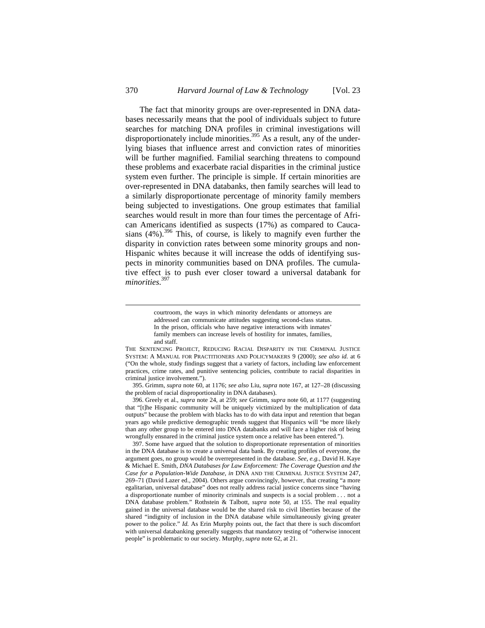The fact that minority groups are over-represented in DNA databases necessarily means that the pool of individuals subject to future searches for matching DNA profiles in criminal investigations will disproportionately include minorities.<sup>395</sup> As a result, any of the underlying biases that influence arrest and conviction rates of minorities will be further magnified. Familial searching threatens to compound these problems and exacerbate racial disparities in the criminal justice system even further. The principle is simple. If certain minorities are over-represented in DNA databanks, then family searches will lead to a similarly disproportionate percentage of minority family members being subjected to investigations. One group estimates that familial searches would result in more than four times the percentage of African Americans identified as suspects (17%) as compared to Caucasians  $(4\%)$ .<sup>396</sup> This, of course, is likely to magnify even further the disparity in conviction rates between some minority groups and non-Hispanic whites because it will increase the odds of identifying suspects in minority communities based on DNA profiles. The cumulative effect is to push ever closer toward a universal databank for *minorities*. 397

courtroom, the ways in which minority defendants or attorneys are addressed can communicate attitudes suggesting second-class status. In the prison, officials who have negative interactions with inmates' family members can increase levels of hostility for inmates, families, and staff.

THE SENTENCING PROJECT, REDUCING RACIAL DISPARITY IN THE CRIMINAL JUSTICE SYSTEM: A MANUAL FOR PRACTITIONERS AND POLICYMAKERS 9 (2000); *see also id.* at 6 ("On the whole, study findings suggest that a variety of factors, including law enforcement practices, crime rates, and punitive sentencing policies, contribute to racial disparities in criminal justice involvement.").

<sup>395.</sup> Grimm, *supra* note 60, at 1176; *see also* Liu, *supra* note 167, at 127–28 (discussing the problem of racial disproportionality in DNA databases).

<sup>396.</sup> Greely et al., *supra* note 24, at 259; *see* Grimm, *supra* note 60, at 1177 (suggesting that "[t]he Hispanic community will be uniquely victimized by the multiplication of data outputs" because the problem with blacks has to do with data input and retention that began years ago while predictive demographic trends suggest that Hispanics will "be more likely than any other group to be entered into DNA databanks and will face a higher risk of being wrongfully ensnared in the criminal justice system once a relative has been entered.").

<sup>397.</sup> Some have argued that the solution to disproportionate representation of minorities in the DNA database is to create a universal data bank. By creating profiles of everyone, the argument goes, no group would be overrepresented in the database. *See, e.g.*, David H. Kaye & Michael E. Smith, *DNA Databases for Law Enforcement: The Coverage Question and the Case for a Population-Wide Database*, *in* DNA AND THE CRIMINAL JUSTICE SYSTEM 247, 269–71 (David Lazer ed., 2004). Others argue convincingly, however, that creating "a more egalitarian, universal database" does not really address racial justice concerns since "having a disproportionate number of minority criminals and suspects is a social problem . . . not a DNA database problem." Rothstein & Talbott, *supra* note 50, at 155. The real equality gained in the universal database would be the shared risk to civil liberties because of the shared "indignity of inclusion in the DNA database while simultaneously giving greater power to the police." *Id.* As Erin Murphy points out, the fact that there is such discomfort with universal databanking generally suggests that mandatory testing of "otherwise innocent people" is problematic to our society. Murphy, *supra* note 62, at 21.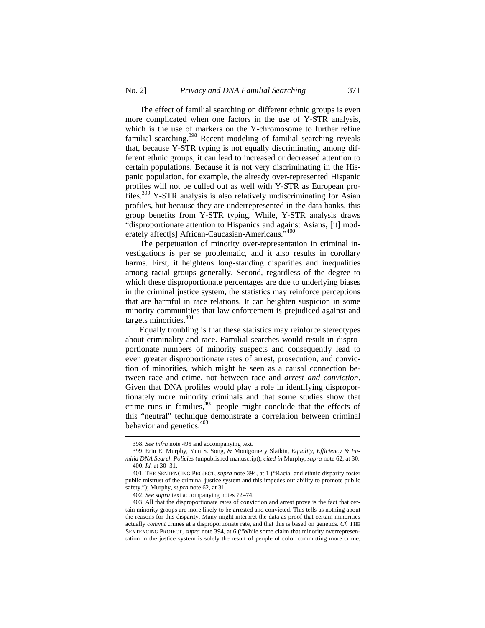The effect of familial searching on different ethnic groups is even more complicated when one factors in the use of Y-STR analysis, which is the use of markers on the Y-chromosome to further refine familial searching.<sup>398</sup> Recent modeling of familial searching reveals that, because Y-STR typing is not equally discriminating among different ethnic groups, it can lead to increased or decreased attention to certain populations. Because it is not very discriminating in the Hispanic population, for example, the already over-represented Hispanic profiles will not be culled out as well with Y-STR as European profiles.399 Y-STR analysis is also relatively undiscriminating for Asian profiles, but because they are underrepresented in the data banks, this group benefits from Y-STR typing. While, Y-STR analysis draws "disproportionate attention to Hispanics and against Asians, [it] moderately affect[s] African-Caucasian-Americans."<sup>400</sup>

The perpetuation of minority over-representation in criminal investigations is per se problematic, and it also results in corollary harms. First, it heightens long-standing disparities and inequalities among racial groups generally. Second, regardless of the degree to which these disproportionate percentages are due to underlying biases in the criminal justice system, the statistics may reinforce perceptions that are harmful in race relations. It can heighten suspicion in some minority communities that law enforcement is prejudiced against and targets minorities.<sup>401</sup>

Equally troubling is that these statistics may reinforce stereotypes about criminality and race. Familial searches would result in disproportionate numbers of minority suspects and consequently lead to even greater disproportionate rates of arrest, prosecution, and conviction of minorities, which might be seen as a causal connection between race and crime, not between race and *arrest and conviction*. Given that DNA profiles would play a role in identifying disproportionately more minority criminals and that some studies show that crime runs in families, $402$  people might conclude that the effects of this "neutral" technique demonstrate a correlation between criminal behavior and genetics.<sup>403</sup>

<sup>398.</sup> *See infra* note 495 and accompanying text.

<sup>399.</sup> Erin E. Murphy, Yun S. Song, & Montgomery Slatkin, *Equality, Efficiency & Familia DNA Search Policies* (unpublished manuscript), *cited in* Murphy, *supra* note 62, at 30. 400. *Id.* at 30–31.

<sup>401.</sup> THE SENTENCING PROJECT, *supra* note 394, at 1 ("Racial and ethnic disparity foster public mistrust of the criminal justice system and this impedes our ability to promote public safety."); Murphy, *supra* note 62, at 31.

<sup>402.</sup> *See supra* text accompanying notes 72–74.

<sup>403.</sup> All that the disproportionate rates of conviction and arrest prove is the fact that certain minority groups are more likely to be arrested and convicted. This tells us nothing about the reasons for this disparity. Many might interpret the data as proof that certain minorities actually *commit* crimes at a disproportionate rate, and that this is based on genetics. *Cf.* THE SENTENCING PROJECT, *supra* note 394, at 6 ("While some claim that minority overrepresentation in the justice system is solely the result of people of color committing more crime,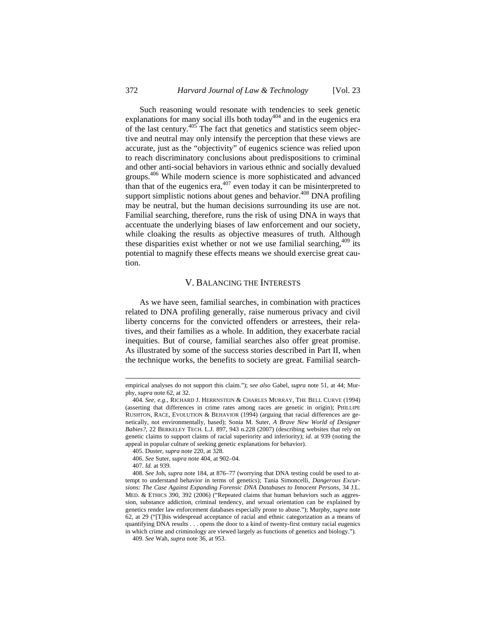Such reasoning would resonate with tendencies to seek genetic explanations for many social ills both today<sup>404</sup> and in the eugenics era of the last century.<sup>405</sup> The fact that genetics and statistics seem objective and neutral may only intensify the perception that these views are accurate, just as the "objectivity" of eugenics science was relied upon to reach discriminatory conclusions about predispositions to criminal and other anti-social behaviors in various ethnic and socially devalued groups.<sup>406</sup> While modern science is more sophisticated and advanced than that of the eugenics era,  $407$  even today it can be misinterpreted to support simplistic notions about genes and behavior.<sup>408</sup> DNA profiling may be neutral, but the human decisions surrounding its use are not. Familial searching, therefore, runs the risk of using DNA in ways that accentuate the underlying biases of law enforcement and our society, while cloaking the results as objective measures of truth. Although these disparities exist whether or not we use familial searching,  $409$  its potential to magnify these effects means we should exercise great caution.

# V. BALANCING THE INTERESTS

As we have seen, familial searches, in combination with practices related to DNA profiling generally, raise numerous privacy and civil liberty concerns for the convicted offenders or arrestees, their relatives, and their families as a whole. In addition, they exacerbate racial inequities. But of course, familial searches also offer great promise. As illustrated by some of the success stories described in Part II, when the technique works, the benefits to society are great. Familial search-

empirical analyses do not support this claim."); *see also* Gabel, *supra* note 51, at 44; Murphy, *supra* note 62, at 32.

<sup>404.</sup> *See, e.g.*, RICHARD J. HERRNSTEIN & CHARLES MURRAY, THE BELL CURVE (1994) (asserting that differences in crime rates among races are genetic in origin); PHILLIPE RUSHTON, RACE, EVOLUTION & BEHAVIOR (1994) (arguing that racial differences are genetically, not environmentally, based); Sonia M. Suter, *A Brave New World of Designer Babies?*, 22 BERKELEY TECH. L.J. 897, 943 n.228 (2007) (describing websites that rely on genetic claims to support claims of racial superiority and inferiority); *id.* at 939 (noting the appeal in popular culture of seeking genetic explanations for behavior).

<sup>405.</sup> Duster, *supra* note 220, at 328. 406. *See* Suter, *supra* note 404, at 902–04.

<sup>407.</sup> *Id.* at 939.

<sup>408.</sup> *See* Joh, *supra* note 184, at 876–77 (worrying that DNA testing could be used to attempt to understand behavior in terms of genetics); Tania Simoncelli, *Dangerous Excursions: The Case Against Expanding Forensic DNA Databases to Innocent Persons*, 34 J.L. MED. & ETHICS 390, 392 (2006) ("Repeated claims that human behaviors such as aggression, substance addiction, criminal tendency, and sexual orientation can be explained by genetics render law enforcement databases especially prone to abuse."); Murphy, *supra* note 62, at 29 ("[T]his widespread acceptance of racial and ethnic categorization as a means of quantifying DNA results . . . opens the door to a kind of twenty-first century racial eugenics in which crime and criminology are viewed largely as functions of genetics and biology.").

<sup>409.</sup> *See* Wah, *supra* note 36, at 953.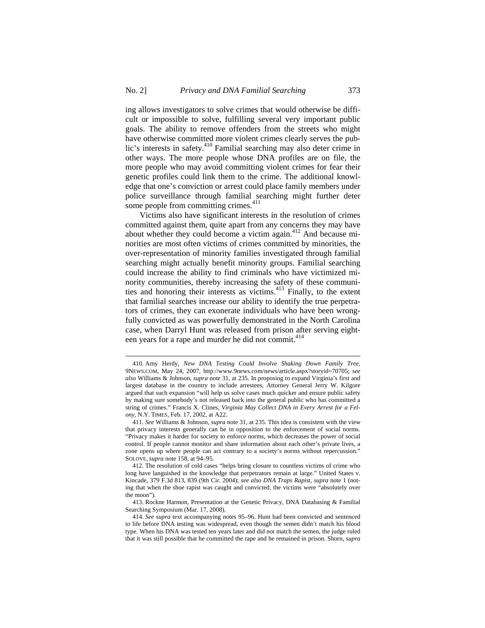ing allows investigators to solve crimes that would otherwise be difficult or impossible to solve, fulfilling several very important public goals. The ability to remove offenders from the streets who might have otherwise committed more violent crimes clearly serves the public's interests in safety.410 Familial searching may also deter crime in other ways. The more people whose DNA profiles are on file, the more people who may avoid committing violent crimes for fear their genetic profiles could link them to the crime. The additional knowledge that one's conviction or arrest could place family members under police surveillance through familial searching might further deter some people from committing crimes. $411$ 

Victims also have significant interests in the resolution of crimes committed against them, quite apart from any concerns they may have about whether they could become a victim again. $412$  And because minorities are most often victims of crimes committed by minorities, the over-representation of minority families investigated through familial searching might actually benefit minority groups. Familial searching could increase the ability to find criminals who have victimized minority communities, thereby increasing the safety of these communities and honoring their interests as victims.<sup>413</sup> Finally, to the extent that familial searches increase our ability to identify the true perpetrators of crimes, they can exonerate individuals who have been wrongfully convicted as was powerfully demonstrated in the North Carolina case, when Darryl Hunt was released from prison after serving eighteen years for a rape and murder he did not commit.<sup>414</sup>

<sup>410.</sup> Amy Herdy, *New DNA Testing Could Involve Shaking Down Family Tree*, 9NEWS.COM, May 24, 2007, http://www.9news.com/news/article.aspx?storyid=70705; *see also* Williams & Johnson, *supra* note 31, at 235. In proposing to expand Virginia's first and largest database in the country to include arrestees, Attorney General Jerry W. Kilgore argued that such expansion "will help us solve cases much quicker and ensure public safety by making sure somebody's not released back into the general public who has committed a string of crimes." Francis X. Clines, *Virginia May Collect DNA in Every Arrest for a Felony*, N.Y. TIMES, Feb. 17, 2002, at A22.

<sup>411.</sup> *See* Williams & Johnson, *supra* note 31, at 235. This idea is consistent with the view that privacy interests generally can be in opposition to the enforcement of social norms. "Privacy makes it harder for society to enforce norms, which decreases the power of social control. If people cannot monitor and share information about each other's private lives, a zone opens up where people can act contrary to a society's norms without repercussion." SOLOVE, *supra* note 158, at 94–95.

<sup>412.</sup> The resolution of cold cases "helps bring closure to countless victims of crime who long have languished in the knowledge that perpetrators remain at large." United States v. Kincade, 379 F.3d 813, 839 (9th Cir. 2004); *see also DNA Traps Rapist*, *supra* note 1 (noting that when the shoe rapist was caught and convicted, the victims were "absolutely over the moon").

<sup>413.</sup> Rockne Harmon, Presentation at the Genetic Privacy, DNA Databasing & Familial Searching Symposium (Mar. 17, 2008).

<sup>414.</sup> *See supra* text accompanying notes 95–96. Hunt had been convicted and sentenced to life before DNA testing was widespread, even though the semen didn't match his blood type. When his DNA was tested ten years later and did not match the semen, the judge ruled that it was still possible that he committed the rape and he remained in prison. Shorn, *supra*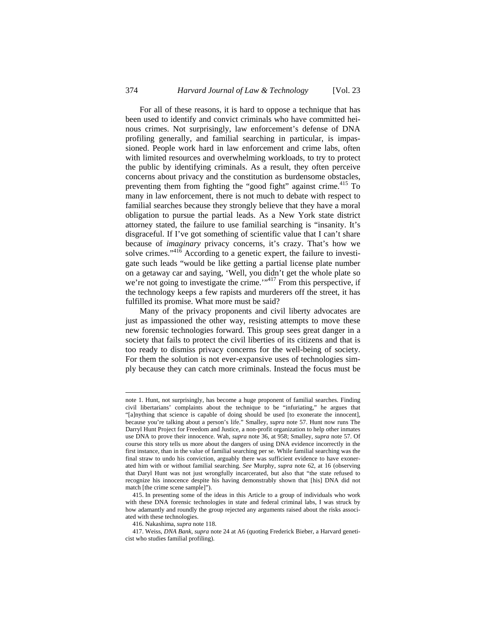For all of these reasons, it is hard to oppose a technique that has been used to identify and convict criminals who have committed heinous crimes. Not surprisingly, law enforcement's defense of DNA profiling generally, and familial searching in particular, is impassioned. People work hard in law enforcement and crime labs, often with limited resources and overwhelming workloads, to try to protect the public by identifying criminals. As a result, they often perceive concerns about privacy and the constitution as burdensome obstacles, preventing them from fighting the "good fight" against crime.<sup>415</sup> To many in law enforcement, there is not much to debate with respect to familial searches because they strongly believe that they have a moral obligation to pursue the partial leads. As a New York state district attorney stated, the failure to use familial searching is "insanity. It's disgraceful. If I've got something of scientific value that I can't share because of *imaginary* privacy concerns, it's crazy. That's how we solve crimes." $41\overline{6}$  According to a genetic expert, the failure to investigate such leads "would be like getting a partial license plate number on a getaway car and saying, 'Well, you didn't get the whole plate so we're not going to investigate the crime.'<sup>117</sup> From this perspective, if the technology keeps a few rapists and murderers off the street, it has fulfilled its promise. What more must be said?

Many of the privacy proponents and civil liberty advocates are just as impassioned the other way, resisting attempts to move these new forensic technologies forward. This group sees great danger in a society that fails to protect the civil liberties of its citizens and that is too ready to dismiss privacy concerns for the well-being of society. For them the solution is not ever-expansive uses of technologies simply because they can catch more criminals. Instead the focus must be

note 1. Hunt, not surprisingly, has become a huge proponent of familial searches. Finding civil libertarians' complaints about the technique to be "infuriating," he argues that "[a]nything that science is capable of doing should be used [to exonerate the innocent], because you're talking about a person's life." Smalley, *supra* note 57. Hunt now runs The Darryl Hunt Project for Freedom and Justice, a non-profit organization to help other inmates use DNA to prove their innocence. Wah, *supra* note 36, at 958; Smalley, *supra* note 57. Of course this story tells us more about the dangers of using DNA evidence incorrectly in the first instance, than in the value of familial searching per se. While familial searching was the final straw to undo his conviction, arguably there was sufficient evidence to have exonerated him with or without familial searching. *See* Murphy, *supra* note 62, at 16 (observing that Daryl Hunt was not just wrongfully incarcerated, but also that "the state refused to recognize his innocence despite his having demonstrably shown that [his] DNA did not match [the crime scene sample]").

<sup>415.</sup> In presenting some of the ideas in this Article to a group of individuals who work with these DNA forensic technologies in state and federal criminal labs, I was struck by how adamantly and roundly the group rejected any arguments raised about the risks associated with these technologies.

<sup>416.</sup> Nakashima, *supra* note 118.

<sup>417.</sup> Weiss, *DNA Bank*, *supra* note 24 at A6 (quoting Frederick Bieber, a Harvard geneticist who studies familial profiling).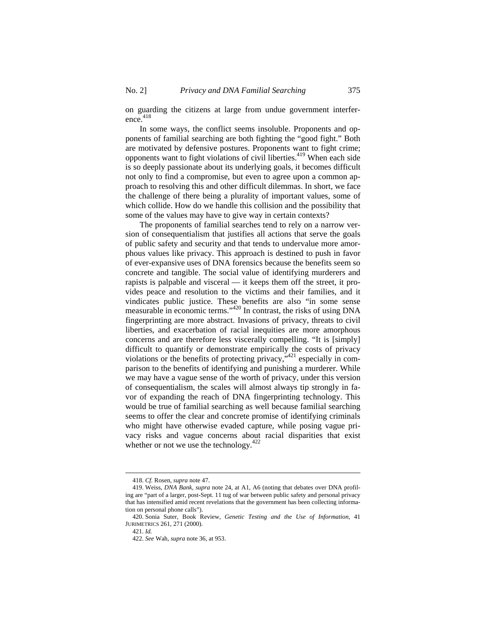on guarding the citizens at large from undue government interference. 418

In some ways, the conflict seems insoluble. Proponents and opponents of familial searching are both fighting the "good fight." Both are motivated by defensive postures. Proponents want to fight crime; opponents want to fight violations of civil liberties.<sup>419</sup> When each side is so deeply passionate about its underlying goals, it becomes difficult not only to find a compromise, but even to agree upon a common approach to resolving this and other difficult dilemmas. In short, we face the challenge of there being a plurality of important values, some of which collide. How do we handle this collision and the possibility that some of the values may have to give way in certain contexts?

The proponents of familial searches tend to rely on a narrow version of consequentialism that justifies all actions that serve the goals of public safety and security and that tends to undervalue more amorphous values like privacy. This approach is destined to push in favor of ever-expansive uses of DNA forensics because the benefits seem so concrete and tangible. The social value of identifying murderers and rapists is palpable and visceral — it keeps them off the street, it provides peace and resolution to the victims and their families, and it vindicates public justice. These benefits are also "in some sense measurable in economic terms."<sup>420</sup> In contrast, the risks of using DNA fingerprinting are more abstract. Invasions of privacy, threats to civil liberties, and exacerbation of racial inequities are more amorphous concerns and are therefore less viscerally compelling. "It is [simply] difficult to quantify or demonstrate empirically the costs of privacy violations or the benefits of protecting privacy,  $v^{421}$  especially in comparison to the benefits of identifying and punishing a murderer. While we may have a vague sense of the worth of privacy, under this version of consequentialism, the scales will almost always tip strongly in favor of expanding the reach of DNA fingerprinting technology. This would be true of familial searching as well because familial searching seems to offer the clear and concrete promise of identifying criminals who might have otherwise evaded capture, while posing vague privacy risks and vague concerns about racial disparities that exist whether or not we use the technology.<sup>422</sup>

421. *Id.*

<sup>418.</sup> *Cf.* Rosen, *supra* note 47.

<sup>419.</sup> Weiss, *DNA Bank, supra* note 24, at A1, A6 (noting that debates over DNA profiling are "part of a larger, post-Sept. 11 tug of war between public safety and personal privacy that has intensified amid recent revelations that the government has been collecting information on personal phone calls").

<sup>420.</sup> Sonia Suter, Book Review, *Genetic Testing and the Use of Information*, 41 JURIMETRICS 261, 271 (2000).

<sup>422.</sup> *See* Wah, *supra* note 36, at 953.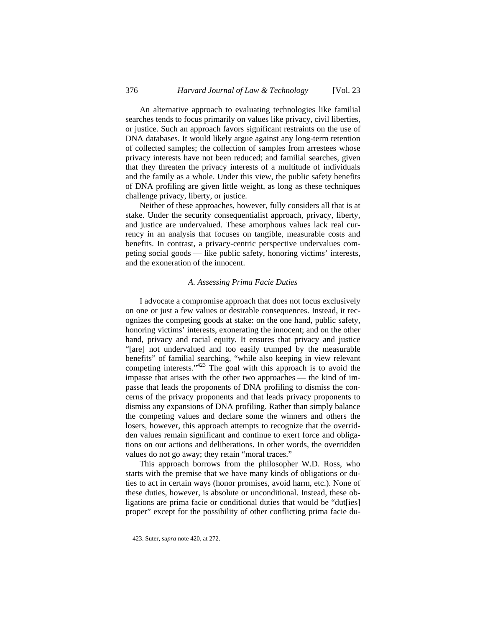An alternative approach to evaluating technologies like familial searches tends to focus primarily on values like privacy, civil liberties, or justice. Such an approach favors significant restraints on the use of DNA databases. It would likely argue against any long-term retention of collected samples; the collection of samples from arrestees whose privacy interests have not been reduced; and familial searches, given that they threaten the privacy interests of a multitude of individuals and the family as a whole. Under this view, the public safety benefits of DNA profiling are given little weight, as long as these techniques challenge privacy, liberty, or justice.

Neither of these approaches, however, fully considers all that is at stake. Under the security consequentialist approach, privacy, liberty, and justice are undervalued. These amorphous values lack real currency in an analysis that focuses on tangible, measurable costs and benefits. In contrast, a privacy-centric perspective undervalues competing social goods — like public safety, honoring victims' interests, and the exoneration of the innocent.

### *A. Assessing Prima Facie Duties*

I advocate a compromise approach that does not focus exclusively on one or just a few values or desirable consequences. Instead, it recognizes the competing goods at stake: on the one hand, public safety, honoring victims' interests, exonerating the innocent; and on the other hand, privacy and racial equity. It ensures that privacy and justice "[are] not undervalued and too easily trumped by the measurable benefits" of familial searching, "while also keeping in view relevant competing interests."<sup>423</sup> The goal with this approach is to avoid the impasse that arises with the other two approaches — the kind of impasse that leads the proponents of DNA profiling to dismiss the concerns of the privacy proponents and that leads privacy proponents to dismiss any expansions of DNA profiling. Rather than simply balance the competing values and declare some the winners and others the losers, however, this approach attempts to recognize that the overridden values remain significant and continue to exert force and obligations on our actions and deliberations. In other words, the overridden values do not go away; they retain "moral traces."

This approach borrows from the philosopher W.D. Ross, who starts with the premise that we have many kinds of obligations or duties to act in certain ways (honor promises, avoid harm, etc.). None of these duties, however, is absolute or unconditional. Instead, these obligations are prima facie or conditional duties that would be "dut[ies] proper" except for the possibility of other conflicting prima facie du-

<sup>423.</sup> Suter, *supra* note 420, at 272.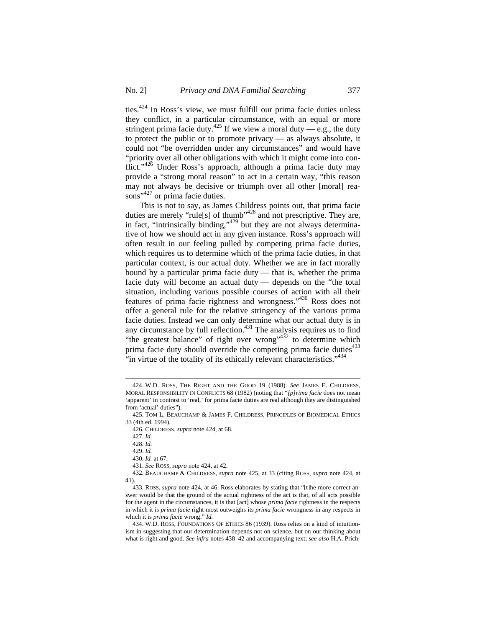ties.424 In Ross's view, we must fulfill our prima facie duties unless they conflict, in a particular circumstance, with an equal or more stringent prima facie duty.<sup>425</sup> If we view a moral duty — e.g., the duty to protect the public or to promote privacy — as always absolute, it could not "be overridden under any circumstances" and would have "priority over all other obligations with which it might come into conflict."<sup>426</sup> Under Ross's approach, although a prima facie duty may provide a "strong moral reason" to act in a certain way, "this reason may not always be decisive or triumph over all other [moral] reasons"<sup>427</sup> or prima facie duties.

This is not to say, as James Childress points out, that prima facie duties are merely "rule[s] of thumb"<sup>428</sup> and not prescriptive. They are, in fact, "intrinsically binding,"<sup>429</sup> but they are not always determinative of how we should act in any given instance. Ross's approach will often result in our feeling pulled by competing prima facie duties, which requires us to determine which of the prima facie duties, in that particular context, is our actual duty. Whether we are in fact morally bound by a particular prima facie duty — that is, whether the prima facie duty will become an actual duty — depends on the "the total situation, including various possible courses of action with all their features of prima facie rightness and wrongness."430 Ross does not offer a general rule for the relative stringency of the various prima facie duties. Instead we can only determine what our actual duty is in any circumstance by full reflection.<sup>431</sup> The analysis requires us to find "the greatest balance" of right over wrong" $432$  to determine which prima facie duty should override the competing prima facie duties $433$ "in virtue of the totality of its ethically relevant characteristics."<sup>434</sup>

<sup>424.</sup> W.D. ROSS, THE RIGHT AND THE GOOD 19 (1988). *See* JAMES E. CHILDRESS, MORAL RESPONSIBILITY IN CONFLICTS 68 (1982) (noting that "*[p]rima facie* does not mean 'apparent' in contrast to 'real,' for prima facie duties are real although they are distinguished from 'actual' duties").

<sup>425.</sup> TOM L. BEAUCHAMP & JAMES F. CHILDRESS, PRINCIPLES OF BIOMEDICAL ETHICS 33 (4th ed. 1994).

<sup>426.</sup> CHILDRESS, *supra* note 424, at 68.

<sup>427.</sup> *Id.* 

<sup>428.</sup> *Id.*

<sup>429.</sup> *Id.*

<sup>430.</sup> *Id.* at 67.

<sup>431.</sup> *See* ROSS, *supra* note 424, at 42.

<sup>432.</sup> BEAUCHAMP & CHILDRESS, *supra* note 425, at 33 (citing ROSS, *supra* note 424, at 41).

<sup>433.</sup> ROSS, *supra* note 424, at 46. Ross elaborates by stating that "[t]he more correct answer would be that the ground of the actual rightness of the act is that, of all acts possible for the agent in the circumstances, it is that [act] whose *prima facie* rightness in the respects in which it is *prima facie* right most outweighs its *prima facie* wrongness in any respects in which it is *prima facie* wrong." *Id.*

<sup>434.</sup> W.D. ROSS, FOUNDATIONS OF ETHICS 86 (1939). Ross relies on a kind of intuitionism in suggesting that our determination depends not on science, but on our thinking about what is right and good. *See infra* notes 438–42 and accompanying text; *see also* H.A. Prich-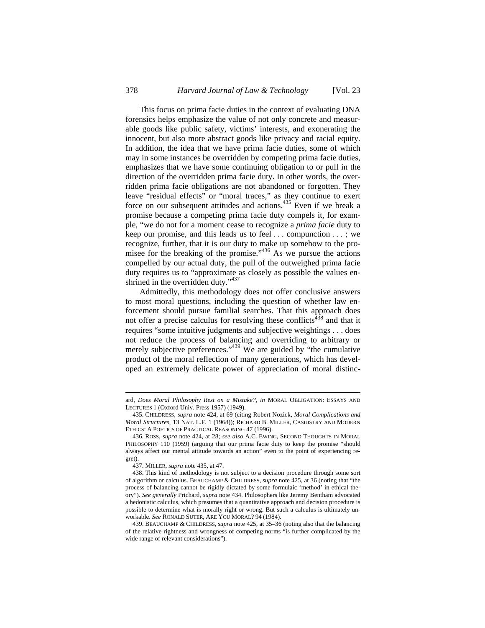This focus on prima facie duties in the context of evaluating DNA forensics helps emphasize the value of not only concrete and measurable goods like public safety, victims' interests, and exonerating the innocent, but also more abstract goods like privacy and racial equity. In addition, the idea that we have prima facie duties, some of which may in some instances be overridden by competing prima facie duties, emphasizes that we have some continuing obligation to or pull in the direction of the overridden prima facie duty. In other words, the overridden prima facie obligations are not abandoned or forgotten. They leave "residual effects" or "moral traces," as they continue to exert force on our subsequent attitudes and actions.435 Even if we break a promise because a competing prima facie duty compels it, for example, "we do not for a moment cease to recognize a *prima facie* duty to keep our promise, and this leads us to feel . . . compunction . . . ; we recognize, further, that it is our duty to make up somehow to the promisee for the breaking of the promise." $436$  As we pursue the actions compelled by our actual duty, the pull of the outweighed prima facie duty requires us to "approximate as closely as possible the values enshrined in the overridden duty." 437

Admittedly, this methodology does not offer conclusive answers to most moral questions, including the question of whether law enforcement should pursue familial searches. That this approach does not offer a precise calculus for resolving these conflicts<sup>438</sup> and that it requires "some intuitive judgments and subjective weightings . . . does not reduce the process of balancing and overriding to arbitrary or merely subjective preferences."<sup>439</sup> We are guided by "the cumulative product of the moral reflection of many generations, which has developed an extremely delicate power of appreciation of moral distinc-

ard, *Does Moral Philosophy Rest on a Mistake?*, *in* MORAL OBLIGATION: ESSAYS AND LECTURES 1 (Oxford Univ. Press 1957) (1949).

<sup>435.</sup> CHILDRESS, *supra* note 424, at 69 (citing Robert Nozick, *Moral Complications and Moral Structures*, 13 NAT. L.F. 1 (1968)); RICHARD B. MILLER, CASUISTRY AND MODERN ETHICS: A POETICS OF PRACTICAL REASONING 47 (1996).

<sup>436.</sup> ROSS, *supra* note 424, at 28; *see also* A.C. EWING, SECOND THOUGHTS IN MORAL PHILOSOPHY 110 (1959) (arguing that our prima facie duty to keep the promise "should always affect our mental attitude towards an action" even to the point of experiencing regret).

<sup>437.</sup> MILLER, *supra* note 435, at 47.

<sup>438.</sup> This kind of methodology is not subject to a decision procedure through some sort of algorithm or calculus. BEAUCHAMP & CHILDRESS, *supra* note 425, at 36 (noting that "the process of balancing cannot be rigidly dictated by some formulaic 'method' in ethical theory"). *See generally* Prichard, *supra* note 434. Philosophers like Jeremy Bentham advocated a hedonistic calculus, which presumes that a quantitative approach and decision procedure is possible to determine what is morally right or wrong. But such a calculus is ultimately unworkable. *See* RONALD SUTER, ARE YOU MORAL? 94 (1984).

<sup>439.</sup> BEAUCHAMP & CHILDRESS, *supra* note 425, at 35–36 (noting also that the balancing of the relative rightness and wrongness of competing norms "is further complicated by the wide range of relevant considerations").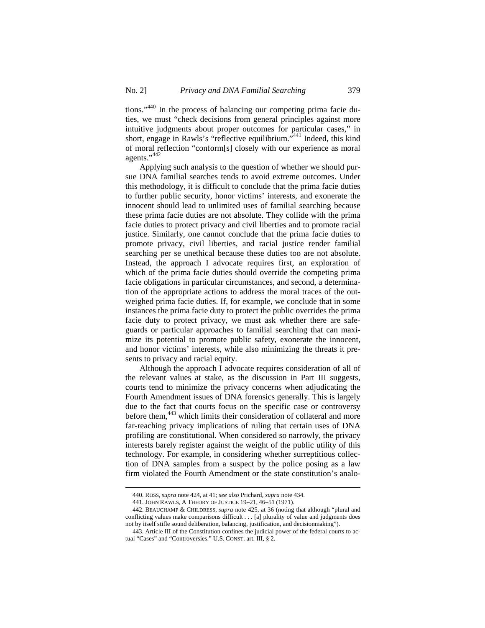tions."440 In the process of balancing our competing prima facie duties, we must "check decisions from general principles against more intuitive judgments about proper outcomes for particular cases," in short, engage in Rawls's "reflective equilibrium."<sup>441</sup> Indeed, this kind of moral reflection "conform[s] closely with our experience as moral agents."<sup>442</sup>

Applying such analysis to the question of whether we should pursue DNA familial searches tends to avoid extreme outcomes. Under this methodology, it is difficult to conclude that the prima facie duties to further public security, honor victims' interests, and exonerate the innocent should lead to unlimited uses of familial searching because these prima facie duties are not absolute. They collide with the prima facie duties to protect privacy and civil liberties and to promote racial justice. Similarly, one cannot conclude that the prima facie duties to promote privacy, civil liberties, and racial justice render familial searching per se unethical because these duties too are not absolute. Instead, the approach I advocate requires first, an exploration of which of the prima facie duties should override the competing prima facie obligations in particular circumstances, and second, a determination of the appropriate actions to address the moral traces of the outweighed prima facie duties. If, for example, we conclude that in some instances the prima facie duty to protect the public overrides the prima facie duty to protect privacy, we must ask whether there are safeguards or particular approaches to familial searching that can maximize its potential to promote public safety, exonerate the innocent, and honor victims' interests, while also minimizing the threats it presents to privacy and racial equity.

Although the approach I advocate requires consideration of all of the relevant values at stake, as the discussion in Part III suggests, courts tend to minimize the privacy concerns when adjudicating the Fourth Amendment issues of DNA forensics generally. This is largely due to the fact that courts focus on the specific case or controversy before them,<sup>443</sup> which limits their consideration of collateral and more far-reaching privacy implications of ruling that certain uses of DNA profiling are constitutional. When considered so narrowly, the privacy interests barely register against the weight of the public utility of this technology. For example, in considering whether surreptitious collection of DNA samples from a suspect by the police posing as a law firm violated the Fourth Amendment or the state constitution's analo-

<sup>440.</sup> ROSS, *supra* note 424, at 41; *see also* Prichard, *supra* note 434.

<sup>441.</sup> JOHN RAWLS, A THEORY OF JUSTICE 19–21, 46–51 (1971).

<sup>442.</sup> BEAUCHAMP & CHILDRESS, *supra* note 425, at 36 (noting that although "plural and conflicting values make comparisons difficult . . . [a] plurality of value and judgments does not by itself stifle sound deliberation, balancing, justification, and decisionmaking").

<sup>443.</sup> Article III of the Constitution confines the judicial power of the federal courts to actual "Cases" and "Controversies." U.S. CONST. art. III, § 2.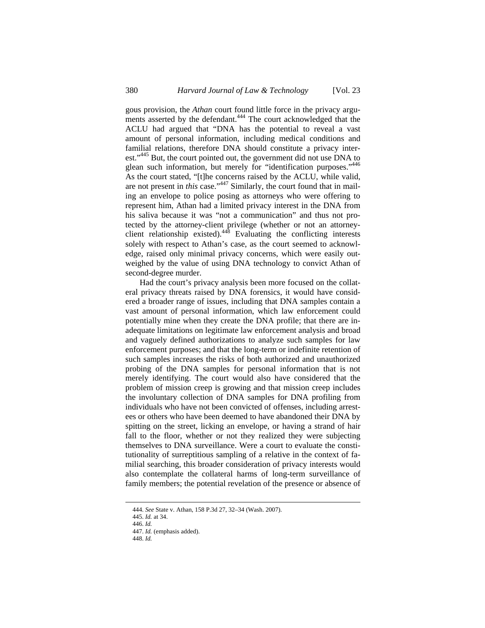gous provision, the *Athan* court found little force in the privacy arguments asserted by the defendant.<sup>444</sup> The court acknowledged that the ACLU had argued that "DNA has the potential to reveal a vast amount of personal information, including medical conditions and familial relations, therefore DNA should constitute a privacy interest."<sup>445</sup> But, the court pointed out, the government did not use DNA to glean such information, but merely for "identification purposes."<sup>446</sup> As the court stated, "[t]he concerns raised by the ACLU, while valid, are not present in *this* case."447 Similarly, the court found that in mailing an envelope to police posing as attorneys who were offering to represent him, Athan had a limited privacy interest in the DNA from his saliva because it was "not a communication" and thus not protected by the attorney-client privilege (whether or not an attorneyclient relationship existed).448 Evaluating the conflicting interests solely with respect to Athan's case, as the court seemed to acknowledge, raised only minimal privacy concerns, which were easily outweighed by the value of using DNA technology to convict Athan of second-degree murder.

Had the court's privacy analysis been more focused on the collateral privacy threats raised by DNA forensics, it would have considered a broader range of issues, including that DNA samples contain a vast amount of personal information, which law enforcement could potentially mine when they create the DNA profile; that there are inadequate limitations on legitimate law enforcement analysis and broad and vaguely defined authorizations to analyze such samples for law enforcement purposes; and that the long-term or indefinite retention of such samples increases the risks of both authorized and unauthorized probing of the DNA samples for personal information that is not merely identifying. The court would also have considered that the problem of mission creep is growing and that mission creep includes the involuntary collection of DNA samples for DNA profiling from individuals who have not been convicted of offenses, including arrestees or others who have been deemed to have abandoned their DNA by spitting on the street, licking an envelope, or having a strand of hair fall to the floor, whether or not they realized they were subjecting themselves to DNA surveillance. Were a court to evaluate the constitutionality of surreptitious sampling of a relative in the context of familial searching, this broader consideration of privacy interests would also contemplate the collateral harms of long-term surveillance of family members; the potential revelation of the presence or absence of

<sup>444.</sup> *See* State v. Athan, 158 P.3d 27, 32–34 (Wash. 2007).

<sup>445.</sup> *Id.* at 34.

<sup>446.</sup> *Id.*

<sup>447.</sup> *Id.* (emphasis added).

<sup>448.</sup> *Id.*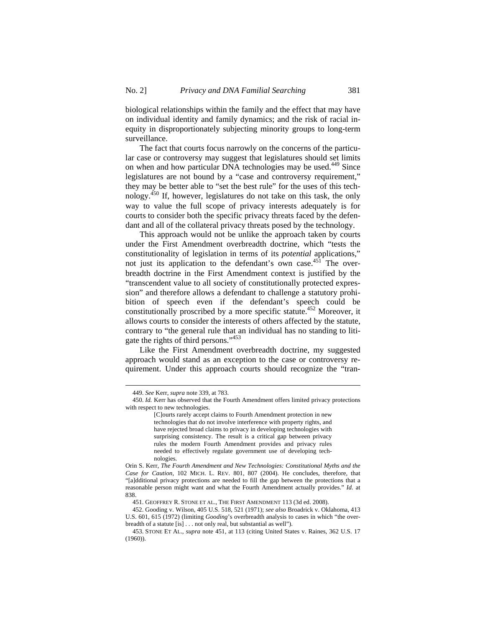biological relationships within the family and the effect that may have on individual identity and family dynamics; and the risk of racial inequity in disproportionately subjecting minority groups to long-term surveillance.

The fact that courts focus narrowly on the concerns of the particular case or controversy may suggest that legislatures should set limits on when and how particular DNA technologies may be used.<sup>449</sup> Since legislatures are not bound by a "case and controversy requirement," they may be better able to "set the best rule" for the uses of this technology.450 If, however, legislatures do not take on this task, the only way to value the full scope of privacy interests adequately is for courts to consider both the specific privacy threats faced by the defendant and all of the collateral privacy threats posed by the technology.

This approach would not be unlike the approach taken by courts under the First Amendment overbreadth doctrine, which "tests the constitutionality of legislation in terms of its *potential* applications," not just its application to the defendant's own case.<sup>451</sup> The overbreadth doctrine in the First Amendment context is justified by the "transcendent value to all society of constitutionally protected expression" and therefore allows a defendant to challenge a statutory prohibition of speech even if the defendant's speech could be constitutionally proscribed by a more specific statute.<sup>452</sup> Moreover, it allows courts to consider the interests of others affected by the statute, contrary to "the general rule that an individual has no standing to litigate the rights of third persons."<sup>453</sup>

Like the First Amendment overbreadth doctrine, my suggested approach would stand as an exception to the case or controversy requirement. Under this approach courts should recognize the "tran-

<sup>449.</sup> *See* Kerr, *supra* note 339, at 783.

<sup>450.</sup> *Id.* Kerr has observed that the Fourth Amendment offers limited privacy protections with respect to new technologies.

<sup>[</sup>C]ourts rarely accept claims to Fourth Amendment protection in new technologies that do not involve interference with property rights, and have rejected broad claims to privacy in developing technologies with surprising consistency. The result is a critical gap between privacy rules the modern Fourth Amendment provides and privacy rules needed to effectively regulate government use of developing technologies.

Orin S. Kerr, *The Fourth Amendment and New Technologies: Constitutional Myths and the Case for Caution*, 102 MICH. L. REV. 801, 807 (2004). He concludes, therefore, that "[a]dditional privacy protections are needed to fill the gap between the protections that a reasonable person might want and what the Fourth Amendment actually provides." *Id.* at 838.

<sup>451.</sup> GEOFFREY R. STONE ET AL., THE FIRST AMENDMENT 113 (3d ed. 2008).

<sup>452.</sup> Gooding v. Wilson, 405 U.S. 518, 521 (1971); *see also* Broadrick v. Oklahoma, 413 U.S. 601, 615 (1972) (limiting *Gooding*'s overbreadth analysis to cases in which "the overbreadth of a statute [is] . . . not only real, but substantial as well").

<sup>453.</sup> STONE ET AL., *supra* note 451, at 113 (citing United States v. Raines, 362 U.S. 17 (1960)).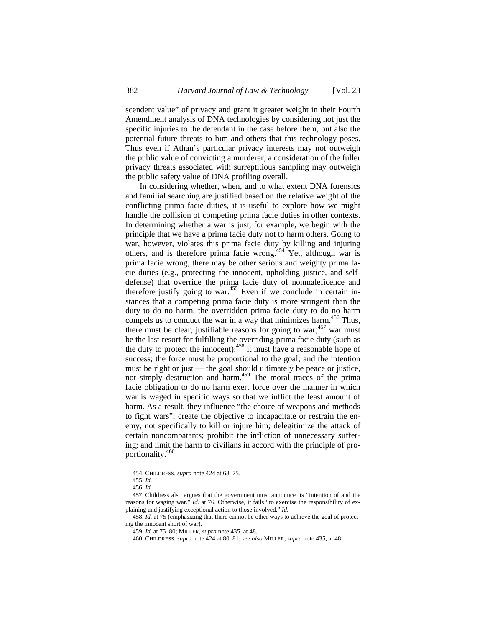scendent value" of privacy and grant it greater weight in their Fourth Amendment analysis of DNA technologies by considering not just the specific injuries to the defendant in the case before them, but also the potential future threats to him and others that this technology poses. Thus even if Athan's particular privacy interests may not outweigh the public value of convicting a murderer, a consideration of the fuller privacy threats associated with surreptitious sampling may outweigh the public safety value of DNA profiling overall.

In considering whether, when, and to what extent DNA forensics and familial searching are justified based on the relative weight of the conflicting prima facie duties, it is useful to explore how we might handle the collision of competing prima facie duties in other contexts. In determining whether a war is just, for example, we begin with the principle that we have a prima facie duty not to harm others. Going to war, however, violates this prima facie duty by killing and injuring others, and is therefore prima facie wrong.454 Yet, although war is prima facie wrong, there may be other serious and weighty prima facie duties (e.g., protecting the innocent, upholding justice, and selfdefense) that override the prima facie duty of nonmaleficence and therefore justify going to war.<sup>455</sup> Even if we conclude in certain instances that a competing prima facie duty is more stringent than the duty to do no harm, the overridden prima facie duty to do no harm compels us to conduct the war in a way that minimizes harm.<sup>456</sup> Thus, there must be clear, justifiable reasons for going to war;  $457$  war must be the last resort for fulfilling the overriding prima facie duty (such as the duty to protect the innocent);  $458$  it must have a reasonable hope of success; the force must be proportional to the goal; and the intention must be right or just — the goal should ultimately be peace or justice, not simply destruction and harm.<sup>459</sup> The moral traces of the prima facie obligation to do no harm exert force over the manner in which war is waged in specific ways so that we inflict the least amount of harm. As a result, they influence "the choice of weapons and methods to fight wars"; create the objective to incapacitate or restrain the enemy, not specifically to kill or injure him; delegitimize the attack of certain noncombatants; prohibit the infliction of unnecessary suffering; and limit the harm to civilians in accord with the principle of proportionality.460

 $\overline{a}$ 

458. *Id.* at 75 (emphasizing that there cannot be other ways to achieve the goal of protecting the innocent short of war).

<sup>454.</sup> CHILDRESS, *supra* note 424 at 68–75.

<sup>455.</sup> *Id.*

<sup>456.</sup> *Id.*

<sup>457.</sup> Childress also argues that the government must announce its "intention of and the reasons for waging war." *Id.* at 76. Otherwise, it fails "to exercise the responsibility of explaining and justifying exceptional action to those involved." *Id.*

<sup>459.</sup> *Id.* at 75–80; MILLER, *supra* note 435, at 48.

<sup>460.</sup> CHILDRESS, *supra* note 424 at 80–81; *see also* MILLER, *supra* note 435, at 48.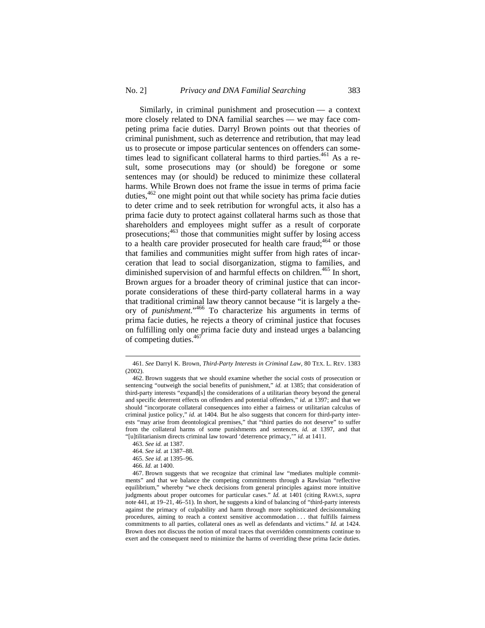Similarly, in criminal punishment and prosecution — a context more closely related to DNA familial searches — we may face competing prima facie duties. Darryl Brown points out that theories of criminal punishment, such as deterrence and retribution, that may lead us to prosecute or impose particular sentences on offenders can sometimes lead to significant collateral harms to third parties.<sup>461</sup> As a result, some prosecutions may (or should) be foregone or some sentences may (or should) be reduced to minimize these collateral harms. While Brown does not frame the issue in terms of prima facie duties,<sup>462</sup> one might point out that while society has prima facie duties to deter crime and to seek retribution for wrongful acts, it also has a prima facie duty to protect against collateral harms such as those that shareholders and employees might suffer as a result of corporate prosecutions;463 those that communities might suffer by losing access to a health care provider prosecuted for health care fraud; $464$  or those that families and communities might suffer from high rates of incarceration that lead to social disorganization, stigma to families, and diminished supervision of and harmful effects on children.<sup>465</sup> In short, Brown argues for a broader theory of criminal justice that can incorporate considerations of these third-party collateral harms in a way that traditional criminal law theory cannot because "it is largely a theory of *punishment*."466 To characterize his arguments in terms of prima facie duties, he rejects a theory of criminal justice that focuses on fulfilling only one prima facie duty and instead urges a balancing of competing duties.<sup>467</sup>

<sup>461.</sup> *See* Darryl K. Brown, *Third-Party Interests in Criminal Law*, 80 TEX. L. REV. 1383 (2002).

<sup>462.</sup> Brown suggests that we should examine whether the social costs of prosecution or sentencing "outweigh the social benefits of punishment," *id.* at 1385; that consideration of third-party interests "expand[s] the considerations of a utilitarian theory beyond the general and specific deterrent effects on offenders and potential offenders," *id.* at 1397; and that we should "incorporate collateral consequences into either a fairness or utilitarian calculus of criminal justice policy," *id.* at 1404. But he also suggests that concern for third-party interests "may arise from deontological premises," that "third parties do not deserve" to suffer from the collateral harms of some punishments and sentences, *id.* at 1397, and that "[u]tilitarianism directs criminal law toward 'deterrence primacy,'" *id.* at 1411.

<sup>463.</sup> *See id.* at 1387.

<sup>464.</sup> *See id.* at 1387–88.

<sup>465.</sup> *See id.* at 1395–96.

<sup>466.</sup> *Id.* at 1400.

<sup>467.</sup> Brown suggests that we recognize that criminal law "mediates multiple commitments" and that we balance the competing commitments through a Rawlsian "reflective equilibrium," whereby "we check decisions from general principles against more intuitive judgments about proper outcomes for particular cases." *Id.* at 1401 (citing RAWLS, *supra* note 441, at 19–21, 46–51). In short, he suggests a kind of balancing of "third-party interests against the primacy of culpability and harm through more sophisticated decisionmaking procedures, aiming to reach a context sensitive accommodation . . . that fulfills fairness commitments to all parties, collateral ones as well as defendants and victims." *Id.* at 1424. Brown does not discuss the notion of moral traces that overridden commitments continue to exert and the consequent need to minimize the harms of overriding these prima facie duties.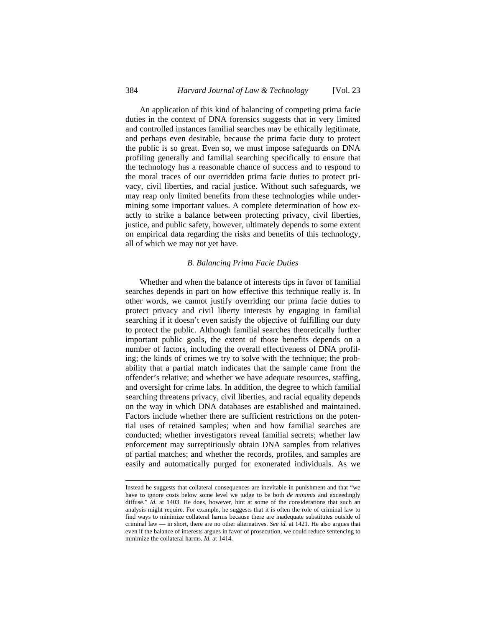An application of this kind of balancing of competing prima facie duties in the context of DNA forensics suggests that in very limited and controlled instances familial searches may be ethically legitimate, and perhaps even desirable, because the prima facie duty to protect the public is so great. Even so, we must impose safeguards on DNA profiling generally and familial searching specifically to ensure that the technology has a reasonable chance of success and to respond to the moral traces of our overridden prima facie duties to protect privacy, civil liberties, and racial justice. Without such safeguards, we may reap only limited benefits from these technologies while undermining some important values. A complete determination of how exactly to strike a balance between protecting privacy, civil liberties, justice, and public safety, however, ultimately depends to some extent on empirical data regarding the risks and benefits of this technology, all of which we may not yet have.

#### *B. Balancing Prima Facie Duties*

Whether and when the balance of interests tips in favor of familial searches depends in part on how effective this technique really is. In other words, we cannot justify overriding our prima facie duties to protect privacy and civil liberty interests by engaging in familial searching if it doesn't even satisfy the objective of fulfilling our duty to protect the public. Although familial searches theoretically further important public goals, the extent of those benefits depends on a number of factors, including the overall effectiveness of DNA profiling; the kinds of crimes we try to solve with the technique; the probability that a partial match indicates that the sample came from the offender's relative; and whether we have adequate resources, staffing, and oversight for crime labs. In addition, the degree to which familial searching threatens privacy, civil liberties, and racial equality depends on the way in which DNA databases are established and maintained. Factors include whether there are sufficient restrictions on the potential uses of retained samples; when and how familial searches are conducted; whether investigators reveal familial secrets; whether law enforcement may surreptitiously obtain DNA samples from relatives of partial matches; and whether the records, profiles, and samples are easily and automatically purged for exonerated individuals. As we

Instead he suggests that collateral consequences are inevitable in punishment and that "we have to ignore costs below some level we judge to be both *de minimis* and exceedingly diffuse." *Id.* at 1403. He does, however, hint at some of the considerations that such an analysis might require. For example, he suggests that it is often the role of criminal law to find ways to minimize collateral harms because there are inadequate substitutes outside of criminal law — in short, there are no other alternatives. *See id.* at 1421. He also argues that even if the balance of interests argues in favor of prosecution, we could reduce sentencing to minimize the collateral harms. *Id.* at 1414.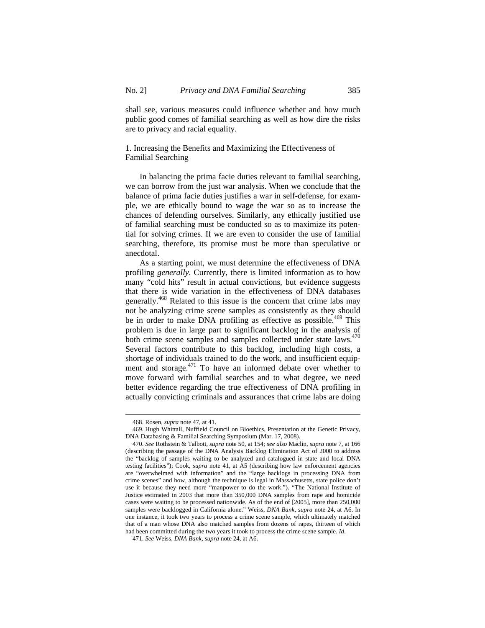shall see, various measures could influence whether and how much public good comes of familial searching as well as how dire the risks are to privacy and racial equality.

1. Increasing the Benefits and Maximizing the Effectiveness of Familial Searching

In balancing the prima facie duties relevant to familial searching, we can borrow from the just war analysis. When we conclude that the balance of prima facie duties justifies a war in self-defense, for example, we are ethically bound to wage the war so as to increase the chances of defending ourselves. Similarly, any ethically justified use of familial searching must be conducted so as to maximize its potential for solving crimes. If we are even to consider the use of familial searching, therefore, its promise must be more than speculative or anecdotal.

As a starting point, we must determine the effectiveness of DNA profiling *generally*. Currently, there is limited information as to how many "cold hits" result in actual convictions, but evidence suggests that there is wide variation in the effectiveness of DNA databases generally.<sup>468</sup> Related to this issue is the concern that crime labs may not be analyzing crime scene samples as consistently as they should be in order to make DNA profiling as effective as possible.<sup>469</sup> This problem is due in large part to significant backlog in the analysis of both crime scene samples and samples collected under state laws. $470$ Several factors contribute to this backlog, including high costs, a shortage of individuals trained to do the work, and insufficient equipment and storage.<sup>471</sup> To have an informed debate over whether to move forward with familial searches and to what degree, we need better evidence regarding the true effectiveness of DNA profiling in actually convicting criminals and assurances that crime labs are doing

<sup>468.</sup> Rosen, *supra* note 47, at 41.

<sup>469.</sup> Hugh Whittall, Nuffield Council on Bioethics, Presentation at the Genetic Privacy, DNA Databasing & Familial Searching Symposium (Mar. 17, 2008).

<sup>470.</sup> *See* Rothstein & Talbott, *supra* note 50, at 154; *see also* Maclin, *supra* note 7, at 166 (describing the passage of the DNA Analysis Backlog Elimination Act of 2000 to address the "backlog of samples waiting to be analyzed and catalogued in state and local DNA testing facilities"); Cook, *supra* note 41, at A5 (describing how law enforcement agencies are "overwhelmed with information" and the "large backlogs in processing DNA from crime scenes" and how, although the technique is legal in Massachusetts, state police don't use it because they need more "manpower to do the work."). "The National Institute of Justice estimated in 2003 that more than 350,000 DNA samples from rape and homicide cases were waiting to be processed nationwide. As of the end of [2005], more than 250,000 samples were backlogged in California alone." Weiss, *DNA Bank*, *supra* note 24, at A6. In one instance, it took two years to process a crime scene sample, which ultimately matched that of a man whose DNA also matched samples from dozens of rapes, thirteen of which had been committed during the two years it took to process the crime scene sample. *Id*.

<sup>471.</sup> *See* Weiss, *DNA Bank*, *supra* note 24, at A6.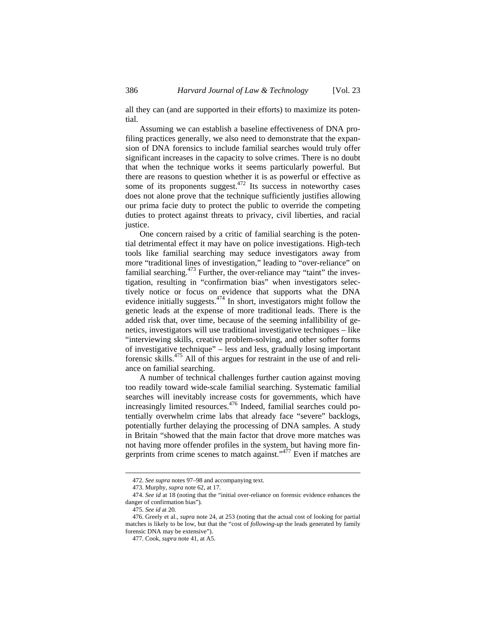all they can (and are supported in their efforts) to maximize its potential.

Assuming we can establish a baseline effectiveness of DNA profiling practices generally, we also need to demonstrate that the expansion of DNA forensics to include familial searches would truly offer significant increases in the capacity to solve crimes. There is no doubt that when the technique works it seems particularly powerful. But there are reasons to question whether it is as powerful or effective as some of its proponents suggest. $472$  Its success in noteworthy cases does not alone prove that the technique sufficiently justifies allowing our prima facie duty to protect the public to override the competing duties to protect against threats to privacy, civil liberties, and racial justice.

One concern raised by a critic of familial searching is the potential detrimental effect it may have on police investigations. High-tech tools like familial searching may seduce investigators away from more "traditional lines of investigation," leading to "over-reliance" on familial searching.<sup>473</sup> Further, the over-reliance may "taint" the investigation, resulting in "confirmation bias" when investigators selectively notice or focus on evidence that supports what the DNA evidence initially suggests.<sup>474</sup> In short, investigators might follow the genetic leads at the expense of more traditional leads. There is the added risk that, over time, because of the seeming infallibility of genetics, investigators will use traditional investigative techniques – like "interviewing skills, creative problem-solving, and other softer forms of investigative technique" – less and less, gradually losing important forensic skills.<sup>475</sup> All of this argues for restraint in the use of and reliance on familial searching.

A number of technical challenges further caution against moving too readily toward wide-scale familial searching. Systematic familial searches will inevitably increase costs for governments, which have increasingly limited resources.<sup>476</sup> Indeed, familial searches could potentially overwhelm crime labs that already face "severe" backlogs, potentially further delaying the processing of DNA samples. A study in Britain "showed that the main factor that drove more matches was not having more offender profiles in the system, but having more fingerprints from crime scenes to match against." $477$  Even if matches are

<sup>472.</sup> *See supra* notes 97–98 and accompanying text.

<sup>473.</sup> Murphy, *supra* note 62, at 17.

<sup>474.</sup> *See id* at 18 (noting that the "initial over-reliance on forensic evidence enhances the danger of confirmation bias")*.*

<sup>475.</sup> *See id* at 20*.*

<sup>476.</sup> Greely et al., *supra* note 24, at 253 (noting that the actual cost of looking for partial matches is likely to be low, but that the "cost of *following-up* the leads generated by family forensic DNA may be extensive").

<sup>477.</sup> Cook, *supra* note 41, at A5.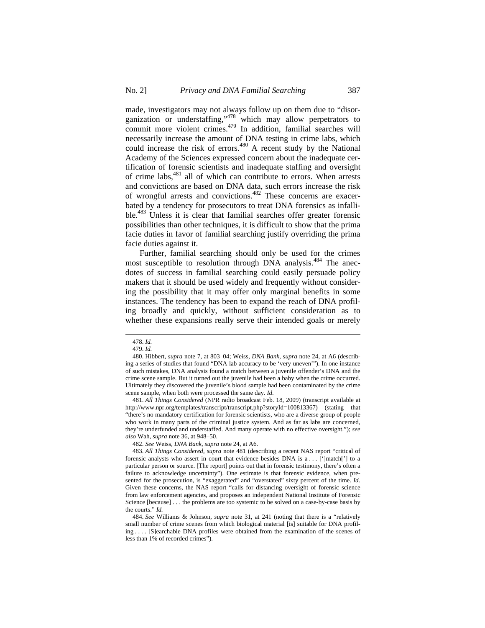made, investigators may not always follow up on them due to "disorganization or understaffing,"478 which may allow perpetrators to commit more violent crimes. $479$  In addition, familial searches will necessarily increase the amount of DNA testing in crime labs, which could increase the risk of errors.<sup>480</sup> A recent study by the National Academy of the Sciences expressed concern about the inadequate certification of forensic scientists and inadequate staffing and oversight of crime labs,481 all of which can contribute to errors. When arrests and convictions are based on DNA data, such errors increase the risk of wrongful arrests and convictions.<sup>482</sup> These concerns are exacerbated by a tendency for prosecutors to treat DNA forensics as infallible.<sup>483</sup> Unless it is clear that familial searches offer greater forensic possibilities than other techniques, it is difficult to show that the prima facie duties in favor of familial searching justify overriding the prima facie duties against it.

Further, familial searching should only be used for the crimes most susceptible to resolution through DNA analysis.<sup>484</sup> The anecdotes of success in familial searching could easily persuade policy makers that it should be used widely and frequently without considering the possibility that it may offer only marginal benefits in some instances. The tendency has been to expand the reach of DNA profiling broadly and quickly, without sufficient consideration as to whether these expansions really serve their intended goals or merely

<sup>478.</sup> *Id.*

<sup>479.</sup> *Id.*

<sup>480.</sup> Hibbert, *supra* note 7, at 803–04; Weiss, *DNA Bank*, *supra* note 24, at A6 (describing a series of studies that found "DNA lab accuracy to be 'very uneven'"). In one instance of such mistakes, DNA analysis found a match between a juvenile offender's DNA and the crime scene sample. But it turned out the juvenile had been a baby when the crime occurred. Ultimately they discovered the juvenile's blood sample had been contaminated by the crime scene sample, when both were processed the same day. *Id.* 

<sup>481.</sup> *All Things Considered* (NPR radio broadcast Feb. 18, 2009) (transcript available at http://www.npr.org/templates/transcript/transcript.php?storyId=100813367) (stating that "there's no mandatory certification for forensic scientists, who are a diverse group of people who work in many parts of the criminal justice system. And as far as labs are concerned, they're underfunded and understaffed. And many operate with no effective oversight."); *see also* Wah, *supra* note 36, at 948–50.

<sup>482.</sup> *See* Weiss, *DNA Bank*, *supra* note 24, at A6.

<sup>483.</sup> *All Things Considered*, *supra* note 481 (describing a recent NAS report "critical of forensic analysts who assert in court that evidence besides DNA is a . . . [']match['] to a particular person or source. [The report] points out that in forensic testimony, there's often a failure to acknowledge uncertainty"). One estimate is that forensic evidence, when presented for the prosecution, is "exaggerated" and "overstated" sixty percent of the time. *Id.*  Given these concerns, the NAS report "calls for distancing oversight of forensic science from law enforcement agencies, and proposes an independent National Institute of Forensic Science [because] . . . the problems are too systemic to be solved on a case-by-case basis by the courts." *Id.* 

<sup>484.</sup> *See* Williams & Johnson, *supra* note 31, at 241 (noting that there is a "relatively small number of crime scenes from which biological material [is] suitable for DNA profiling . . . . [S]earchable DNA profiles were obtained from the examination of the scenes of less than 1% of recorded crimes").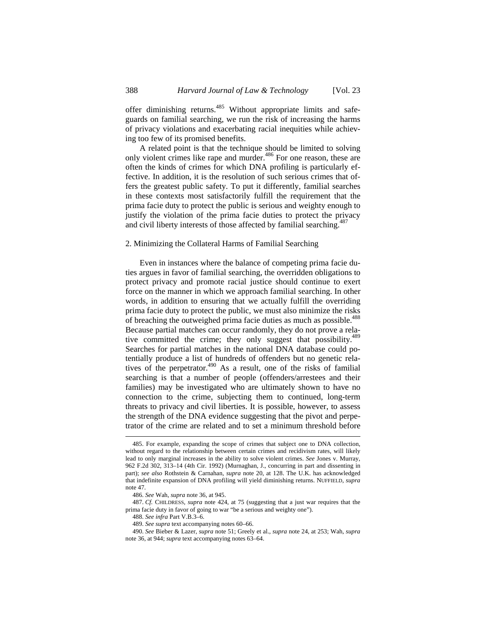offer diminishing returns.485 Without appropriate limits and safeguards on familial searching, we run the risk of increasing the harms of privacy violations and exacerbating racial inequities while achieving too few of its promised benefits.

A related point is that the technique should be limited to solving only violent crimes like rape and murder.<sup>486</sup> For one reason, these are often the kinds of crimes for which DNA profiling is particularly effective. In addition, it is the resolution of such serious crimes that offers the greatest public safety. To put it differently, familial searches in these contexts most satisfactorily fulfill the requirement that the prima facie duty to protect the public is serious and weighty enough to justify the violation of the prima facie duties to protect the privacy and civil liberty interests of those affected by familial searching.<sup>487</sup>

### 2. Minimizing the Collateral Harms of Familial Searching

Even in instances where the balance of competing prima facie duties argues in favor of familial searching, the overridden obligations to protect privacy and promote racial justice should continue to exert force on the manner in which we approach familial searching. In other words, in addition to ensuring that we actually fulfill the overriding prima facie duty to protect the public, we must also minimize the risks of breaching the outweighed prima facie duties as much as possible.<sup>488</sup> Because partial matches can occur randomly, they do not prove a relative committed the crime; they only suggest that possibility.<sup>489</sup> Searches for partial matches in the national DNA database could potentially produce a list of hundreds of offenders but no genetic relatives of the perpetrator.<sup>490</sup> As a result, one of the risks of familial searching is that a number of people (offenders/arrestees and their families) may be investigated who are ultimately shown to have no connection to the crime, subjecting them to continued, long-term threats to privacy and civil liberties. It is possible, however, to assess the strength of the DNA evidence suggesting that the pivot and perpetrator of the crime are related and to set a minimum threshold before

<sup>485.</sup> For example, expanding the scope of crimes that subject one to DNA collection, without regard to the relationship between certain crimes and recidivism rates, will likely lead to only marginal increases in the ability to solve violent crimes. *See* Jones v. Murray, 962 F.2d 302, 313–14 (4th Cir. 1992) (Murnaghan, J., concurring in part and dissenting in part); *see also* Rothstein & Carnahan, *supra* note 20, at 128. The U.K. has acknowledged that indefinite expansion of DNA profiling will yield diminishing returns. NUFFIELD, *supra* note 47.

<sup>486.</sup> *See* Wah, *supra* note 36, at 945.

<sup>487.</sup> *Cf.* CHILDRESS, *supra* note 424, at 75 (suggesting that a just war requires that the prima facie duty in favor of going to war "be a serious and weighty one").

<sup>488.</sup> *See infra* Part V.B.3–6.

<sup>489.</sup> *See supra* text accompanying notes 60–66.

<sup>490.</sup> *See* Bieber & Lazer, *supra* note 51; Greely et al., *supra* note 24, at 253; Wah, *supra* note 36, at 944; *supra* text accompanying notes 63–64.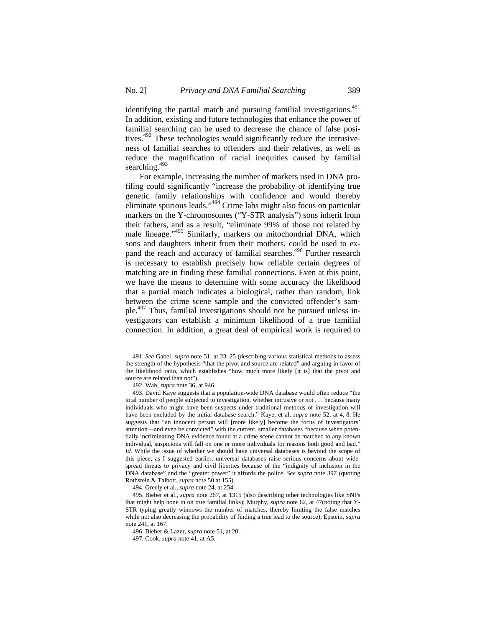identifying the partial match and pursuing familial investigations.<sup>491</sup> In addition, existing and future technologies that enhance the power of familial searching can be used to decrease the chance of false positives.<sup>492</sup> These technologies would significantly reduce the intrusiveness of familial searches to offenders and their relatives, as well as reduce the magnification of racial inequities caused by familial searching.<sup>493</sup>

 For example, increasing the number of markers used in DNA profiling could significantly "increase the probability of identifying true genetic family relationships with confidence and would thereby eliminate spurious leads."494 Crime labs might also focus on particular markers on the Y-chromosomes ("Y-STR analysis") sons inherit from their fathers, and as a result, "eliminate 99% of those not related by male lineage."<sup>495</sup> Similarly, markers on mitochondrial DNA, which sons and daughters inherit from their mothers, could be used to expand the reach and accuracy of familial searches.<sup>496</sup> Further research is necessary to establish precisely how reliable certain degrees of matching are in finding these familial connections. Even at this point, we have the means to determine with some accuracy the likelihood that a partial match indicates a biological, rather than random, link between the crime scene sample and the convicted offender's sample.497 Thus, familial investigations should not be pursued unless investigators can establish a minimum likelihood of a true familial connection. In addition, a great deal of empirical work is required to

<sup>491.</sup> *See* Gabel, *supra* note 51, at 23–25 (describing various statistical methods to assess the strength of the hypothesis "that the pivot and source are related" and arguing in favor of the likelihood ratio, which establishes "how much more likely [it is] that the pivot and source are related than not").

<sup>492.</sup> Wah, *supra* note 36, at 946.

<sup>493.</sup> David Kaye suggests that a population-wide DNA database would often reduce "the total number of people subjected to investigation, whether intrusive or not . . . because many individuals who might have been suspects under traditional methods of investigation will have been excluded by the initial database search." Kaye, et al. *supra* note 52, at 4, 8. He suggests that "an innocent person will [more likely] become the focus of investigators' attention—and even be convicted" with the current, smaller databases "because when potentially incriminating DNA evidence found at a crime scene cannot be matched to any known individual, suspicions will fall on one or more individuals for reasons both good and bad." *Id.* While the issue of whether we should have universal databases is beyond the scope of this piece, as I suggested earlier, universal databases raise serious concerns about widespread threats to privacy and civil liberties because of the "indignity of inclusion in the DNA database" and the "greater power" it affords the police. *See supra* note 397 (quoting Rothstein & Talbott, *supra* note 50 at 155).

<sup>494.</sup> Greely et al., *supra* note 24, at 254.

<sup>495.</sup> Bieber et al., *supra* note 267, at 1315 (also describing other technologies like SNPs that might help hone in on true familial links); Murphy, *supra* note 62, at 47(noting that Y-STR typing greatly winnows the number of matches, thereby limiting the false matches while not also decreasing the probability of finding a true lead to the source); Epstein, *supra* note 241, at 167.

<sup>496.</sup> Bieber & Lazer, *supra* note 51, at 20.

<sup>497.</sup> Cook, *supra* note 41, at A5.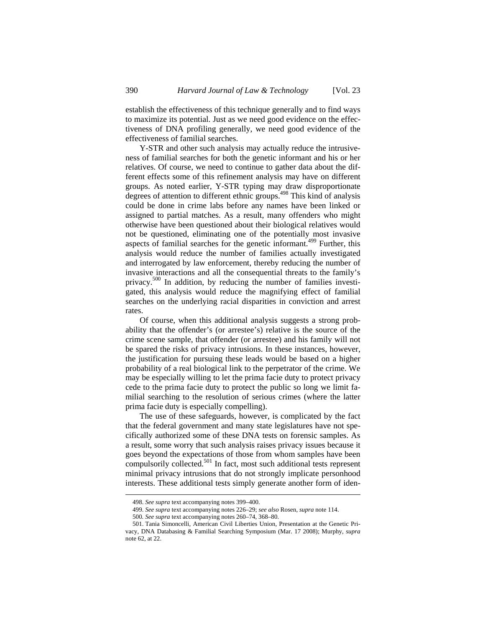establish the effectiveness of this technique generally and to find ways to maximize its potential. Just as we need good evidence on the effectiveness of DNA profiling generally, we need good evidence of the effectiveness of familial searches.

Y-STR and other such analysis may actually reduce the intrusiveness of familial searches for both the genetic informant and his or her relatives. Of course, we need to continue to gather data about the different effects some of this refinement analysis may have on different groups. As noted earlier, Y-STR typing may draw disproportionate degrees of attention to different ethnic groups.<sup>498</sup> This kind of analysis could be done in crime labs before any names have been linked or assigned to partial matches. As a result, many offenders who might otherwise have been questioned about their biological relatives would not be questioned, eliminating one of the potentially most invasive aspects of familial searches for the genetic informant.<sup>499</sup> Further, this analysis would reduce the number of families actually investigated and interrogated by law enforcement, thereby reducing the number of invasive interactions and all the consequential threats to the family's privacy.500 In addition, by reducing the number of families investigated, this analysis would reduce the magnifying effect of familial searches on the underlying racial disparities in conviction and arrest rates.

Of course, when this additional analysis suggests a strong probability that the offender's (or arrestee's) relative is the source of the crime scene sample, that offender (or arrestee) and his family will not be spared the risks of privacy intrusions. In these instances, however, the justification for pursuing these leads would be based on a higher probability of a real biological link to the perpetrator of the crime. We may be especially willing to let the prima facie duty to protect privacy cede to the prima facie duty to protect the public so long we limit familial searching to the resolution of serious crimes (where the latter prima facie duty is especially compelling).

The use of these safeguards, however, is complicated by the fact that the federal government and many state legislatures have not specifically authorized some of these DNA tests on forensic samples. As a result, some worry that such analysis raises privacy issues because it goes beyond the expectations of those from whom samples have been compulsorily collected.<sup>501</sup> In fact, most such additional tests represent minimal privacy intrusions that do not strongly implicate personhood interests. These additional tests simply generate another form of iden-

<sup>498.</sup> *See supra* text accompanying notes 399–400.

<sup>499.</sup> *See supra* text accompanying notes 226–29; *see also* Rosen, *supra* note 114.

<sup>500</sup>*. See supra* text accompanying notes 260–74, 368–80.

<sup>501.</sup> Tania Simoncelli, American Civil Liberties Union, Presentation at the Genetic Privacy, DNA Databasing & Familial Searching Symposium (Mar. 17 2008); Murphy, *supra*  note 62, at 22.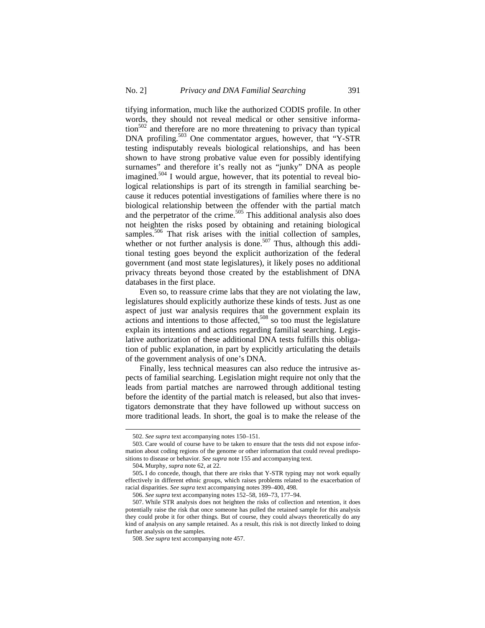tifying information, much like the authorized CODIS profile. In other words, they should not reveal medical or other sensitive informa- $\frac{502}{2}$  and therefore are no more threatening to privacy than typical DNA profiling.<sup>503</sup> One commentator argues, however, that "Y-STR testing indisputably reveals biological relationships, and has been shown to have strong probative value even for possibly identifying surnames" and therefore it's really not as "junky" DNA as people imagined.<sup>504</sup> I would argue, however, that its potential to reveal biological relationships is part of its strength in familial searching because it reduces potential investigations of families where there is no biological relationship between the offender with the partial match and the perpetrator of the crime.<sup>505</sup> This additional analysis also does not heighten the risks posed by obtaining and retaining biological samples.<sup>506</sup> That risk arises with the initial collection of samples, whether or not further analysis is done.<sup>507</sup> Thus, although this additional testing goes beyond the explicit authorization of the federal government (and most state legislatures), it likely poses no additional privacy threats beyond those created by the establishment of DNA databases in the first place.

Even so, to reassure crime labs that they are not violating the law, legislatures should explicitly authorize these kinds of tests. Just as one aspect of just war analysis requires that the government explain its actions and intentions to those affected, $508$  so too must the legislature explain its intentions and actions regarding familial searching. Legislative authorization of these additional DNA tests fulfills this obligation of public explanation, in part by explicitly articulating the details of the government analysis of one's DNA.

Finally, less technical measures can also reduce the intrusive aspects of familial searching. Legislation might require not only that the leads from partial matches are narrowed through additional testing before the identity of the partial match is released, but also that investigators demonstrate that they have followed up without success on more traditional leads. In short, the goal is to make the release of the

<sup>502.</sup> *See supra* text accompanying notes 150–151.

<sup>503.</sup> Care would of course have to be taken to ensure that the tests did not expose information about coding regions of the genome or other information that could reveal predispositions to disease or behavior. *See supra* note 155 and accompanying text.

<sup>504</sup>**.** Murphy, *supra* note 62, at 22.

<sup>505</sup>**.** I do concede, though, that there are risks that Y-STR typing may not work equally effectively in different ethnic groups, which raises problems related to the exacerbation of racial disparities. *See supra* text accompanying notes 399–400, 498.

<sup>506.</sup> *See supra* text accompanying notes 152–58, 169–73, 177–94.

<sup>507.</sup> While STR analysis does not heighten the risks of collection and retention, it does potentially raise the risk that once someone has pulled the retained sample for this analysis they could probe it for other things. But of course, they could always theoretically do any kind of analysis on any sample retained. As a result, this risk is not directly linked to doing further analysis on the samples.

<sup>508.</sup> *See supra* text accompanying note 457.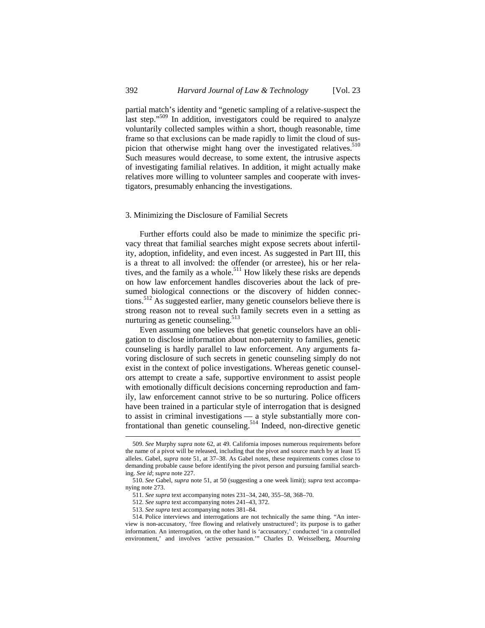partial match's identity and "genetic sampling of a relative-suspect the last step."<sup>509</sup> In addition, investigators could be required to analyze voluntarily collected samples within a short, though reasonable, time frame so that exclusions can be made rapidly to limit the cloud of suspicion that otherwise might hang over the investigated relatives.<sup>510</sup> Such measures would decrease, to some extent, the intrusive aspects of investigating familial relatives. In addition, it might actually make relatives more willing to volunteer samples and cooperate with investigators, presumably enhancing the investigations.

#### 3. Minimizing the Disclosure of Familial Secrets

Further efforts could also be made to minimize the specific privacy threat that familial searches might expose secrets about infertility, adoption, infidelity, and even incest. As suggested in Part III, this is a threat to all involved: the offender (or arrestee), his or her relatives, and the family as a whole.<sup>511</sup> How likely these risks are depends on how law enforcement handles discoveries about the lack of presumed biological connections or the discovery of hidden connections.512 As suggested earlier, many genetic counselors believe there is strong reason not to reveal such family secrets even in a setting as nurturing as genetic counseling.<sup>513</sup>

Even assuming one believes that genetic counselors have an obligation to disclose information about non-paternity to families, genetic counseling is hardly parallel to law enforcement. Any arguments favoring disclosure of such secrets in genetic counseling simply do not exist in the context of police investigations. Whereas genetic counselors attempt to create a safe, supportive environment to assist people with emotionally difficult decisions concerning reproduction and family, law enforcement cannot strive to be so nurturing. Police officers have been trained in a particular style of interrogation that is designed to assist in criminal investigations — a style substantially more confrontational than genetic counseling.<sup>514</sup> Indeed, non-directive genetic

<sup>509.</sup> *See* Murphy *supra* note 62, at 49. California imposes numerous requirements before the name of a pivot will be released, including that the pivot and source match by at least 15 alleles. Gabel, *supra* note 51, at 37–38. As Gabel notes, these requirements comes close to demanding probable cause before identifying the pivot person and pursuing familial searching. *See id*; *supra* note 227.

<sup>510.</sup> *See* Gabel, *supra* note 51, at 50 (suggesting a one week limit); *supra* text accompanying note 273.

<sup>511.</sup> *See supra* text accompanying notes 231–34, 240, 355–58, 368–70.

<sup>512.</sup> *See supra* text accompanying notes 241–43, 372.

<sup>513.</sup> *See supra* text accompanying notes 381–84.

<sup>514.</sup> Police interviews and interrogations are not technically the same thing. "An interview is non-accusatory, 'free flowing and relatively unstructured'; its purpose is to gather information. An interrogation, on the other hand is 'accusatory,' conducted 'in a controlled environment,' and involves 'active persuasion.'" Charles D. Weisselberg, *Mourning*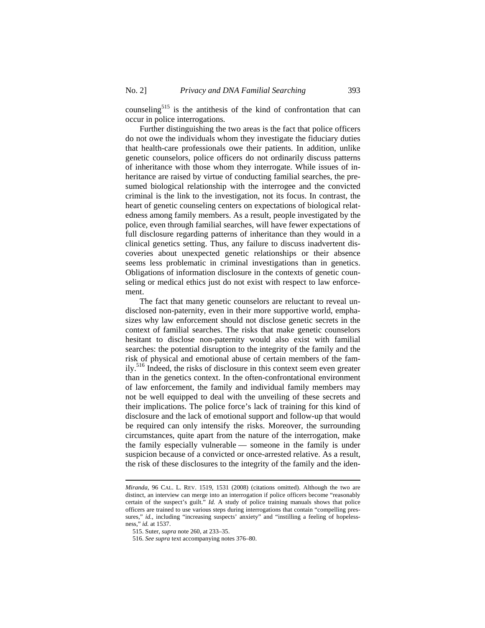counseling<sup>515</sup> is the antithesis of the kind of confrontation that can occur in police interrogations.

Further distinguishing the two areas is the fact that police officers do not owe the individuals whom they investigate the fiduciary duties that health-care professionals owe their patients. In addition, unlike genetic counselors, police officers do not ordinarily discuss patterns of inheritance with those whom they interrogate. While issues of inheritance are raised by virtue of conducting familial searches, the presumed biological relationship with the interrogee and the convicted criminal is the link to the investigation, not its focus. In contrast, the heart of genetic counseling centers on expectations of biological relatedness among family members. As a result, people investigated by the police, even through familial searches, will have fewer expectations of full disclosure regarding patterns of inheritance than they would in a clinical genetics setting. Thus, any failure to discuss inadvertent discoveries about unexpected genetic relationships or their absence seems less problematic in criminal investigations than in genetics. Obligations of information disclosure in the contexts of genetic counseling or medical ethics just do not exist with respect to law enforcement.

The fact that many genetic counselors are reluctant to reveal undisclosed non-paternity, even in their more supportive world, emphasizes why law enforcement should not disclose genetic secrets in the context of familial searches. The risks that make genetic counselors hesitant to disclose non-paternity would also exist with familial searches: the potential disruption to the integrity of the family and the risk of physical and emotional abuse of certain members of the family.<sup>516</sup> Indeed, the risks of disclosure in this context seem even greater than in the genetics context. In the often-confrontational environment of law enforcement, the family and individual family members may not be well equipped to deal with the unveiling of these secrets and their implications. The police force's lack of training for this kind of disclosure and the lack of emotional support and follow-up that would be required can only intensify the risks. Moreover, the surrounding circumstances, quite apart from the nature of the interrogation, make the family especially vulnerable — someone in the family is under suspicion because of a convicted or once-arrested relative. As a result, the risk of these disclosures to the integrity of the family and the iden-

*Miranda*, 96 CAL. L. REV. 1519, 1531 (2008) (citations omitted). Although the two are distinct, an interview can merge into an interrogation if police officers become "reasonably certain of the suspect's guilt." *Id.* A study of police training manuals shows that police officers are trained to use various steps during interrogations that contain "compelling pressures," *id.*, including "increasing suspects' anxiety" and "instilling a feeling of hopelessness," *id.* at 1537.

<sup>515.</sup> Suter, *supra* note 260, at 233–35.

<sup>516.</sup> *See supra* text accompanying notes 376–80.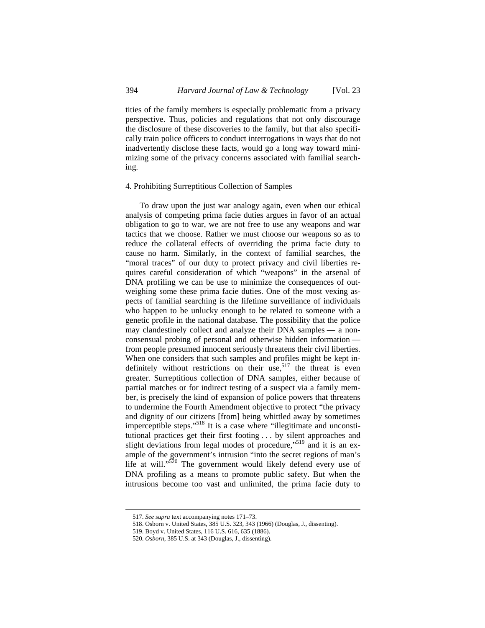tities of the family members is especially problematic from a privacy perspective. Thus, policies and regulations that not only discourage the disclosure of these discoveries to the family, but that also specifically train police officers to conduct interrogations in ways that do not inadvertently disclose these facts, would go a long way toward minimizing some of the privacy concerns associated with familial searching.

#### 4. Prohibiting Surreptitious Collection of Samples

To draw upon the just war analogy again, even when our ethical analysis of competing prima facie duties argues in favor of an actual obligation to go to war, we are not free to use any weapons and war tactics that we choose. Rather we must choose our weapons so as to reduce the collateral effects of overriding the prima facie duty to cause no harm. Similarly, in the context of familial searches, the "moral traces" of our duty to protect privacy and civil liberties requires careful consideration of which "weapons" in the arsenal of DNA profiling we can be use to minimize the consequences of outweighing some these prima facie duties. One of the most vexing aspects of familial searching is the lifetime surveillance of individuals who happen to be unlucky enough to be related to someone with a genetic profile in the national database. The possibility that the police may clandestinely collect and analyze their DNA samples — a nonconsensual probing of personal and otherwise hidden information from people presumed innocent seriously threatens their civil liberties. When one considers that such samples and profiles might be kept indefinitely without restrictions on their use,<sup>517</sup> the threat is even greater. Surreptitious collection of DNA samples, either because of partial matches or for indirect testing of a suspect via a family member, is precisely the kind of expansion of police powers that threatens to undermine the Fourth Amendment objective to protect "the privacy and dignity of our citizens [from] being whittled away by sometimes imperceptible steps."518 It is a case where "illegitimate and unconstitutional practices get their first footing . . . by silent approaches and slight deviations from legal modes of procedure,"<sup>519</sup> and it is an example of the government's intrusion "into the secret regions of man's life at will."<sup>520</sup> The government would likely defend every use of DNA profiling as a means to promote public safety. But when the intrusions become too vast and unlimited, the prima facie duty to

<sup>517.</sup> *See supra* text accompanying notes 171–73.

<sup>518.</sup> Osborn v. United States, 385 U.S. 323, 343 (1966) (Douglas, J., dissenting).

<sup>519.</sup> Boyd v. United States, 116 U.S. 616, 635 (1886).

<sup>520.</sup> *Osborn*, 385 U.S. at 343 (Douglas, J., dissenting).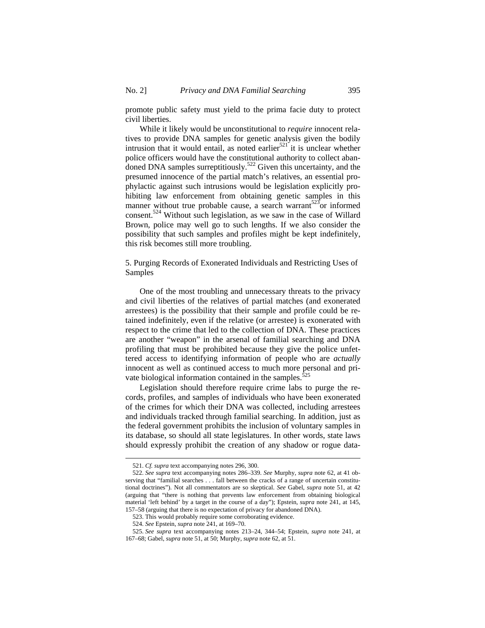promote public safety must yield to the prima facie duty to protect civil liberties.

While it likely would be unconstitutional to *require* innocent relatives to provide DNA samples for genetic analysis given the bodily intrusion that it would entail, as noted earlier<sup>521</sup> it is unclear whether police officers would have the constitutional authority to collect aban- $\frac{1}{2}$  doned DNA samples surreptitiously.<sup>522</sup> Given this uncertainty, and the presumed innocence of the partial match's relatives, an essential prophylactic against such intrusions would be legislation explicitly prohibiting law enforcement from obtaining genetic samples in this manner without true probable cause, a search warrant<sup>523</sup>or informed consent.524 Without such legislation, as we saw in the case of Willard Brown, police may well go to such lengths. If we also consider the possibility that such samples and profiles might be kept indefinitely, this risk becomes still more troubling.

5. Purging Records of Exonerated Individuals and Restricting Uses of Samples

One of the most troubling and unnecessary threats to the privacy and civil liberties of the relatives of partial matches (and exonerated arrestees) is the possibility that their sample and profile could be retained indefinitely, even if the relative (or arrestee) is exonerated with respect to the crime that led to the collection of DNA. These practices are another "weapon" in the arsenal of familial searching and DNA profiling that must be prohibited because they give the police unfettered access to identifying information of people who are *actually*  innocent as well as continued access to much more personal and private biological information contained in the samples.<sup>525</sup>

Legislation should therefore require crime labs to purge the records, profiles, and samples of individuals who have been exonerated of the crimes for which their DNA was collected, including arrestees and individuals tracked through familial searching. In addition, just as the federal government prohibits the inclusion of voluntary samples in its database, so should all state legislatures. In other words, state laws should expressly prohibit the creation of any shadow or rogue data-

<sup>521.</sup> *Cf. supra* text accompanying notes 296, 300.

<sup>522.</sup> *See supra* text accompanying notes 286–339. *See* Murphy, *supra* note 62, at 41 observing that "familial searches . . . fall between the cracks of a range of uncertain constitutional doctrines"). Not all commentators are so skeptical. *See* Gabel, *supra* note 51, at 42 (arguing that "there is nothing that prevents law enforcement from obtaining biological material 'left behind' by a target in the course of a day"); Epstein, *supra* note 241, at 145, 157–58 (arguing that there is no expectation of privacy for abandoned DNA).

<sup>523.</sup> This would probably require some corroborating evidence.

<sup>524.</sup> *See* Epstein, *supra* note 241, at 169–70.

<sup>525.</sup> *See supra* text accompanying notes 213–24, 344–54; Epstein, *supra* note 241, at 167–68; Gabel, *supra* note 51, at 50; Murphy, *supra* note 62, at 51.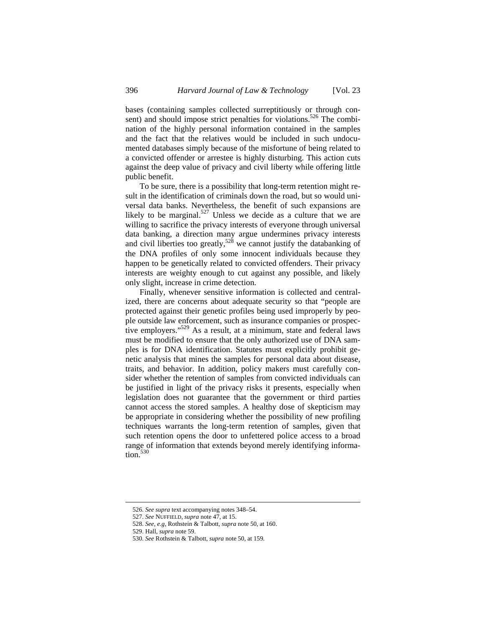bases (containing samples collected surreptitiously or through consent) and should impose strict penalties for violations.<sup>526</sup> The combination of the highly personal information contained in the samples and the fact that the relatives would be included in such undocumented databases simply because of the misfortune of being related to a convicted offender or arrestee is highly disturbing. This action cuts against the deep value of privacy and civil liberty while offering little public benefit.

To be sure, there is a possibility that long-term retention might result in the identification of criminals down the road, but so would universal data banks. Nevertheless, the benefit of such expansions are likely to be marginal.<sup>527</sup> Unless we decide as a culture that we are willing to sacrifice the privacy interests of everyone through universal data banking, a direction many argue undermines privacy interests and civil liberties too greatly, $528$  we cannot justify the databanking of the DNA profiles of only some innocent individuals because they happen to be genetically related to convicted offenders. Their privacy interests are weighty enough to cut against any possible, and likely only slight, increase in crime detection.

Finally, whenever sensitive information is collected and centralized, there are concerns about adequate security so that "people are protected against their genetic profiles being used improperly by people outside law enforcement, such as insurance companies or prospective employers."<sup>529</sup> As a result, at a minimum, state and federal laws must be modified to ensure that the only authorized use of DNA samples is for DNA identification. Statutes must explicitly prohibit genetic analysis that mines the samples for personal data about disease, traits, and behavior. In addition, policy makers must carefully consider whether the retention of samples from convicted individuals can be justified in light of the privacy risks it presents, especially when legislation does not guarantee that the government or third parties cannot access the stored samples. A healthy dose of skepticism may be appropriate in considering whether the possibility of new profiling techniques warrants the long-term retention of samples, given that such retention opens the door to unfettered police access to a broad range of information that extends beyond merely identifying informa- $\overline{\text{tion}}$ .<sup>530</sup>

<sup>526.</sup> *See supra* text accompanying notes 348–54.

<sup>527.</sup> *See* NUFFIELD, *supra* note 47, at 15.

<sup>528.</sup> *See, e.g*, Rothstein & Talbott, *supra* note 50, at 160.

<sup>529.</sup> Hall, *supra* note 59.

<sup>530.</sup> *See* Rothstein & Talbott, *supra* note 50, at 159.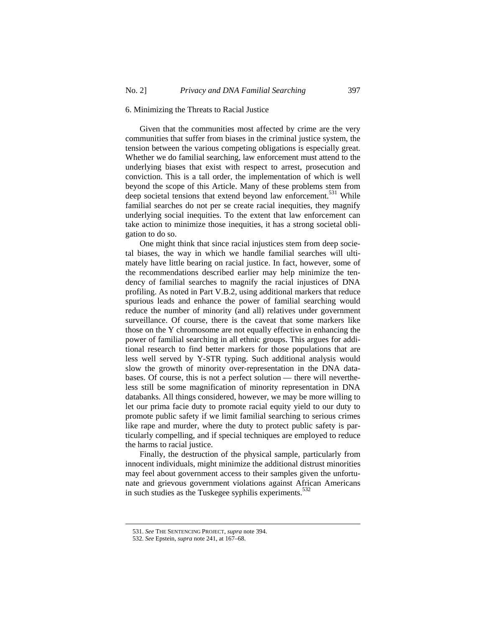## 6. Minimizing the Threats to Racial Justice

Given that the communities most affected by crime are the very communities that suffer from biases in the criminal justice system, the tension between the various competing obligations is especially great. Whether we do familial searching, law enforcement must attend to the underlying biases that exist with respect to arrest, prosecution and conviction. This is a tall order, the implementation of which is well beyond the scope of this Article. Many of these problems stem from deep societal tensions that extend beyond law enforcement.<sup>531</sup> While familial searches do not per se create racial inequities, they magnify underlying social inequities. To the extent that law enforcement can take action to minimize those inequities, it has a strong societal obligation to do so.

One might think that since racial injustices stem from deep societal biases, the way in which we handle familial searches will ultimately have little bearing on racial justice. In fact, however, some of the recommendations described earlier may help minimize the tendency of familial searches to magnify the racial injustices of DNA profiling. As noted in Part V.B.2, using additional markers that reduce spurious leads and enhance the power of familial searching would reduce the number of minority (and all) relatives under government surveillance. Of course, there is the caveat that some markers like those on the Y chromosome are not equally effective in enhancing the power of familial searching in all ethnic groups. This argues for additional research to find better markers for those populations that are less well served by Y-STR typing. Such additional analysis would slow the growth of minority over-representation in the DNA databases. Of course, this is not a perfect solution — there will nevertheless still be some magnification of minority representation in DNA databanks. All things considered, however, we may be more willing to let our prima facie duty to promote racial equity yield to our duty to promote public safety if we limit familial searching to serious crimes like rape and murder, where the duty to protect public safety is particularly compelling, and if special techniques are employed to reduce the harms to racial justice.

Finally, the destruction of the physical sample, particularly from innocent individuals, might minimize the additional distrust minorities may feel about government access to their samples given the unfortunate and grievous government violations against African Americans in such studies as the Tuskegee syphilis experiments.<sup>532</sup>

<sup>531.</sup> *See* THE SENTENCING PROJECT, *supra* note 394.

<sup>532.</sup> *See* Epstein, *supra* note 241, at 167–68.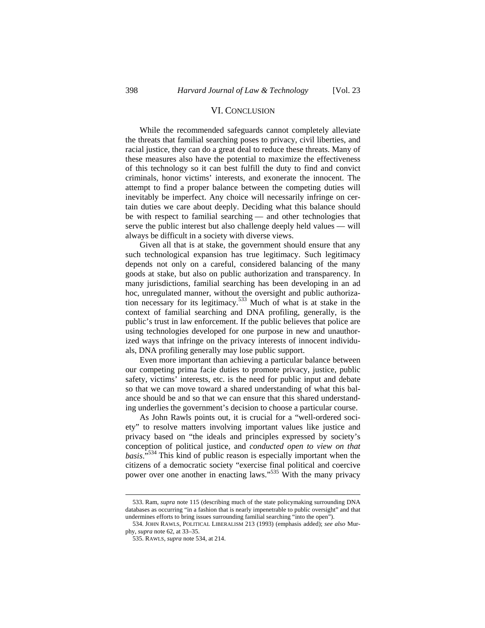# VI. CONCLUSION

While the recommended safeguards cannot completely alleviate the threats that familial searching poses to privacy, civil liberties, and racial justice, they can do a great deal to reduce these threats. Many of these measures also have the potential to maximize the effectiveness of this technology so it can best fulfill the duty to find and convict criminals, honor victims' interests, and exonerate the innocent. The attempt to find a proper balance between the competing duties will inevitably be imperfect. Any choice will necessarily infringe on certain duties we care about deeply. Deciding what this balance should be with respect to familial searching — and other technologies that serve the public interest but also challenge deeply held values — will always be difficult in a society with diverse views.

Given all that is at stake, the government should ensure that any such technological expansion has true legitimacy. Such legitimacy depends not only on a careful, considered balancing of the many goods at stake, but also on public authorization and transparency. In many jurisdictions, familial searching has been developing in an ad hoc, unregulated manner, without the oversight and public authorization necessary for its legitimacy.<sup>533</sup> Much of what is at stake in the context of familial searching and DNA profiling, generally, is the public's trust in law enforcement. If the public believes that police are using technologies developed for one purpose in new and unauthorized ways that infringe on the privacy interests of innocent individuals, DNA profiling generally may lose public support.

Even more important than achieving a particular balance between our competing prima facie duties to promote privacy, justice, public safety, victims' interests, etc. is the need for public input and debate so that we can move toward a shared understanding of what this balance should be and so that we can ensure that this shared understanding underlies the government's decision to choose a particular course.

As John Rawls points out, it is crucial for a "well-ordered society" to resolve matters involving important values like justice and privacy based on "the ideals and principles expressed by society's conception of political justice, and *conducted open to view on that basis*."534 This kind of public reason is especially important when the citizens of a democratic society "exercise final political and coercive power over one another in enacting laws."<sup>535</sup> With the many privacy

<sup>533.</sup> Ram, *supra* note 115 (describing much of the state policymaking surrounding DNA databases as occurring "in a fashion that is nearly impenetrable to public oversight" and that undermines efforts to bring issues surrounding familial searching "into the open").

<sup>534.</sup> JOHN RAWLS, POLITICAL LIBERALISM 213 (1993) (emphasis added); *see also* Murphy, *supra* note 62, at 33–35.

<sup>535.</sup> RAWLS, *supra* note 534, at 214.